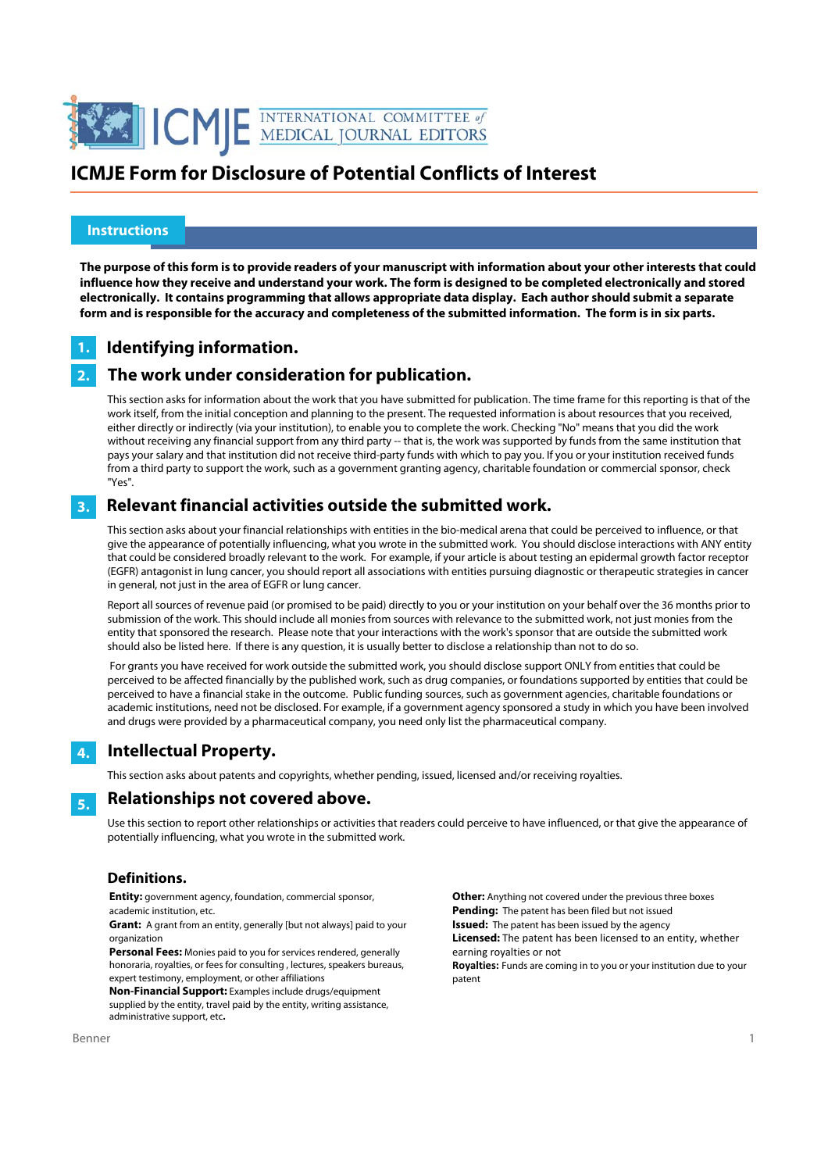

#### **Instructions**

**2.**

**The purpose of this form is to provide readers of your manuscript with information about your other interests that could influence how they receive and understand your work. The form is designed to be completed electronically and stored electronically. It contains programming that allows appropriate data display. Each author should submit a separate form and is responsible for the accuracy and completeness of the submitted information. The form is in six parts.** 

#### **Identifying information. 1.**

### **The work under consideration for publication.**

This section asks for information about the work that you have submitted for publication. The time frame for this reporting is that of the work itself, from the initial conception and planning to the present. The requested information is about resources that you received, either directly or indirectly (via your institution), to enable you to complete the work. Checking "No" means that you did the work without receiving any financial support from any third party -- that is, the work was supported by funds from the same institution that pays your salary and that institution did not receive third-party funds with which to pay you. If you or your institution received funds from a third party to support the work, such as a government granting agency, charitable foundation or commercial sponsor, check "Yes".

#### **Relevant financial activities outside the submitted work. 3.**

This section asks about your financial relationships with entities in the bio-medical arena that could be perceived to influence, or that give the appearance of potentially influencing, what you wrote in the submitted work. You should disclose interactions with ANY entity that could be considered broadly relevant to the work. For example, if your article is about testing an epidermal growth factor receptor (EGFR) antagonist in lung cancer, you should report all associations with entities pursuing diagnostic or therapeutic strategies in cancer in general, not just in the area of EGFR or lung cancer.

Report all sources of revenue paid (or promised to be paid) directly to you or your institution on your behalf over the 36 months prior to submission of the work. This should include all monies from sources with relevance to the submitted work, not just monies from the entity that sponsored the research. Please note that your interactions with the work's sponsor that are outside the submitted work should also be listed here. If there is any question, it is usually better to disclose a relationship than not to do so.

 For grants you have received for work outside the submitted work, you should disclose support ONLY from entities that could be perceived to be affected financially by the published work, such as drug companies, or foundations supported by entities that could be perceived to have a financial stake in the outcome. Public funding sources, such as government agencies, charitable foundations or academic institutions, need not be disclosed. For example, if a government agency sponsored a study in which you have been involved and drugs were provided by a pharmaceutical company, you need only list the pharmaceutical company.

### **Intellectual Property.**

This section asks about patents and copyrights, whether pending, issued, licensed and/or receiving royalties.

#### **Relationships not covered above.**

Use this section to report other relationships or activities that readers could perceive to have influenced, or that give the appearance of potentially influencing, what you wrote in the submitted work.

### **Definitions.**

**Entity:** government agency, foundation, commercial sponsor, academic institution, etc.

**Grant:** A grant from an entity, generally [but not always] paid to your organization

**Personal Fees:** Monies paid to you for services rendered, generally honoraria, royalties, or fees for consulting , lectures, speakers bureaus, expert testimony, employment, or other affiliations

**Non-Financial Support:** Examples include drugs/equipment supplied by the entity, travel paid by the entity, writing assistance, administrative support, etc**.**

**Other:** Anything not covered under the previous three boxes **Pending:** The patent has been filed but not issued **Issued:** The patent has been issued by the agency **Licensed:** The patent has been licensed to an entity, whether earning royalties or not **Royalties:** Funds are coming in to you or your institution due to your patent

Benner 1986 – Stein Benner 1986 – Stein Benner 1986 – Stein Benner 1986 – Stein Benner 1986 – Stein Benner 19

**4.**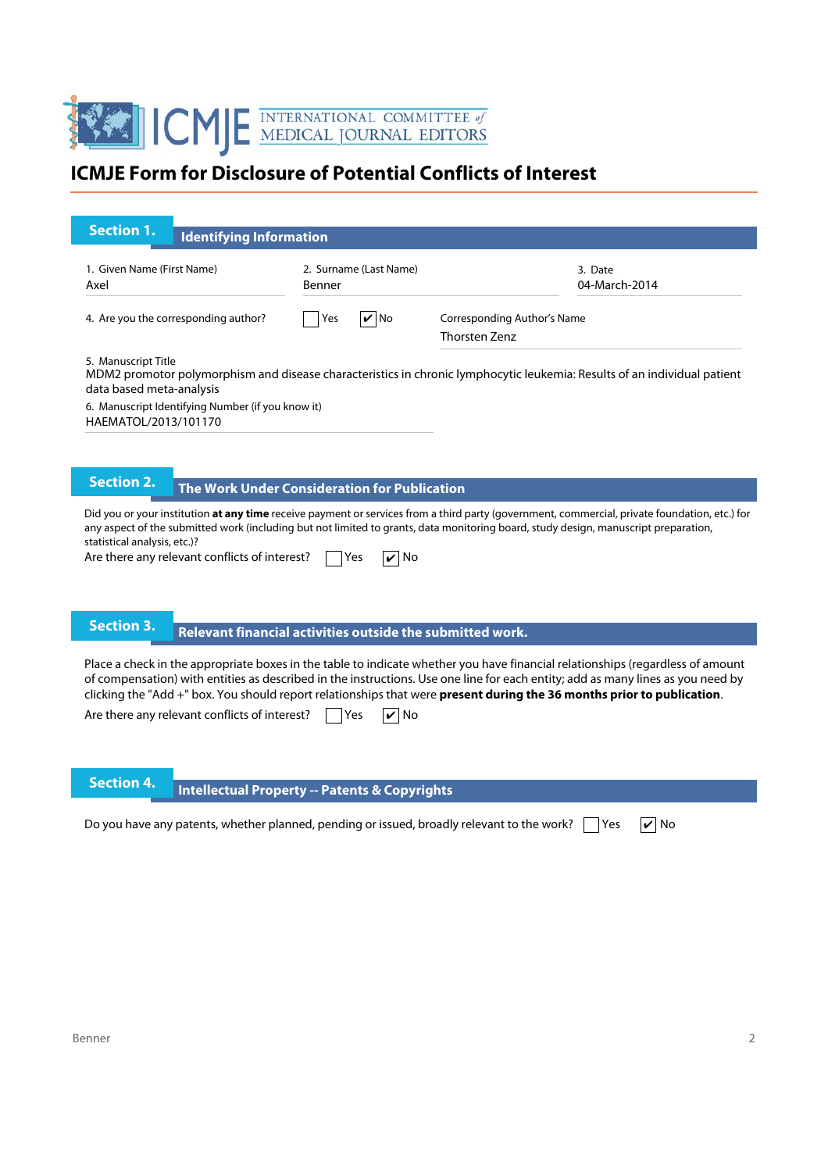

| <b>Section 1.</b>                                                                                                                                                                                                                                                                                                                                                                                                                                                                 | <b>Identifying Information</b>                    |                                                           |                                                                                                                          |  |  |
|-----------------------------------------------------------------------------------------------------------------------------------------------------------------------------------------------------------------------------------------------------------------------------------------------------------------------------------------------------------------------------------------------------------------------------------------------------------------------------------|---------------------------------------------------|-----------------------------------------------------------|--------------------------------------------------------------------------------------------------------------------------|--|--|
| 1. Given Name (First Name)<br>Axel                                                                                                                                                                                                                                                                                                                                                                                                                                                |                                                   | 2. Surname (Last Name)<br>Benner                          | 3. Date<br>04-March-2014                                                                                                 |  |  |
| 4. Are you the corresponding author?                                                                                                                                                                                                                                                                                                                                                                                                                                              |                                                   | $\boxed{\mathbf{v}}$ No<br>Yes                            | Corresponding Author's Name<br><b>Thorsten Zenz</b>                                                                      |  |  |
| 5. Manuscript Title<br>data based meta-analysis                                                                                                                                                                                                                                                                                                                                                                                                                                   |                                                   |                                                           | MDM2 promotor polymorphism and disease characteristics in chronic lymphocytic leukemia: Results of an individual patient |  |  |
| HAEMATOL/2013/101170                                                                                                                                                                                                                                                                                                                                                                                                                                                              | 6. Manuscript Identifying Number (if you know it) |                                                           |                                                                                                                          |  |  |
|                                                                                                                                                                                                                                                                                                                                                                                                                                                                                   |                                                   |                                                           |                                                                                                                          |  |  |
| <b>Section 2.</b>                                                                                                                                                                                                                                                                                                                                                                                                                                                                 |                                                   | The Work Under Consideration for Publication              |                                                                                                                          |  |  |
| Did you or your institution at any time receive payment or services from a third party (government, commercial, private foundation, etc.) for<br>any aspect of the submitted work (including but not limited to grants, data monitoring board, study design, manuscript preparation,<br>statistical analysis, etc.)?<br>Are there any relevant conflicts of interest?<br>$\mathbf{v}$ No<br>Yes                                                                                   |                                                   |                                                           |                                                                                                                          |  |  |
| <b>Section 3.</b>                                                                                                                                                                                                                                                                                                                                                                                                                                                                 |                                                   |                                                           |                                                                                                                          |  |  |
|                                                                                                                                                                                                                                                                                                                                                                                                                                                                                   |                                                   | Relevant financial activities outside the submitted work. |                                                                                                                          |  |  |
| Place a check in the appropriate boxes in the table to indicate whether you have financial relationships (regardless of amount<br>of compensation) with entities as described in the instructions. Use one line for each entity; add as many lines as you need by<br>clicking the "Add +" box. You should report relationships that were present during the 36 months prior to publication.<br>Are there any relevant conflicts of interest?<br>$\overline{\mathbf{v}}$ No<br>Yes |                                                   |                                                           |                                                                                                                          |  |  |
|                                                                                                                                                                                                                                                                                                                                                                                                                                                                                   |                                                   |                                                           |                                                                                                                          |  |  |
| <b>Section 4.</b>                                                                                                                                                                                                                                                                                                                                                                                                                                                                 |                                                   | <b>Intellectual Property -- Patents &amp; Copyrights</b>  |                                                                                                                          |  |  |
|                                                                                                                                                                                                                                                                                                                                                                                                                                                                                   |                                                   |                                                           | Do you have any patents, whether planned, pending or issued, broadly relevant to the work?<br>Yes<br>$\mathbf{v}$ No     |  |  |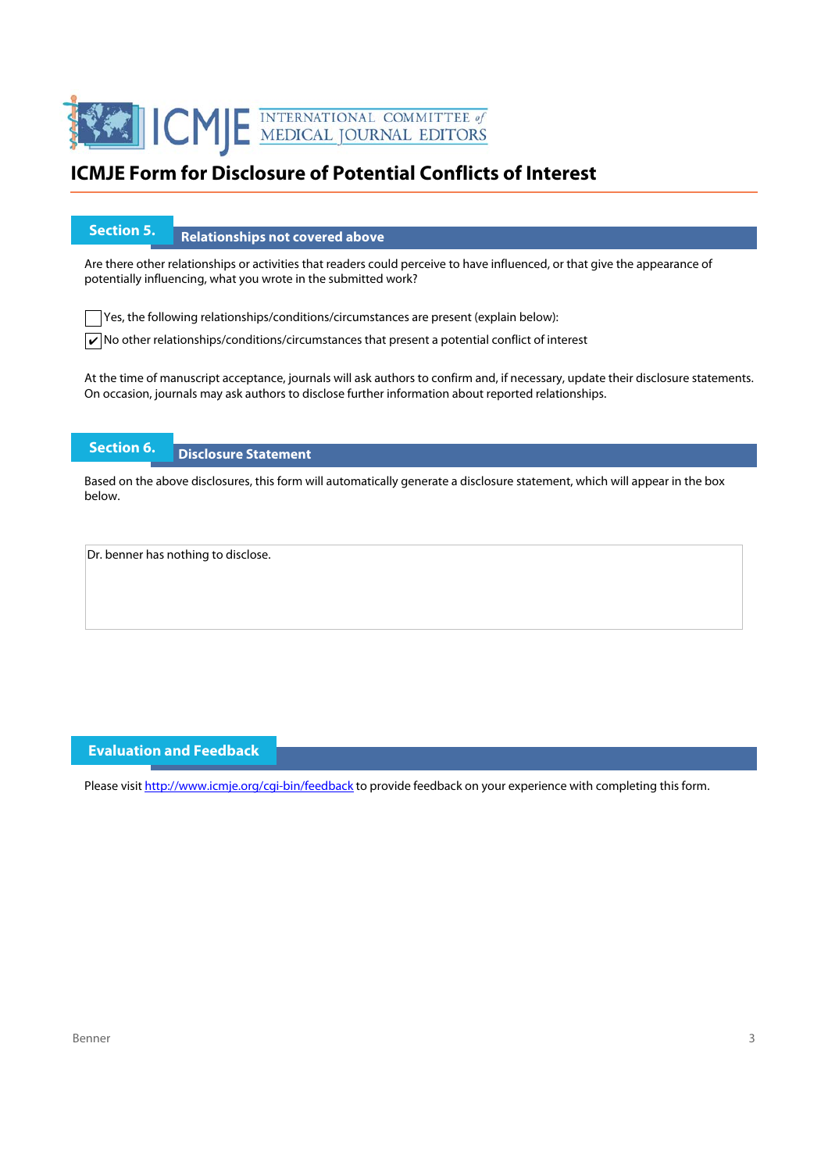

## **Section 5.** Relationships not covered above

Are there other relationships or activities that readers could perceive to have influenced, or that give the appearance of potentially influencing, what you wrote in the submitted work?

 $\Box$  Yes, the following relationships/conditions/circumstances are present (explain below):

 $\boxed{\mathbf{v}}$  No other relationships/conditions/circumstances that present a potential conflict of interest

At the time of manuscript acceptance, journals will ask authors to confirm and, if necessary, update their disclosure statements. On occasion, journals may ask authors to disclose further information about reported relationships.

## **Disclosure Statement Section 6.**

Based on the above disclosures, this form will automatically generate a disclosure statement, which will appear in the box below.

Dr. benner has nothing to disclose.

### **Evaluation and Feedback**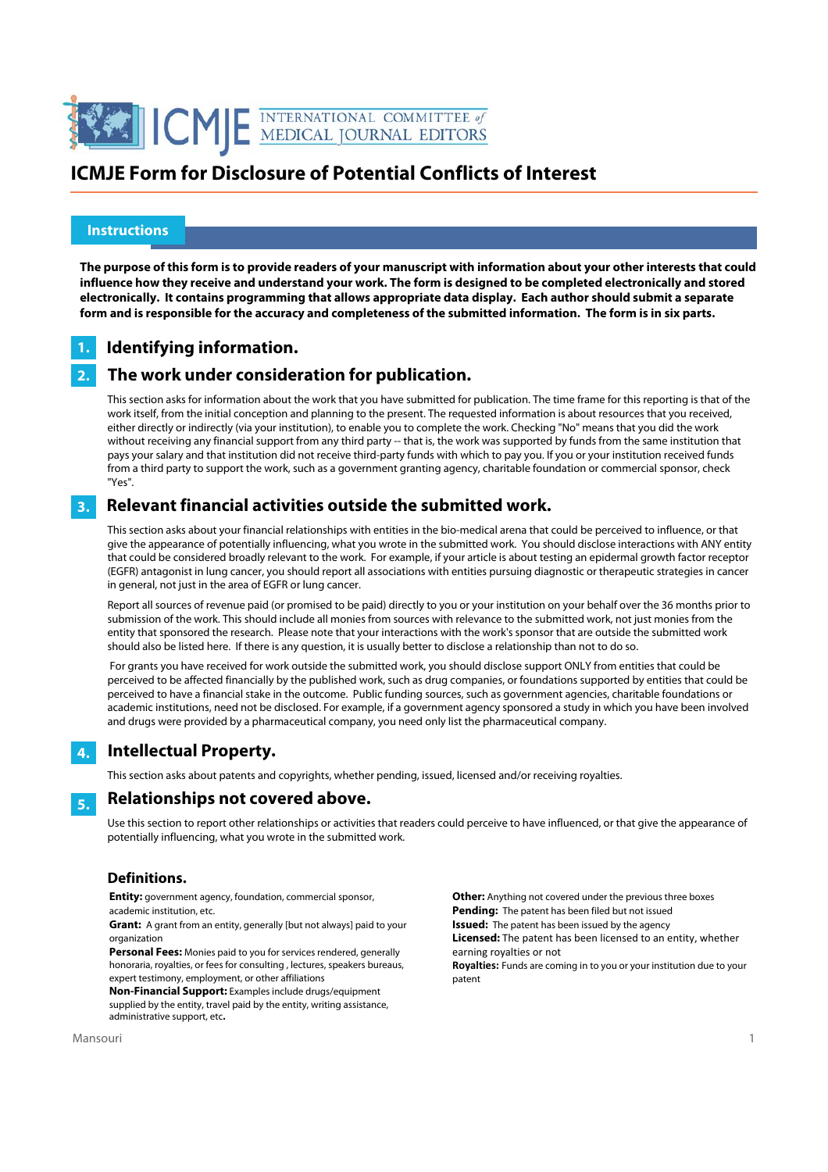

#### **Instructions**

**2.**

**The purpose of this form is to provide readers of your manuscript with information about your other interests that could influence how they receive and understand your work. The form is designed to be completed electronically and stored electronically. It contains programming that allows appropriate data display. Each author should submit a separate form and is responsible for the accuracy and completeness of the submitted information. The form is in six parts.** 

#### **Identifying information. 1.**

### **The work under consideration for publication.**

This section asks for information about the work that you have submitted for publication. The time frame for this reporting is that of the work itself, from the initial conception and planning to the present. The requested information is about resources that you received, either directly or indirectly (via your institution), to enable you to complete the work. Checking "No" means that you did the work without receiving any financial support from any third party -- that is, the work was supported by funds from the same institution that pays your salary and that institution did not receive third-party funds with which to pay you. If you or your institution received funds from a third party to support the work, such as a government granting agency, charitable foundation or commercial sponsor, check "Yes".

#### **Relevant financial activities outside the submitted work. 3.**

This section asks about your financial relationships with entities in the bio-medical arena that could be perceived to influence, or that give the appearance of potentially influencing, what you wrote in the submitted work. You should disclose interactions with ANY entity that could be considered broadly relevant to the work. For example, if your article is about testing an epidermal growth factor receptor (EGFR) antagonist in lung cancer, you should report all associations with entities pursuing diagnostic or therapeutic strategies in cancer in general, not just in the area of EGFR or lung cancer.

Report all sources of revenue paid (or promised to be paid) directly to you or your institution on your behalf over the 36 months prior to submission of the work. This should include all monies from sources with relevance to the submitted work, not just monies from the entity that sponsored the research. Please note that your interactions with the work's sponsor that are outside the submitted work should also be listed here. If there is any question, it is usually better to disclose a relationship than not to do so.

 For grants you have received for work outside the submitted work, you should disclose support ONLY from entities that could be perceived to be affected financially by the published work, such as drug companies, or foundations supported by entities that could be perceived to have a financial stake in the outcome. Public funding sources, such as government agencies, charitable foundations or academic institutions, need not be disclosed. For example, if a government agency sponsored a study in which you have been involved and drugs were provided by a pharmaceutical company, you need only list the pharmaceutical company.

### **Intellectual Property.**

This section asks about patents and copyrights, whether pending, issued, licensed and/or receiving royalties.

#### **Relationships not covered above.**

Use this section to report other relationships or activities that readers could perceive to have influenced, or that give the appearance of potentially influencing, what you wrote in the submitted work.

#### **Definitions.**

**Entity:** government agency, foundation, commercial sponsor, academic institution, etc.

**Grant:** A grant from an entity, generally [but not always] paid to your organization

**Personal Fees:** Monies paid to you for services rendered, generally honoraria, royalties, or fees for consulting , lectures, speakers bureaus, expert testimony, employment, or other affiliations

**Non-Financial Support:** Examples include drugs/equipment supplied by the entity, travel paid by the entity, writing assistance, administrative support, etc**.**

**Other:** Anything not covered under the previous three boxes **Pending:** The patent has been filed but not issued **Issued:** The patent has been issued by the agency **Licensed:** The patent has been licensed to an entity, whether earning royalties or not **Royalties:** Funds are coming in to you or your institution due to your patent

Mansouri 1

**4.**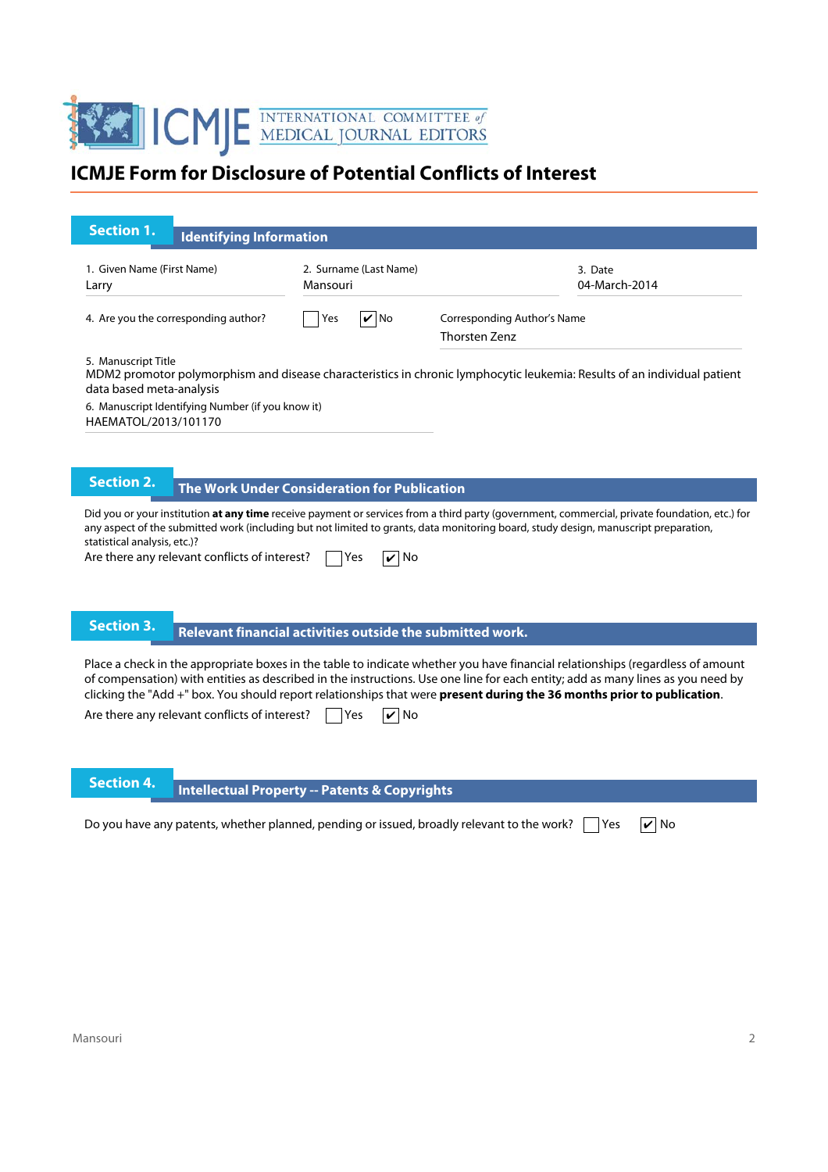

| <b>Section 1.</b>                                                                                                                                                                                                                                                                                                                                                                                                                                                | <b>Identifying Information</b>                    |                                                           |                                                                                                                          |  |  |
|------------------------------------------------------------------------------------------------------------------------------------------------------------------------------------------------------------------------------------------------------------------------------------------------------------------------------------------------------------------------------------------------------------------------------------------------------------------|---------------------------------------------------|-----------------------------------------------------------|--------------------------------------------------------------------------------------------------------------------------|--|--|
| 1. Given Name (First Name)<br>Larry                                                                                                                                                                                                                                                                                                                                                                                                                              |                                                   | 2. Surname (Last Name)<br>Mansouri                        | 3. Date<br>04-March-2014                                                                                                 |  |  |
|                                                                                                                                                                                                                                                                                                                                                                                                                                                                  | 4. Are you the corresponding author?              | $ \boldsymbol{v} $ No<br>Yes                              | Corresponding Author's Name<br><b>Thorsten Zenz</b>                                                                      |  |  |
| 5. Manuscript Title<br>data based meta-analysis                                                                                                                                                                                                                                                                                                                                                                                                                  |                                                   |                                                           | MDM2 promotor polymorphism and disease characteristics in chronic lymphocytic leukemia: Results of an individual patient |  |  |
| HAEMATOL/2013/101170                                                                                                                                                                                                                                                                                                                                                                                                                                             | 6. Manuscript Identifying Number (if you know it) |                                                           |                                                                                                                          |  |  |
|                                                                                                                                                                                                                                                                                                                                                                                                                                                                  |                                                   |                                                           |                                                                                                                          |  |  |
| <b>Section 2.</b>                                                                                                                                                                                                                                                                                                                                                                                                                                                |                                                   | The Work Under Consideration for Publication              |                                                                                                                          |  |  |
| Did you or your institution at any time receive payment or services from a third party (government, commercial, private foundation, etc.) for<br>any aspect of the submitted work (including but not limited to grants, data monitoring board, study design, manuscript preparation,<br>statistical analysis, etc.)?<br>Are there any relevant conflicts of interest?<br>Yes<br>$\nu$ No                                                                         |                                                   |                                                           |                                                                                                                          |  |  |
| <b>Section 3.</b>                                                                                                                                                                                                                                                                                                                                                                                                                                                |                                                   |                                                           |                                                                                                                          |  |  |
|                                                                                                                                                                                                                                                                                                                                                                                                                                                                  |                                                   | Relevant financial activities outside the submitted work. |                                                                                                                          |  |  |
| Place a check in the appropriate boxes in the table to indicate whether you have financial relationships (regardless of amount<br>of compensation) with entities as described in the instructions. Use one line for each entity; add as many lines as you need by<br>clicking the "Add +" box. You should report relationships that were present during the 36 months prior to publication.<br>Are there any relevant conflicts of interest?<br>  No<br>Yes<br>✓ |                                                   |                                                           |                                                                                                                          |  |  |
|                                                                                                                                                                                                                                                                                                                                                                                                                                                                  |                                                   |                                                           |                                                                                                                          |  |  |
| <b>Section 4.</b>                                                                                                                                                                                                                                                                                                                                                                                                                                                |                                                   |                                                           |                                                                                                                          |  |  |
|                                                                                                                                                                                                                                                                                                                                                                                                                                                                  |                                                   | <b>Intellectual Property -- Patents &amp; Copyrights</b>  |                                                                                                                          |  |  |
|                                                                                                                                                                                                                                                                                                                                                                                                                                                                  |                                                   |                                                           | Do you have any patents, whether planned, pending or issued, broadly relevant to the work?<br>Yes<br>$\mathbf{v}$ No     |  |  |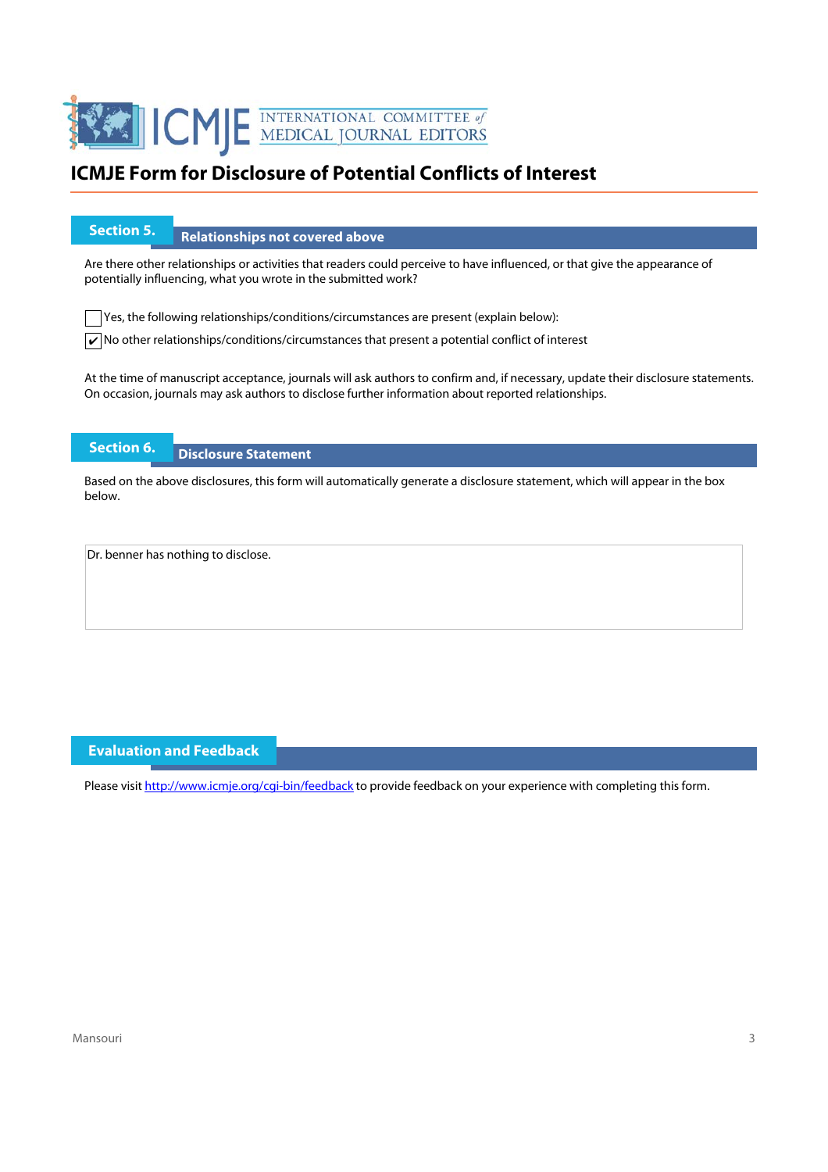

## **Section 5.** Relationships not covered above

Are there other relationships or activities that readers could perceive to have influenced, or that give the appearance of potentially influencing, what you wrote in the submitted work?

 $\Box$  Yes, the following relationships/conditions/circumstances are present (explain below):

 $\boxed{\mathbf{v}}$  No other relationships/conditions/circumstances that present a potential conflict of interest

At the time of manuscript acceptance, journals will ask authors to confirm and, if necessary, update their disclosure statements. On occasion, journals may ask authors to disclose further information about reported relationships.

## **Disclosure Statement Section 6.**

Based on the above disclosures, this form will automatically generate a disclosure statement, which will appear in the box below.

Dr. benner has nothing to disclose.

### **Evaluation and Feedback**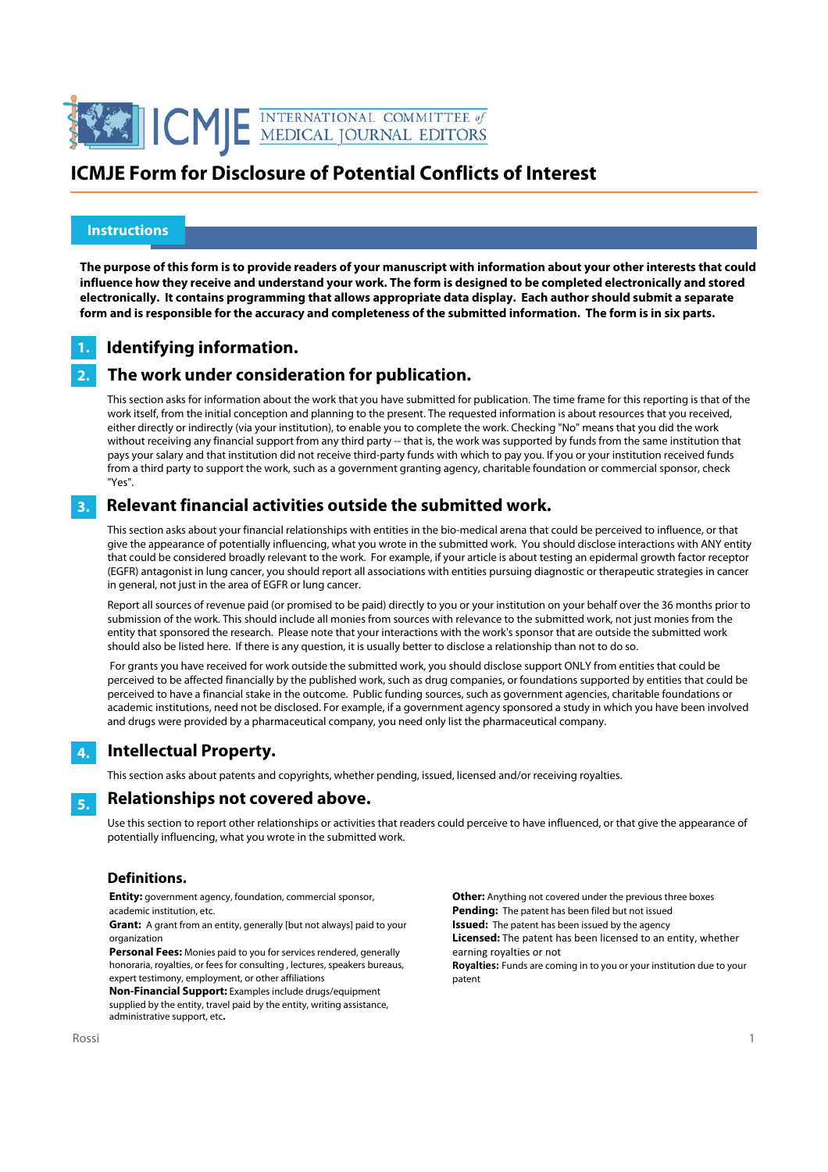

#### **Instructions**

**2.**

**The purpose of this form is to provide readers of your manuscript with information about your other interests that could influence how they receive and understand your work. The form is designed to be completed electronically and stored electronically. It contains programming that allows appropriate data display. Each author should submit a separate form and is responsible for the accuracy and completeness of the submitted information. The form is in six parts.** 

#### **Identifying information. 1.**

### **The work under consideration for publication.**

This section asks for information about the work that you have submitted for publication. The time frame for this reporting is that of the work itself, from the initial conception and planning to the present. The requested information is about resources that you received, either directly or indirectly (via your institution), to enable you to complete the work. Checking "No" means that you did the work without receiving any financial support from any third party -- that is, the work was supported by funds from the same institution that pays your salary and that institution did not receive third-party funds with which to pay you. If you or your institution received funds from a third party to support the work, such as a government granting agency, charitable foundation or commercial sponsor, check "Yes".

#### **Relevant financial activities outside the submitted work. 3.**

This section asks about your financial relationships with entities in the bio-medical arena that could be perceived to influence, or that give the appearance of potentially influencing, what you wrote in the submitted work. You should disclose interactions with ANY entity that could be considered broadly relevant to the work. For example, if your article is about testing an epidermal growth factor receptor (EGFR) antagonist in lung cancer, you should report all associations with entities pursuing diagnostic or therapeutic strategies in cancer in general, not just in the area of EGFR or lung cancer.

Report all sources of revenue paid (or promised to be paid) directly to you or your institution on your behalf over the 36 months prior to submission of the work. This should include all monies from sources with relevance to the submitted work, not just monies from the entity that sponsored the research. Please note that your interactions with the work's sponsor that are outside the submitted work should also be listed here. If there is any question, it is usually better to disclose a relationship than not to do so.

 For grants you have received for work outside the submitted work, you should disclose support ONLY from entities that could be perceived to be affected financially by the published work, such as drug companies, or foundations supported by entities that could be perceived to have a financial stake in the outcome. Public funding sources, such as government agencies, charitable foundations or academic institutions, need not be disclosed. For example, if a government agency sponsored a study in which you have been involved and drugs were provided by a pharmaceutical company, you need only list the pharmaceutical company.

### **Intellectual Property.**

This section asks about patents and copyrights, whether pending, issued, licensed and/or receiving royalties.

#### **Relationships not covered above.**

Use this section to report other relationships or activities that readers could perceive to have influenced, or that give the appearance of potentially influencing, what you wrote in the submitted work.

#### **Definitions.**

**Entity:** government agency, foundation, commercial sponsor, academic institution, etc.

**Grant:** A grant from an entity, generally [but not always] paid to your organization

**Personal Fees:** Monies paid to you for services rendered, generally honoraria, royalties, or fees for consulting , lectures, speakers bureaus, expert testimony, employment, or other affiliations

**Non-Financial Support:** Examples include drugs/equipment supplied by the entity, travel paid by the entity, writing assistance, administrative support, etc**.**

**Other:** Anything not covered under the previous three boxes **Pending:** The patent has been filed but not issued **Issued:** The patent has been issued by the agency **Licensed:** The patent has been licensed to an entity, whether earning royalties or not **Royalties:** Funds are coming in to you or your institution due to your patent

**4.**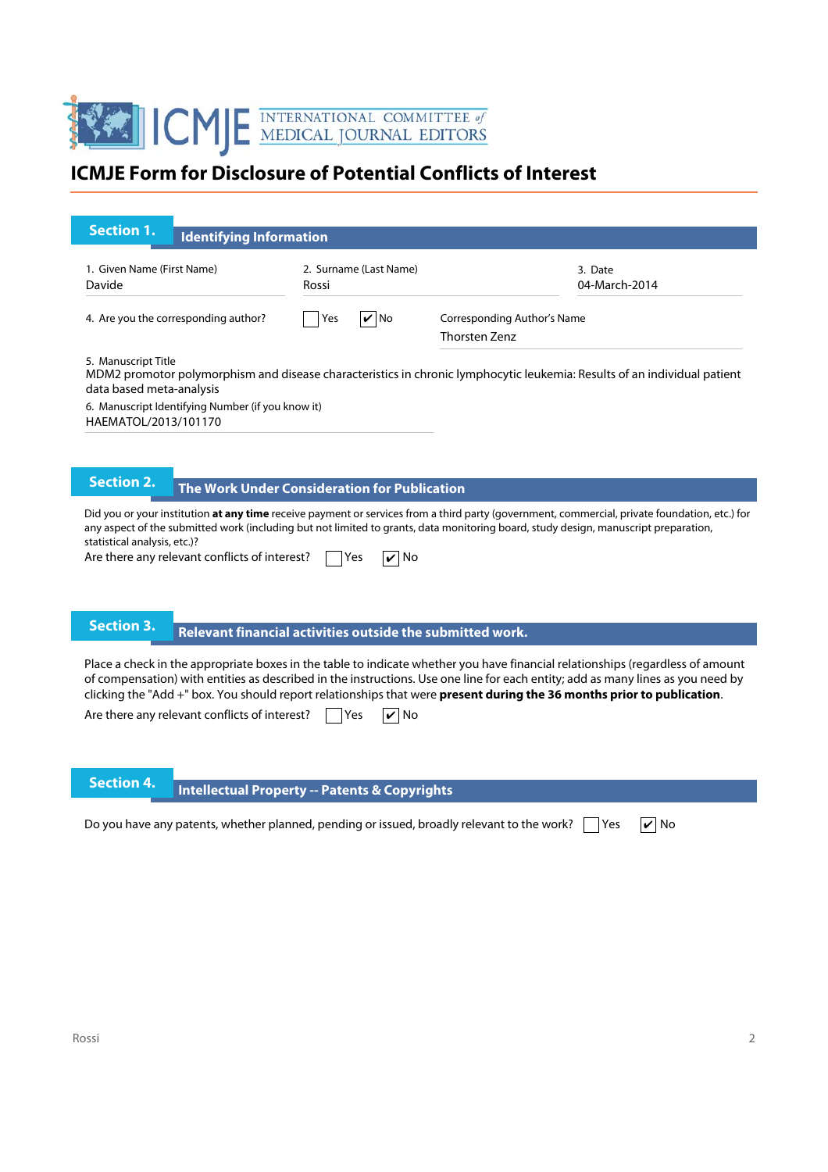

| <b>Section 1.</b>                                                                                                                                                                                                                                                                                                                                                                                                                                                | <b>Identifying Information</b>                    |                                                           |                                                                                            |                                                                                                                          |  |
|------------------------------------------------------------------------------------------------------------------------------------------------------------------------------------------------------------------------------------------------------------------------------------------------------------------------------------------------------------------------------------------------------------------------------------------------------------------|---------------------------------------------------|-----------------------------------------------------------|--------------------------------------------------------------------------------------------|--------------------------------------------------------------------------------------------------------------------------|--|
| 1. Given Name (First Name)<br>Davide                                                                                                                                                                                                                                                                                                                                                                                                                             |                                                   | 2. Surname (Last Name)<br>Rossi                           |                                                                                            | 3. Date<br>04-March-2014                                                                                                 |  |
|                                                                                                                                                                                                                                                                                                                                                                                                                                                                  | 4. Are you the corresponding author?              | ∣✔│No<br>Yes                                              | Corresponding Author's Name<br><b>Thorsten Zenz</b>                                        |                                                                                                                          |  |
| 5. Manuscript Title<br>data based meta-analysis                                                                                                                                                                                                                                                                                                                                                                                                                  |                                                   |                                                           |                                                                                            | MDM2 promotor polymorphism and disease characteristics in chronic lymphocytic leukemia: Results of an individual patient |  |
| HAEMATOL/2013/101170                                                                                                                                                                                                                                                                                                                                                                                                                                             | 6. Manuscript Identifying Number (if you know it) |                                                           |                                                                                            |                                                                                                                          |  |
|                                                                                                                                                                                                                                                                                                                                                                                                                                                                  |                                                   |                                                           |                                                                                            |                                                                                                                          |  |
| <b>Section 2.</b>                                                                                                                                                                                                                                                                                                                                                                                                                                                |                                                   | The Work Under Consideration for Publication              |                                                                                            |                                                                                                                          |  |
| Did you or your institution at any time receive payment or services from a third party (government, commercial, private foundation, etc.) for<br>any aspect of the submitted work (including but not limited to grants, data monitoring board, study design, manuscript preparation,<br>statistical analysis, etc.)?<br>Are there any relevant conflicts of interest?<br>$\mathbf{v}$ No<br>Yes                                                                  |                                                   |                                                           |                                                                                            |                                                                                                                          |  |
|                                                                                                                                                                                                                                                                                                                                                                                                                                                                  |                                                   |                                                           |                                                                                            |                                                                                                                          |  |
| <b>Section 3.</b>                                                                                                                                                                                                                                                                                                                                                                                                                                                |                                                   | Relevant financial activities outside the submitted work. |                                                                                            |                                                                                                                          |  |
| Place a check in the appropriate boxes in the table to indicate whether you have financial relationships (regardless of amount<br>of compensation) with entities as described in the instructions. Use one line for each entity; add as many lines as you need by<br>clicking the "Add +" box. You should report relationships that were present during the 36 months prior to publication.<br>Are there any relevant conflicts of interest?<br>  No<br>✓<br>Yes |                                                   |                                                           |                                                                                            |                                                                                                                          |  |
|                                                                                                                                                                                                                                                                                                                                                                                                                                                                  |                                                   |                                                           |                                                                                            |                                                                                                                          |  |
| <b>Section 4.</b>                                                                                                                                                                                                                                                                                                                                                                                                                                                |                                                   | <b>Intellectual Property -- Patents &amp; Copyrights</b>  |                                                                                            |                                                                                                                          |  |
|                                                                                                                                                                                                                                                                                                                                                                                                                                                                  |                                                   |                                                           | Do you have any patents, whether planned, pending or issued, broadly relevant to the work? | Yes<br>$\mathbf{v}$ No                                                                                                   |  |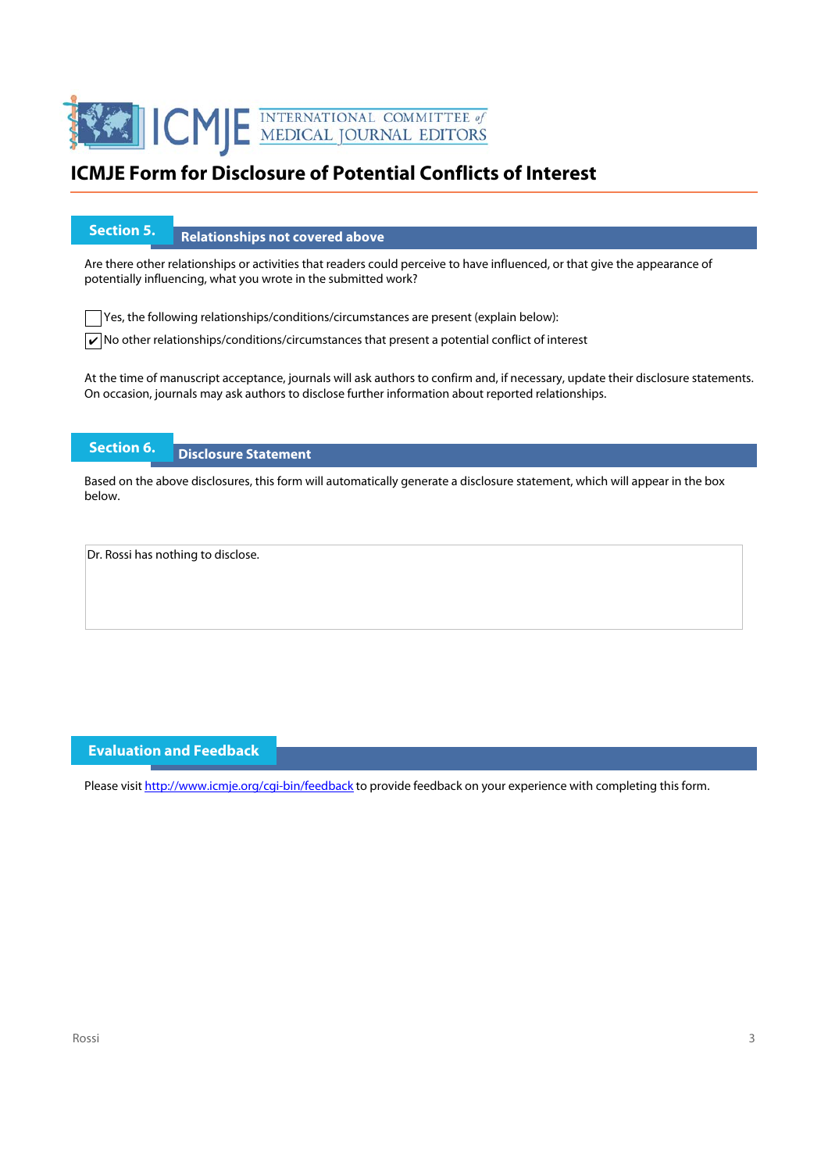

## **Section 5.** Relationships not covered above

Are there other relationships or activities that readers could perceive to have influenced, or that give the appearance of potentially influencing, what you wrote in the submitted work?

 $\Box$  Yes, the following relationships/conditions/circumstances are present (explain below):

 $\boxed{\mathbf{v}}$  No other relationships/conditions/circumstances that present a potential conflict of interest

At the time of manuscript acceptance, journals will ask authors to confirm and, if necessary, update their disclosure statements. On occasion, journals may ask authors to disclose further information about reported relationships.

## **Disclosure Statement Section 6.**

Based on the above disclosures, this form will automatically generate a disclosure statement, which will appear in the box below.

Dr. Rossi has nothing to disclose.

#### **Evaluation and Feedback**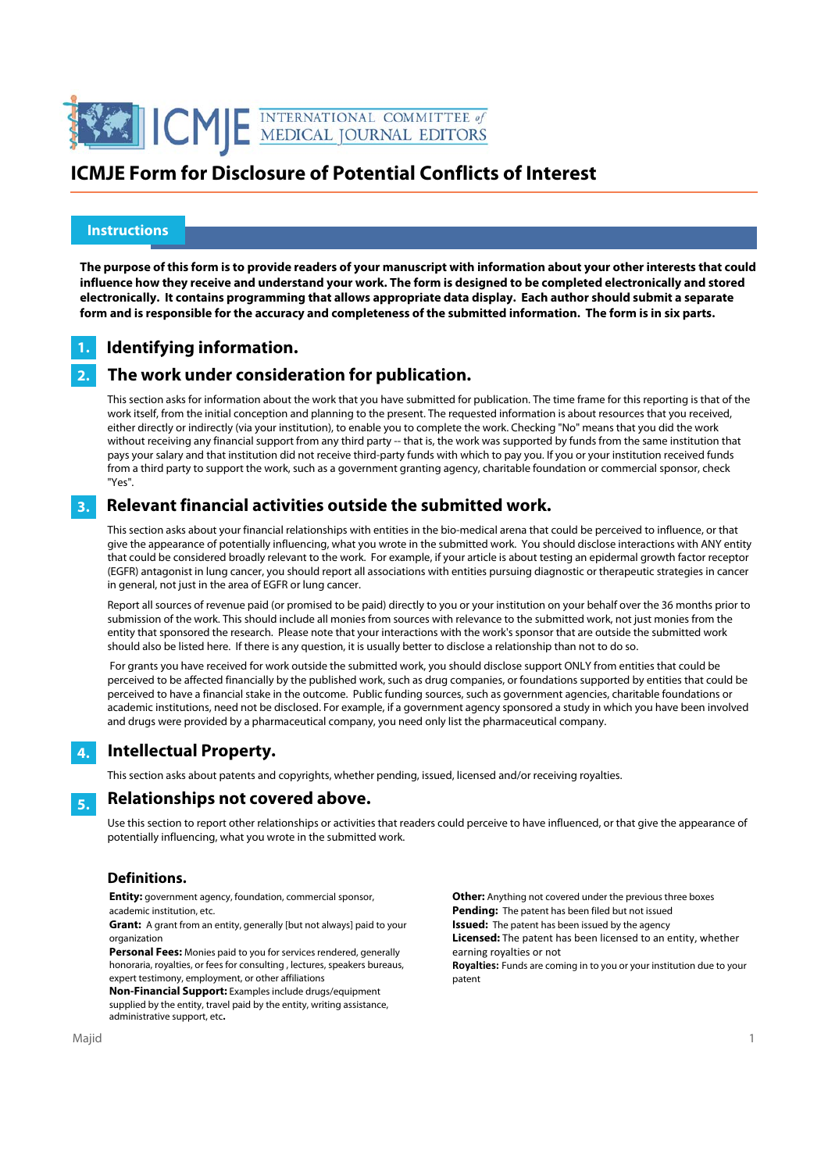

#### **Instructions**

**2.**

**The purpose of this form is to provide readers of your manuscript with information about your other interests that could influence how they receive and understand your work. The form is designed to be completed electronically and stored electronically. It contains programming that allows appropriate data display. Each author should submit a separate form and is responsible for the accuracy and completeness of the submitted information. The form is in six parts.** 

#### **Identifying information. 1.**

### **The work under consideration for publication.**

This section asks for information about the work that you have submitted for publication. The time frame for this reporting is that of the work itself, from the initial conception and planning to the present. The requested information is about resources that you received, either directly or indirectly (via your institution), to enable you to complete the work. Checking "No" means that you did the work without receiving any financial support from any third party -- that is, the work was supported by funds from the same institution that pays your salary and that institution did not receive third-party funds with which to pay you. If you or your institution received funds from a third party to support the work, such as a government granting agency, charitable foundation or commercial sponsor, check "Yes".

#### **Relevant financial activities outside the submitted work. 3.**

This section asks about your financial relationships with entities in the bio-medical arena that could be perceived to influence, or that give the appearance of potentially influencing, what you wrote in the submitted work. You should disclose interactions with ANY entity that could be considered broadly relevant to the work. For example, if your article is about testing an epidermal growth factor receptor (EGFR) antagonist in lung cancer, you should report all associations with entities pursuing diagnostic or therapeutic strategies in cancer in general, not just in the area of EGFR or lung cancer.

Report all sources of revenue paid (or promised to be paid) directly to you or your institution on your behalf over the 36 months prior to submission of the work. This should include all monies from sources with relevance to the submitted work, not just monies from the entity that sponsored the research. Please note that your interactions with the work's sponsor that are outside the submitted work should also be listed here. If there is any question, it is usually better to disclose a relationship than not to do so.

 For grants you have received for work outside the submitted work, you should disclose support ONLY from entities that could be perceived to be affected financially by the published work, such as drug companies, or foundations supported by entities that could be perceived to have a financial stake in the outcome. Public funding sources, such as government agencies, charitable foundations or academic institutions, need not be disclosed. For example, if a government agency sponsored a study in which you have been involved and drugs were provided by a pharmaceutical company, you need only list the pharmaceutical company.

### **Intellectual Property.**

This section asks about patents and copyrights, whether pending, issued, licensed and/or receiving royalties.

#### **Relationships not covered above.**

Use this section to report other relationships or activities that readers could perceive to have influenced, or that give the appearance of potentially influencing, what you wrote in the submitted work.

### **Definitions.**

**Entity:** government agency, foundation, commercial sponsor, academic institution, etc.

**Grant:** A grant from an entity, generally [but not always] paid to your organization

**Personal Fees:** Monies paid to you for services rendered, generally honoraria, royalties, or fees for consulting , lectures, speakers bureaus, expert testimony, employment, or other affiliations

**Non-Financial Support:** Examples include drugs/equipment supplied by the entity, travel paid by the entity, writing assistance, administrative support, etc**.**

**Other:** Anything not covered under the previous three boxes **Pending:** The patent has been filed but not issued **Issued:** The patent has been issued by the agency **Licensed:** The patent has been licensed to an entity, whether earning royalties or not **Royalties:** Funds are coming in to you or your institution due to your patent

**4.**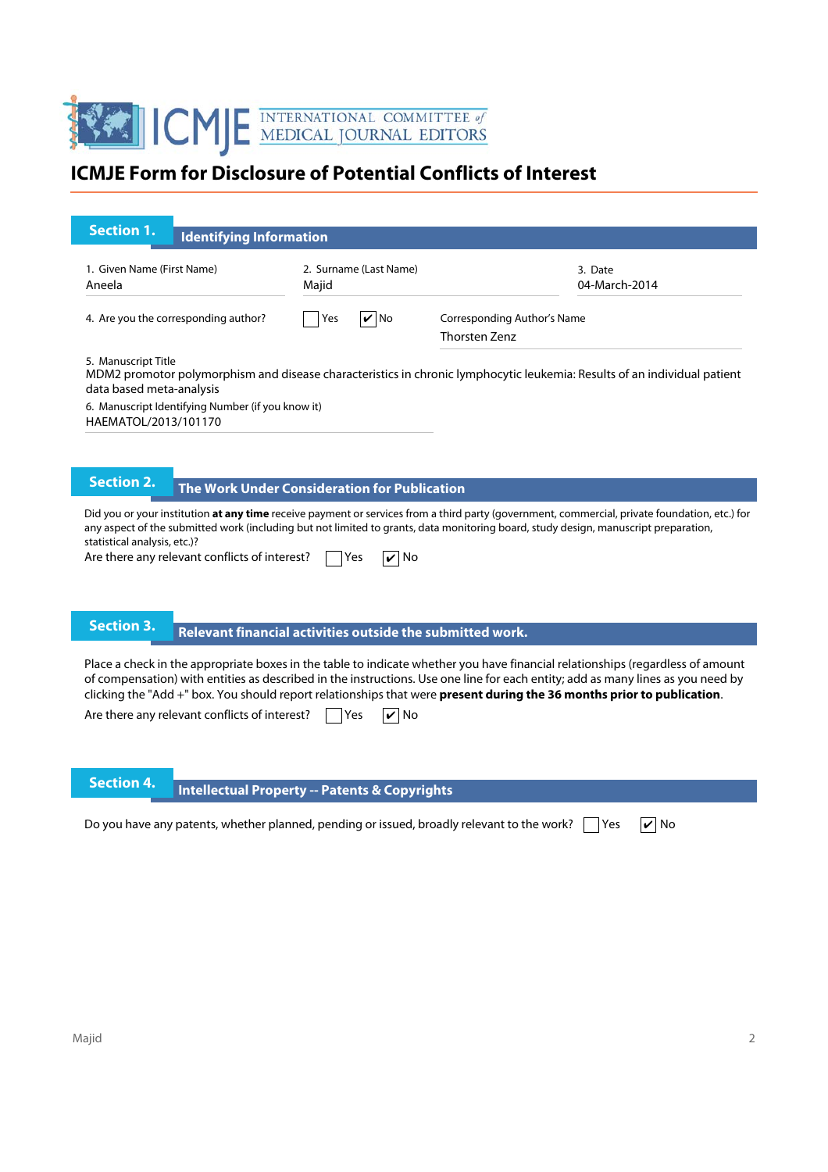

| <b>Section 1.</b>                                                                                                                                                                                                                                                                                                                                                                                                                                                          | <b>Identifying Information</b>                    |                                                           |                                                                                                                          |  |  |
|----------------------------------------------------------------------------------------------------------------------------------------------------------------------------------------------------------------------------------------------------------------------------------------------------------------------------------------------------------------------------------------------------------------------------------------------------------------------------|---------------------------------------------------|-----------------------------------------------------------|--------------------------------------------------------------------------------------------------------------------------|--|--|
| 1. Given Name (First Name)<br>Aneela                                                                                                                                                                                                                                                                                                                                                                                                                                       |                                                   | 2. Surname (Last Name)<br>Majid                           | 3. Date<br>04-March-2014                                                                                                 |  |  |
| 4. Are you the corresponding author?                                                                                                                                                                                                                                                                                                                                                                                                                                       |                                                   | ∣✔│No<br>Yes                                              | Corresponding Author's Name<br><b>Thorsten Zenz</b>                                                                      |  |  |
| 5. Manuscript Title<br>data based meta-analysis                                                                                                                                                                                                                                                                                                                                                                                                                            |                                                   |                                                           | MDM2 promotor polymorphism and disease characteristics in chronic lymphocytic leukemia: Results of an individual patient |  |  |
| HAEMATOL/2013/101170                                                                                                                                                                                                                                                                                                                                                                                                                                                       | 6. Manuscript Identifying Number (if you know it) |                                                           |                                                                                                                          |  |  |
|                                                                                                                                                                                                                                                                                                                                                                                                                                                                            |                                                   |                                                           |                                                                                                                          |  |  |
| <b>Section 2.</b>                                                                                                                                                                                                                                                                                                                                                                                                                                                          |                                                   | The Work Under Consideration for Publication              |                                                                                                                          |  |  |
| Did you or your institution at any time receive payment or services from a third party (government, commercial, private foundation, etc.) for<br>any aspect of the submitted work (including but not limited to grants, data monitoring board, study design, manuscript preparation,<br>statistical analysis, etc.)?<br>Are there any relevant conflicts of interest?<br>$\mathbf{v}$ No<br>Yes                                                                            |                                                   |                                                           |                                                                                                                          |  |  |
|                                                                                                                                                                                                                                                                                                                                                                                                                                                                            |                                                   |                                                           |                                                                                                                          |  |  |
| <b>Section 3.</b>                                                                                                                                                                                                                                                                                                                                                                                                                                                          |                                                   | Relevant financial activities outside the submitted work. |                                                                                                                          |  |  |
| Place a check in the appropriate boxes in the table to indicate whether you have financial relationships (regardless of amount<br>of compensation) with entities as described in the instructions. Use one line for each entity; add as many lines as you need by<br>clicking the "Add +" box. You should report relationships that were present during the 36 months prior to publication.<br>Are there any relevant conflicts of interest?<br>  No<br>$\mathbf v$<br>Yes |                                                   |                                                           |                                                                                                                          |  |  |
|                                                                                                                                                                                                                                                                                                                                                                                                                                                                            |                                                   |                                                           |                                                                                                                          |  |  |
| <b>Section 4.</b>                                                                                                                                                                                                                                                                                                                                                                                                                                                          |                                                   | <b>Intellectual Property -- Patents &amp; Copyrights</b>  |                                                                                                                          |  |  |
|                                                                                                                                                                                                                                                                                                                                                                                                                                                                            |                                                   |                                                           | Do you have any patents, whether planned, pending or issued, broadly relevant to the work?<br>Yes<br>$\mathbf{v}$ No     |  |  |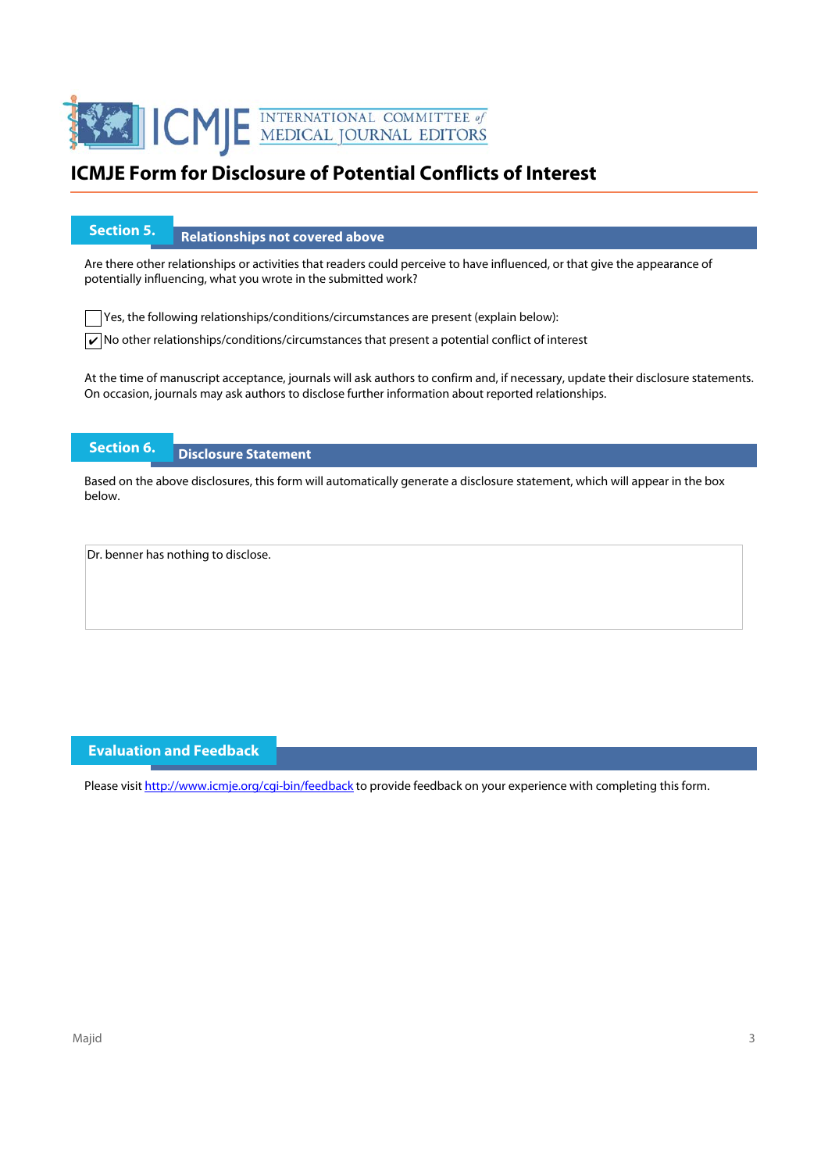

## **Section 5.** Relationships not covered above

Are there other relationships or activities that readers could perceive to have influenced, or that give the appearance of potentially influencing, what you wrote in the submitted work?

 $\Box$  Yes, the following relationships/conditions/circumstances are present (explain below):

 $\boxed{\mathbf{v}}$  No other relationships/conditions/circumstances that present a potential conflict of interest

At the time of manuscript acceptance, journals will ask authors to confirm and, if necessary, update their disclosure statements. On occasion, journals may ask authors to disclose further information about reported relationships.

## **Disclosure Statement Section 6.**

Based on the above disclosures, this form will automatically generate a disclosure statement, which will appear in the box below.

Dr. benner has nothing to disclose.

### **Evaluation and Feedback**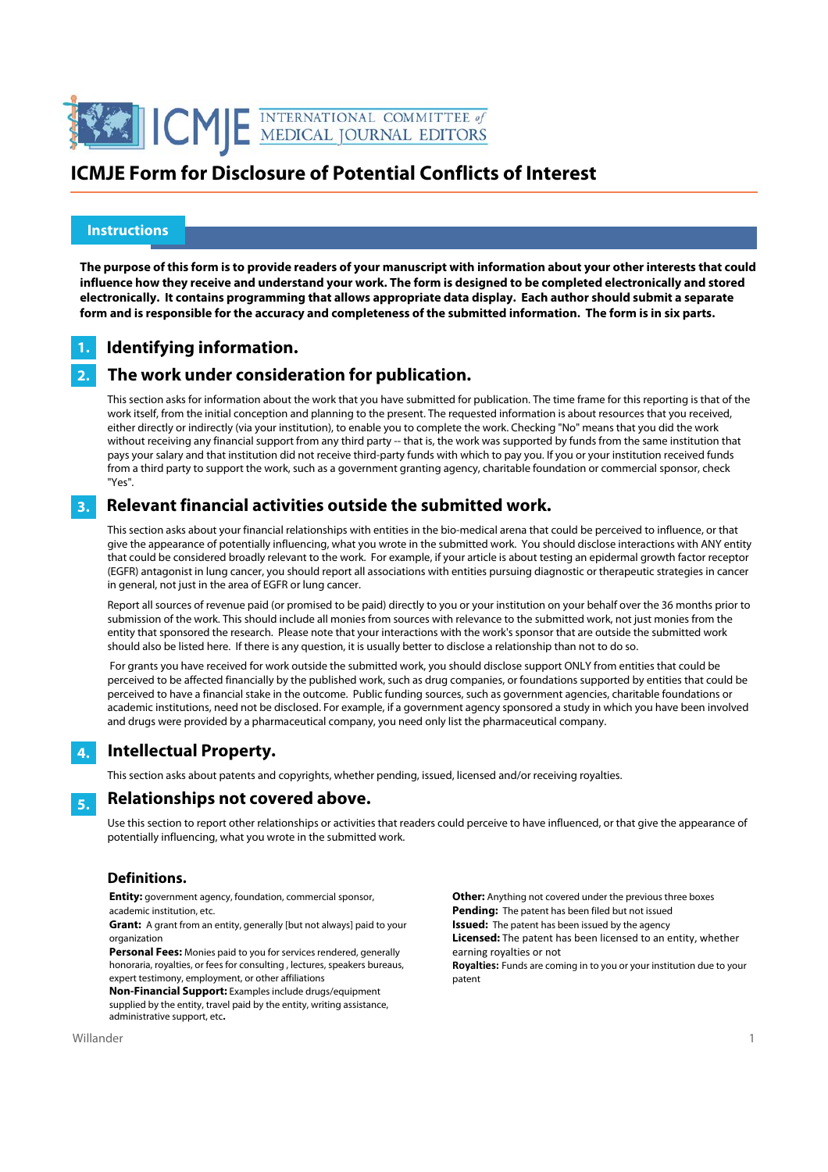

#### **Instructions**

**2.**

**The purpose of this form is to provide readers of your manuscript with information about your other interests that could influence how they receive and understand your work. The form is designed to be completed electronically and stored electronically. It contains programming that allows appropriate data display. Each author should submit a separate form and is responsible for the accuracy and completeness of the submitted information. The form is in six parts.** 

#### **Identifying information. 1.**

### **The work under consideration for publication.**

This section asks for information about the work that you have submitted for publication. The time frame for this reporting is that of the work itself, from the initial conception and planning to the present. The requested information is about resources that you received, either directly or indirectly (via your institution), to enable you to complete the work. Checking "No" means that you did the work without receiving any financial support from any third party -- that is, the work was supported by funds from the same institution that pays your salary and that institution did not receive third-party funds with which to pay you. If you or your institution received funds from a third party to support the work, such as a government granting agency, charitable foundation or commercial sponsor, check "Yes".

#### **Relevant financial activities outside the submitted work. 3.**

This section asks about your financial relationships with entities in the bio-medical arena that could be perceived to influence, or that give the appearance of potentially influencing, what you wrote in the submitted work. You should disclose interactions with ANY entity that could be considered broadly relevant to the work. For example, if your article is about testing an epidermal growth factor receptor (EGFR) antagonist in lung cancer, you should report all associations with entities pursuing diagnostic or therapeutic strategies in cancer in general, not just in the area of EGFR or lung cancer.

Report all sources of revenue paid (or promised to be paid) directly to you or your institution on your behalf over the 36 months prior to submission of the work. This should include all monies from sources with relevance to the submitted work, not just monies from the entity that sponsored the research. Please note that your interactions with the work's sponsor that are outside the submitted work should also be listed here. If there is any question, it is usually better to disclose a relationship than not to do so.

 For grants you have received for work outside the submitted work, you should disclose support ONLY from entities that could be perceived to be affected financially by the published work, such as drug companies, or foundations supported by entities that could be perceived to have a financial stake in the outcome. Public funding sources, such as government agencies, charitable foundations or academic institutions, need not be disclosed. For example, if a government agency sponsored a study in which you have been involved and drugs were provided by a pharmaceutical company, you need only list the pharmaceutical company.

### **Intellectual Property.**

This section asks about patents and copyrights, whether pending, issued, licensed and/or receiving royalties.

#### **Relationships not covered above.**

Use this section to report other relationships or activities that readers could perceive to have influenced, or that give the appearance of potentially influencing, what you wrote in the submitted work.

#### **Definitions.**

**Entity:** government agency, foundation, commercial sponsor, academic institution, etc.

**Grant:** A grant from an entity, generally [but not always] paid to your organization

**Personal Fees:** Monies paid to you for services rendered, generally honoraria, royalties, or fees for consulting , lectures, speakers bureaus, expert testimony, employment, or other affiliations

**Non-Financial Support:** Examples include drugs/equipment supplied by the entity, travel paid by the entity, writing assistance, administrative support, etc**.**

**Other:** Anything not covered under the previous three boxes **Pending:** The patent has been filed but not issued **Issued:** The patent has been issued by the agency **Licensed:** The patent has been licensed to an entity, whether earning royalties or not **Royalties:** Funds are coming in to you or your institution due to your patent

Willander 1

**4.**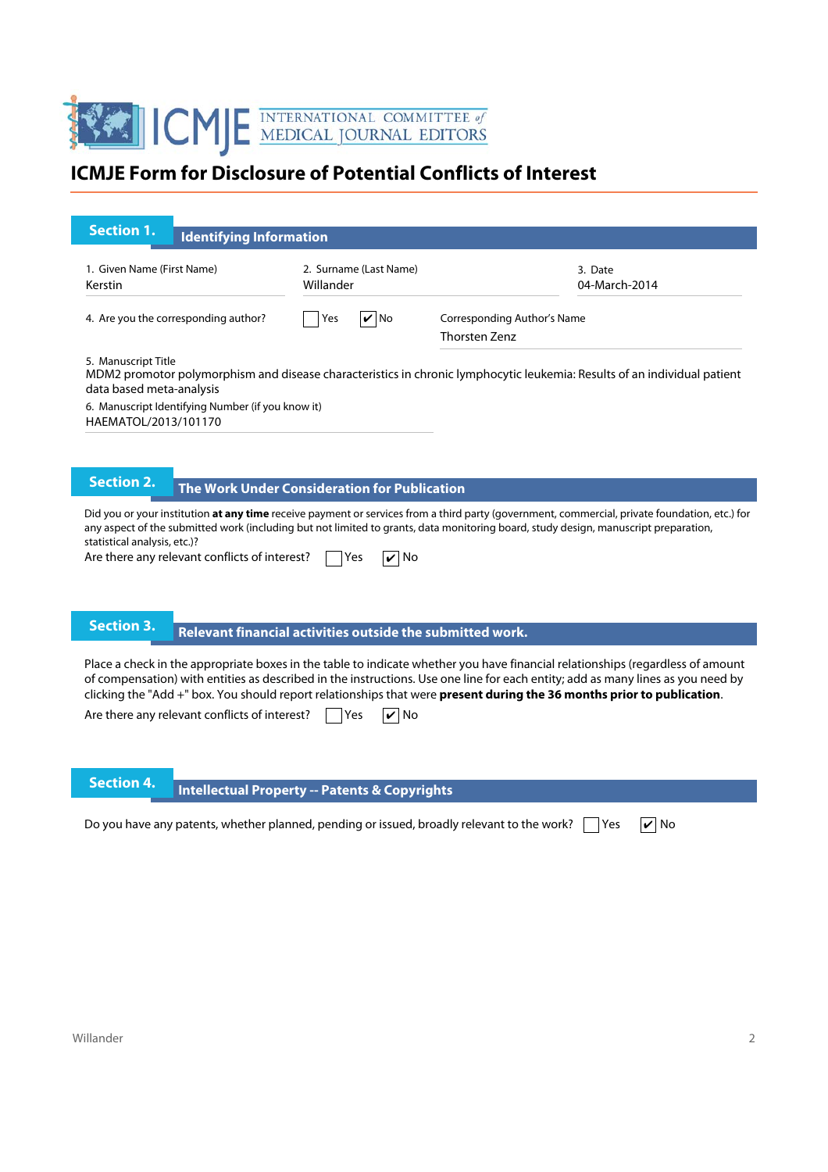

| <b>Section 1.</b>                                                                                                                                                                                                                                                                                                                                                                                                                                              | <b>Identifying Information</b>                    |                                                           |                                                                                                                          |  |  |  |
|----------------------------------------------------------------------------------------------------------------------------------------------------------------------------------------------------------------------------------------------------------------------------------------------------------------------------------------------------------------------------------------------------------------------------------------------------------------|---------------------------------------------------|-----------------------------------------------------------|--------------------------------------------------------------------------------------------------------------------------|--|--|--|
| 1. Given Name (First Name)<br>Kerstin                                                                                                                                                                                                                                                                                                                                                                                                                          |                                                   | 2. Surname (Last Name)<br>Willander                       | 3. Date<br>04-March-2014                                                                                                 |  |  |  |
|                                                                                                                                                                                                                                                                                                                                                                                                                                                                | 4. Are you the corresponding author?              | $\mathbf{v}$ No<br>Yes                                    | Corresponding Author's Name<br><b>Thorsten Zenz</b>                                                                      |  |  |  |
| 5. Manuscript Title<br>data based meta-analysis                                                                                                                                                                                                                                                                                                                                                                                                                |                                                   |                                                           | MDM2 promotor polymorphism and disease characteristics in chronic lymphocytic leukemia: Results of an individual patient |  |  |  |
| HAEMATOL/2013/101170                                                                                                                                                                                                                                                                                                                                                                                                                                           | 6. Manuscript Identifying Number (if you know it) |                                                           |                                                                                                                          |  |  |  |
|                                                                                                                                                                                                                                                                                                                                                                                                                                                                |                                                   |                                                           |                                                                                                                          |  |  |  |
| <b>Section 2.</b>                                                                                                                                                                                                                                                                                                                                                                                                                                              |                                                   | The Work Under Consideration for Publication              |                                                                                                                          |  |  |  |
| Did you or your institution at any time receive payment or services from a third party (government, commercial, private foundation, etc.) for<br>any aspect of the submitted work (including but not limited to grants, data monitoring board, study design, manuscript preparation,<br>statistical analysis, etc.)?<br>Are there any relevant conflicts of interest?<br>No<br>Yes<br>$\boldsymbol{\mathcal{U}}$                                               |                                                   |                                                           |                                                                                                                          |  |  |  |
|                                                                                                                                                                                                                                                                                                                                                                                                                                                                |                                                   |                                                           |                                                                                                                          |  |  |  |
| <b>Section 3.</b>                                                                                                                                                                                                                                                                                                                                                                                                                                              |                                                   | Relevant financial activities outside the submitted work. |                                                                                                                          |  |  |  |
| Place a check in the appropriate boxes in the table to indicate whether you have financial relationships (regardless of amount<br>of compensation) with entities as described in the instructions. Use one line for each entity; add as many lines as you need by<br>clicking the "Add +" box. You should report relationships that were present during the 36 months prior to publication.<br>Are there any relevant conflicts of interest?<br>No<br>Yes<br>V |                                                   |                                                           |                                                                                                                          |  |  |  |
|                                                                                                                                                                                                                                                                                                                                                                                                                                                                |                                                   |                                                           |                                                                                                                          |  |  |  |
| <b>Section 4.</b>                                                                                                                                                                                                                                                                                                                                                                                                                                              |                                                   | <b>Intellectual Property -- Patents &amp; Copyrights</b>  |                                                                                                                          |  |  |  |
|                                                                                                                                                                                                                                                                                                                                                                                                                                                                |                                                   |                                                           | Do you have any patents, whether planned, pending or issued, broadly relevant to the work?<br>Yes<br>$\mathbf{v}$ No     |  |  |  |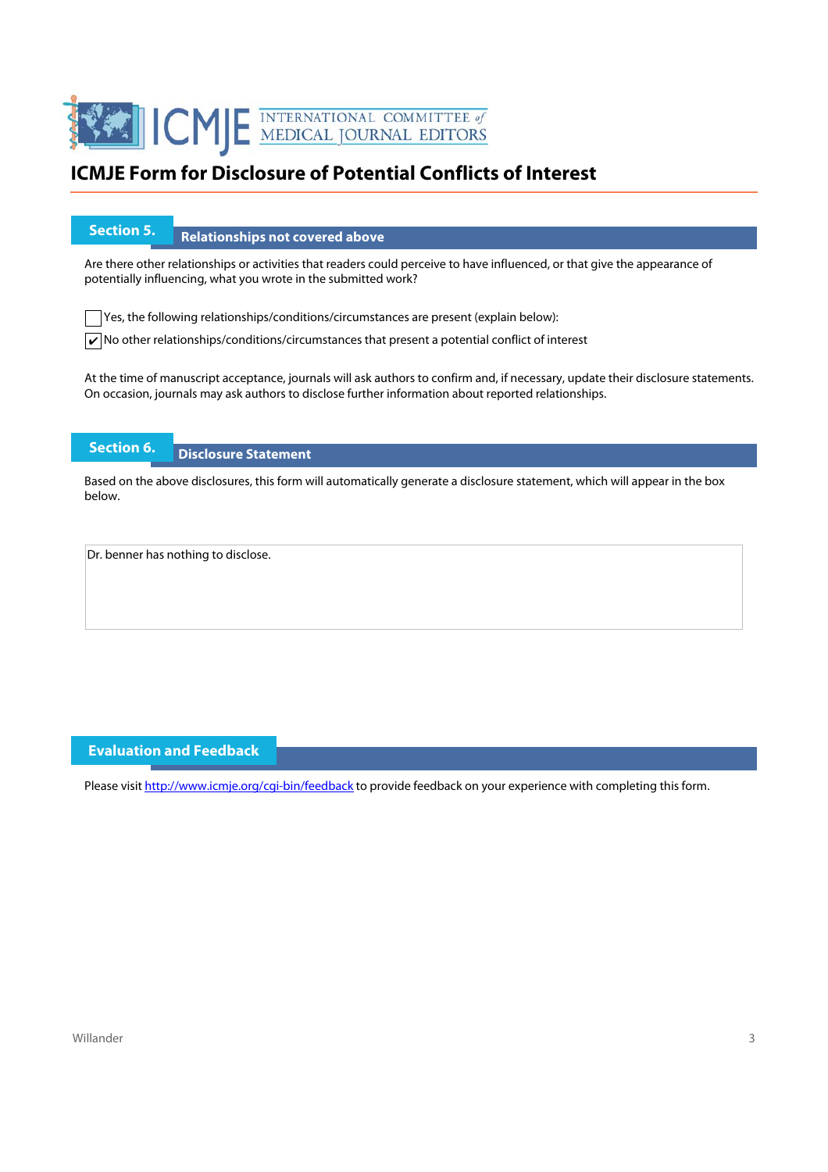

## **Section 5.** Relationships not covered above

Are there other relationships or activities that readers could perceive to have influenced, or that give the appearance of potentially influencing, what you wrote in the submitted work?

 $\Box$  Yes, the following relationships/conditions/circumstances are present (explain below):

 $\boxed{\mathbf{v}}$  No other relationships/conditions/circumstances that present a potential conflict of interest

At the time of manuscript acceptance, journals will ask authors to confirm and, if necessary, update their disclosure statements. On occasion, journals may ask authors to disclose further information about reported relationships.

## **Disclosure Statement Section 6.**

Based on the above disclosures, this form will automatically generate a disclosure statement, which will appear in the box below.

Dr. benner has nothing to disclose.

### **Evaluation and Feedback**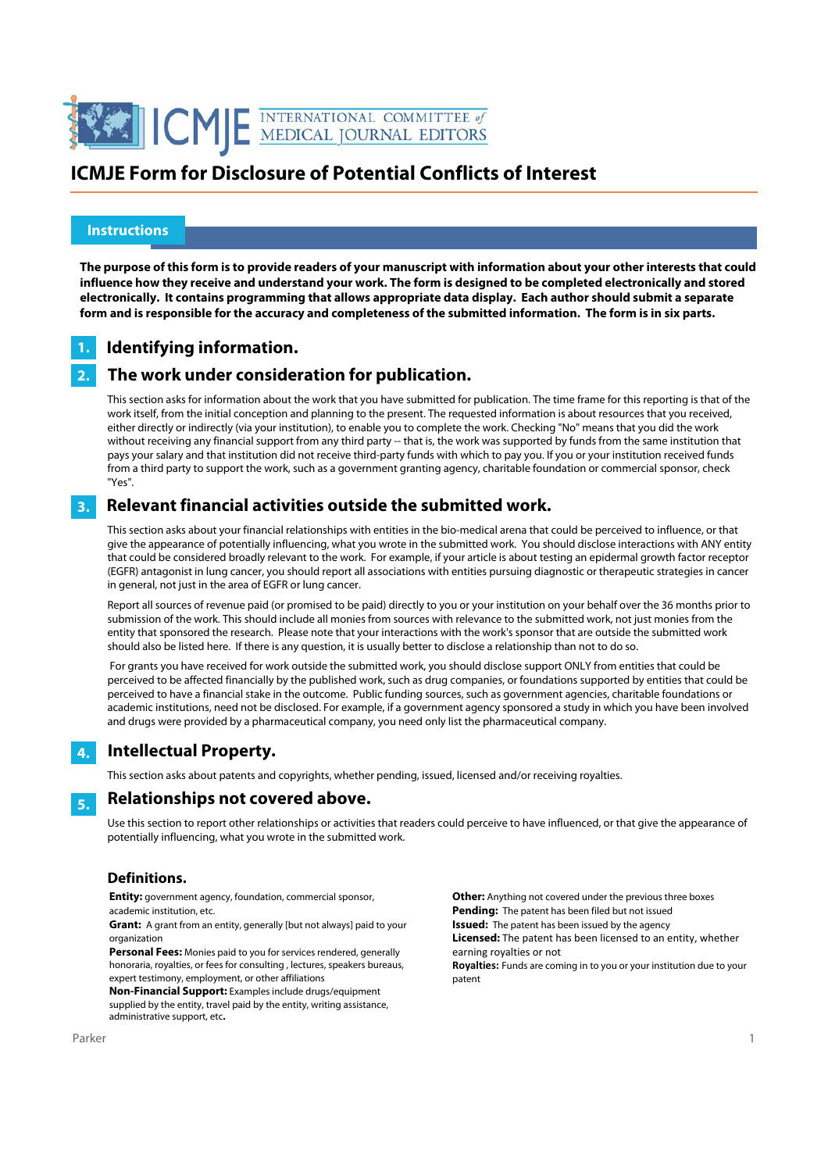

#### **Instructions**

**2.**

**The purpose of this form is to provide readers of your manuscript with information about your other interests that could influence how they receive and understand your work. The form is designed to be completed electronically and stored electronically. It contains programming that allows appropriate data display. Each author should submit a separate form and is responsible for the accuracy and completeness of the submitted information. The form is in six parts.** 

#### **Identifying information. 1.**

### **The work under consideration for publication.**

This section asks for information about the work that you have submitted for publication. The time frame for this reporting is that of the work itself, from the initial conception and planning to the present. The requested information is about resources that you received, either directly or indirectly (via your institution), to enable you to complete the work. Checking "No" means that you did the work without receiving any financial support from any third party -- that is, the work was supported by funds from the same institution that pays your salary and that institution did not receive third-party funds with which to pay you. If you or your institution received funds from a third party to support the work, such as a government granting agency, charitable foundation or commercial sponsor, check "Yes".

#### **Relevant financial activities outside the submitted work. 3.**

This section asks about your financial relationships with entities in the bio-medical arena that could be perceived to influence, or that give the appearance of potentially influencing, what you wrote in the submitted work. You should disclose interactions with ANY entity that could be considered broadly relevant to the work. For example, if your article is about testing an epidermal growth factor receptor (EGFR) antagonist in lung cancer, you should report all associations with entities pursuing diagnostic or therapeutic strategies in cancer in general, not just in the area of EGFR or lung cancer.

Report all sources of revenue paid (or promised to be paid) directly to you or your institution on your behalf over the 36 months prior to submission of the work. This should include all monies from sources with relevance to the submitted work, not just monies from the entity that sponsored the research. Please note that your interactions with the work's sponsor that are outside the submitted work should also be listed here. If there is any question, it is usually better to disclose a relationship than not to do so.

 For grants you have received for work outside the submitted work, you should disclose support ONLY from entities that could be perceived to be affected financially by the published work, such as drug companies, or foundations supported by entities that could be perceived to have a financial stake in the outcome. Public funding sources, such as government agencies, charitable foundations or academic institutions, need not be disclosed. For example, if a government agency sponsored a study in which you have been involved and drugs were provided by a pharmaceutical company, you need only list the pharmaceutical company.

### **Intellectual Property.**

This section asks about patents and copyrights, whether pending, issued, licensed and/or receiving royalties.

#### **Relationships not covered above.**

Use this section to report other relationships or activities that readers could perceive to have influenced, or that give the appearance of potentially influencing, what you wrote in the submitted work.

### **Definitions.**

**Entity:** government agency, foundation, commercial sponsor, academic institution, etc.

**Grant:** A grant from an entity, generally [but not always] paid to your organization

**Personal Fees:** Monies paid to you for services rendered, generally honoraria, royalties, or fees for consulting , lectures, speakers bureaus, expert testimony, employment, or other affiliations

**Non-Financial Support:** Examples include drugs/equipment supplied by the entity, travel paid by the entity, writing assistance, administrative support, etc**.**

**Other:** Anything not covered under the previous three boxes **Pending:** The patent has been filed but not issued **Issued:** The patent has been issued by the agency **Licensed:** The patent has been licensed to an entity, whether earning royalties or not **Royalties:** Funds are coming in to you or your institution due to your patent

Parker 1

**4.**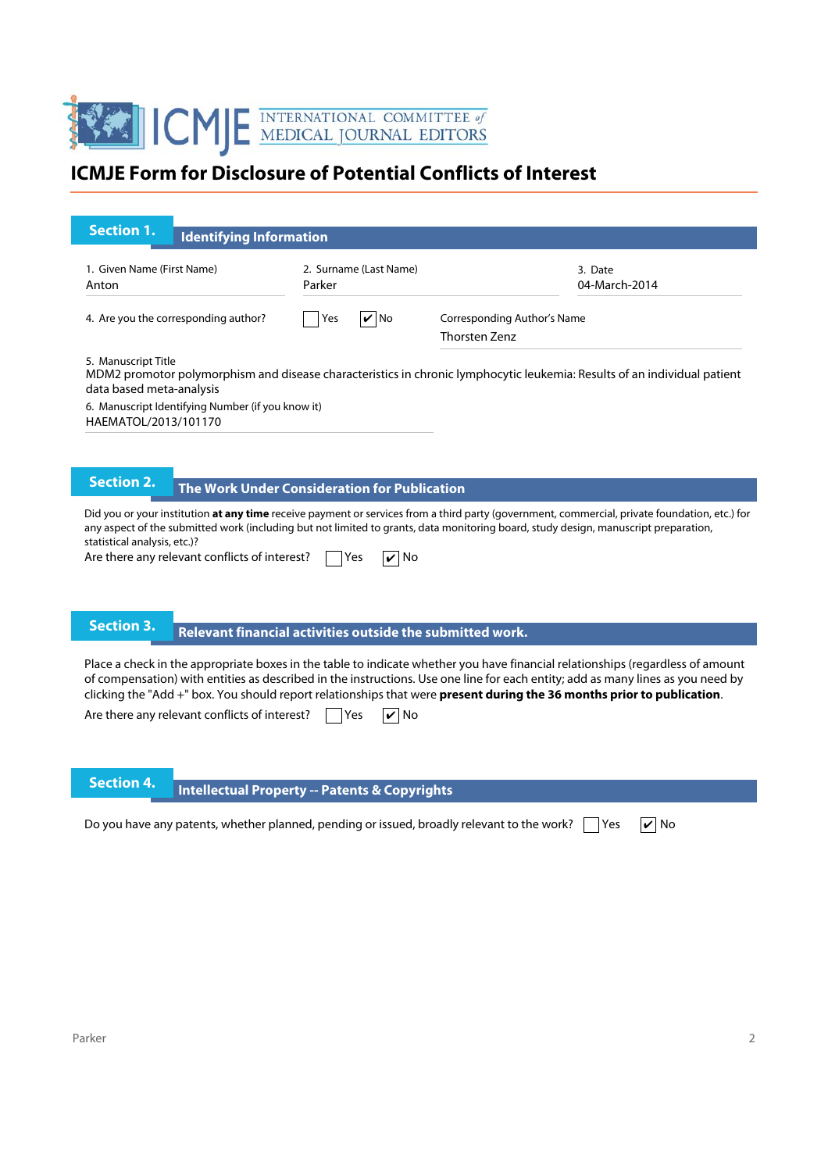

| <b>Section 1.</b>                                                                                                                                                                                                                                                                                                                                                                                                                                               | <b>Identifying Information</b>                    |                                                           |                                                                                                                          |  |  |
|-----------------------------------------------------------------------------------------------------------------------------------------------------------------------------------------------------------------------------------------------------------------------------------------------------------------------------------------------------------------------------------------------------------------------------------------------------------------|---------------------------------------------------|-----------------------------------------------------------|--------------------------------------------------------------------------------------------------------------------------|--|--|
| 1. Given Name (First Name)<br>Anton                                                                                                                                                                                                                                                                                                                                                                                                                             |                                                   | 2. Surname (Last Name)<br>Parker                          | 3. Date<br>04-March-2014                                                                                                 |  |  |
| 4. Are you the corresponding author?                                                                                                                                                                                                                                                                                                                                                                                                                            |                                                   | $\overline{\mathbf{v}}$ No<br>Yes                         | Corresponding Author's Name<br>Thorsten Zenz                                                                             |  |  |
| 5. Manuscript Title<br>data based meta-analysis                                                                                                                                                                                                                                                                                                                                                                                                                 |                                                   |                                                           | MDM2 promotor polymorphism and disease characteristics in chronic lymphocytic leukemia: Results of an individual patient |  |  |
| HAEMATOL/2013/101170                                                                                                                                                                                                                                                                                                                                                                                                                                            | 6. Manuscript Identifying Number (if you know it) |                                                           |                                                                                                                          |  |  |
|                                                                                                                                                                                                                                                                                                                                                                                                                                                                 |                                                   |                                                           |                                                                                                                          |  |  |
| <b>Section 2.</b>                                                                                                                                                                                                                                                                                                                                                                                                                                               |                                                   | The Work Under Consideration for Publication              |                                                                                                                          |  |  |
| Did you or your institution at any time receive payment or services from a third party (government, commercial, private foundation, etc.) for<br>any aspect of the submitted work (including but not limited to grants, data monitoring board, study design, manuscript preparation,<br>statistical analysis, etc.)?<br>Are there any relevant conflicts of interest?<br>$\overline{\mathbf{v}}$ No<br>Yes                                                      |                                                   |                                                           |                                                                                                                          |  |  |
|                                                                                                                                                                                                                                                                                                                                                                                                                                                                 |                                                   |                                                           |                                                                                                                          |  |  |
| <b>Section 3.</b>                                                                                                                                                                                                                                                                                                                                                                                                                                               |                                                   | Relevant financial activities outside the submitted work. |                                                                                                                          |  |  |
| Place a check in the appropriate boxes in the table to indicate whether you have financial relationships (regardless of amount<br>of compensation) with entities as described in the instructions. Use one line for each entity; add as many lines as you need by<br>clicking the "Add +" box. You should report relationships that were present during the 36 months prior to publication.<br>Are there any relevant conflicts of interest?<br>$\nu$ No<br>Yes |                                                   |                                                           |                                                                                                                          |  |  |
|                                                                                                                                                                                                                                                                                                                                                                                                                                                                 |                                                   |                                                           |                                                                                                                          |  |  |
| <b>Section 4.</b>                                                                                                                                                                                                                                                                                                                                                                                                                                               |                                                   | <b>Intellectual Property -- Patents &amp; Copyrights</b>  |                                                                                                                          |  |  |
|                                                                                                                                                                                                                                                                                                                                                                                                                                                                 |                                                   |                                                           | Do you have any patents, whether planned, pending or issued, broadly relevant to the work?<br>$\mathbf{v}$ No<br>Yes     |  |  |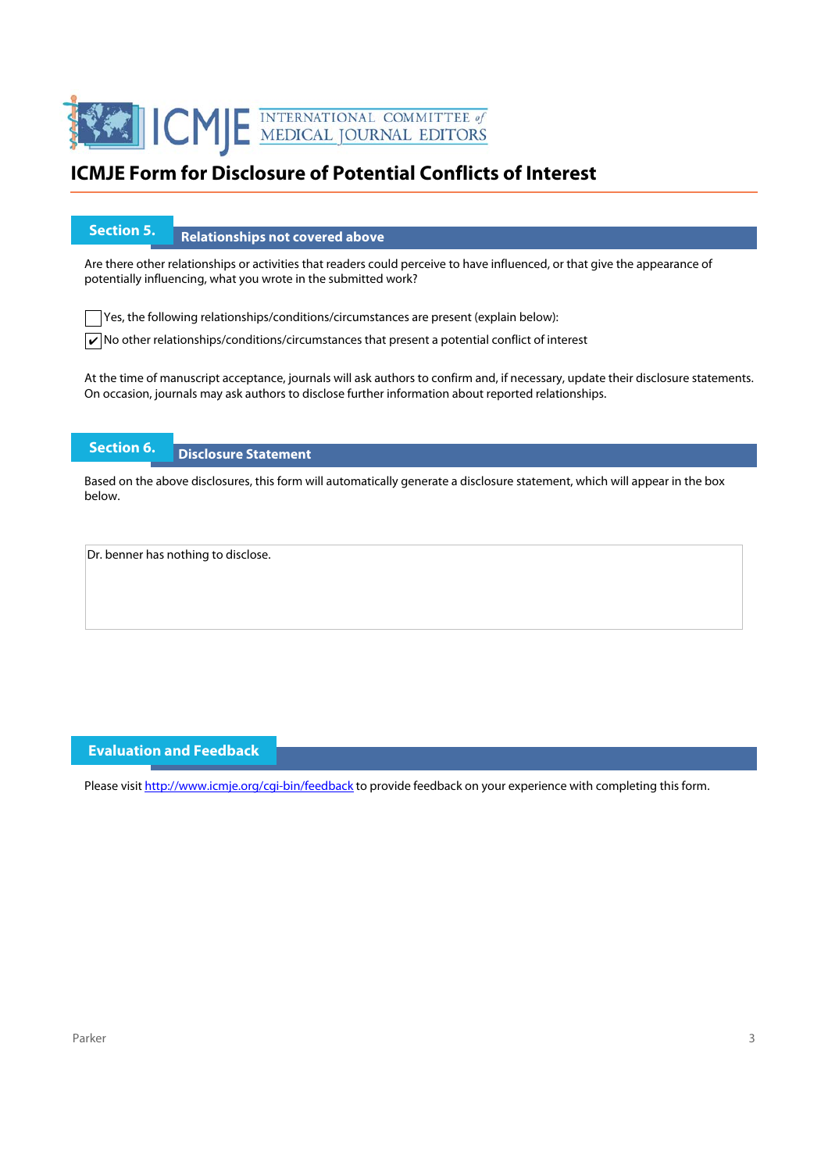

## **Section 5.** Relationships not covered above

Are there other relationships or activities that readers could perceive to have influenced, or that give the appearance of potentially influencing, what you wrote in the submitted work?

 $\Box$  Yes, the following relationships/conditions/circumstances are present (explain below):

 $\boxed{\mathbf{v}}$  No other relationships/conditions/circumstances that present a potential conflict of interest

At the time of manuscript acceptance, journals will ask authors to confirm and, if necessary, update their disclosure statements. On occasion, journals may ask authors to disclose further information about reported relationships.

## **Disclosure Statement Section 6.**

Based on the above disclosures, this form will automatically generate a disclosure statement, which will appear in the box below.

Dr. benner has nothing to disclose.

### **Evaluation and Feedback**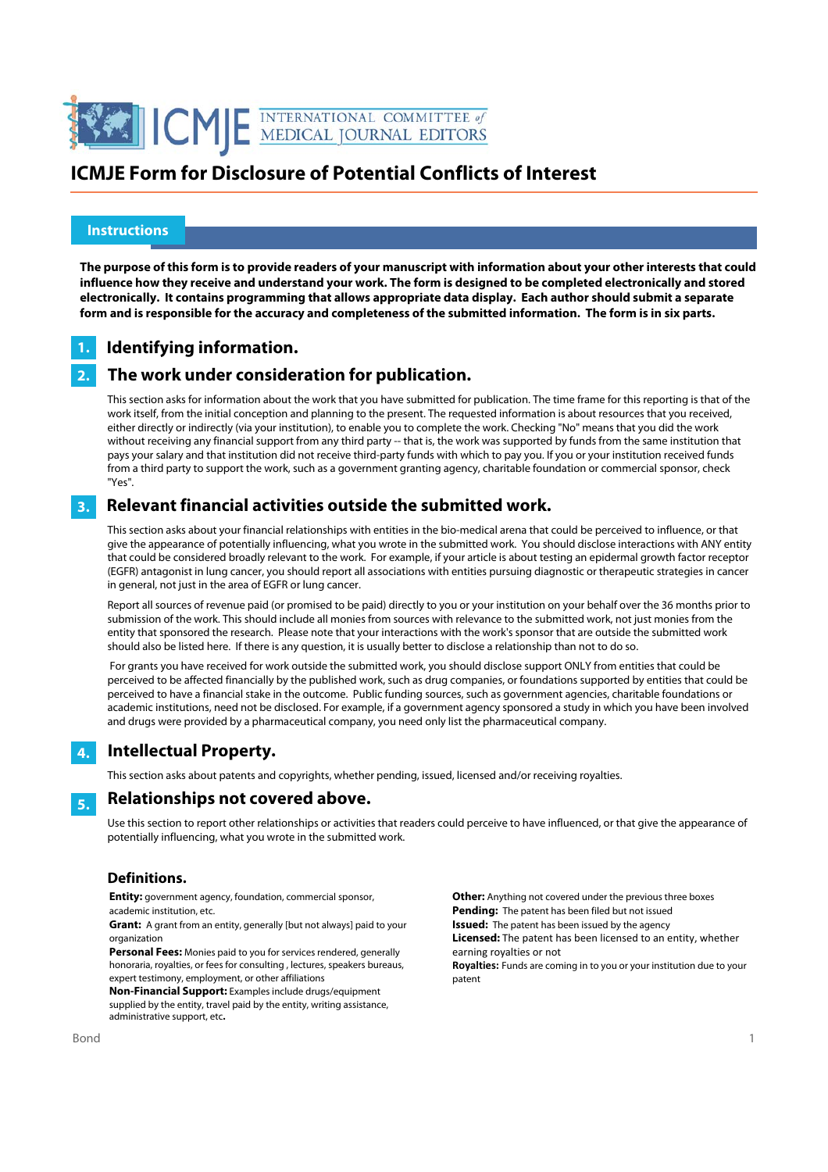

#### **Instructions**

**2.**

**The purpose of this form is to provide readers of your manuscript with information about your other interests that could influence how they receive and understand your work. The form is designed to be completed electronically and stored electronically. It contains programming that allows appropriate data display. Each author should submit a separate form and is responsible for the accuracy and completeness of the submitted information. The form is in six parts.** 

#### **Identifying information. 1.**

### **The work under consideration for publication.**

This section asks for information about the work that you have submitted for publication. The time frame for this reporting is that of the work itself, from the initial conception and planning to the present. The requested information is about resources that you received, either directly or indirectly (via your institution), to enable you to complete the work. Checking "No" means that you did the work without receiving any financial support from any third party -- that is, the work was supported by funds from the same institution that pays your salary and that institution did not receive third-party funds with which to pay you. If you or your institution received funds from a third party to support the work, such as a government granting agency, charitable foundation or commercial sponsor, check "Yes".

#### **Relevant financial activities outside the submitted work. 3.**

This section asks about your financial relationships with entities in the bio-medical arena that could be perceived to influence, or that give the appearance of potentially influencing, what you wrote in the submitted work. You should disclose interactions with ANY entity that could be considered broadly relevant to the work. For example, if your article is about testing an epidermal growth factor receptor (EGFR) antagonist in lung cancer, you should report all associations with entities pursuing diagnostic or therapeutic strategies in cancer in general, not just in the area of EGFR or lung cancer.

Report all sources of revenue paid (or promised to be paid) directly to you or your institution on your behalf over the 36 months prior to submission of the work. This should include all monies from sources with relevance to the submitted work, not just monies from the entity that sponsored the research. Please note that your interactions with the work's sponsor that are outside the submitted work should also be listed here. If there is any question, it is usually better to disclose a relationship than not to do so.

 For grants you have received for work outside the submitted work, you should disclose support ONLY from entities that could be perceived to be affected financially by the published work, such as drug companies, or foundations supported by entities that could be perceived to have a financial stake in the outcome. Public funding sources, such as government agencies, charitable foundations or academic institutions, need not be disclosed. For example, if a government agency sponsored a study in which you have been involved and drugs were provided by a pharmaceutical company, you need only list the pharmaceutical company.

### **Intellectual Property.**

This section asks about patents and copyrights, whether pending, issued, licensed and/or receiving royalties.

#### **Relationships not covered above.**

Use this section to report other relationships or activities that readers could perceive to have influenced, or that give the appearance of potentially influencing, what you wrote in the submitted work.

### **Definitions.**

**Entity:** government agency, foundation, commercial sponsor, academic institution, etc.

**Grant:** A grant from an entity, generally [but not always] paid to your organization

**Personal Fees:** Monies paid to you for services rendered, generally honoraria, royalties, or fees for consulting , lectures, speakers bureaus, expert testimony, employment, or other affiliations

**Non-Financial Support:** Examples include drugs/equipment supplied by the entity, travel paid by the entity, writing assistance, administrative support, etc**.**

**Other:** Anything not covered under the previous three boxes **Pending:** The patent has been filed but not issued **Issued:** The patent has been issued by the agency **Licensed:** The patent has been licensed to an entity, whether earning royalties or not **Royalties:** Funds are coming in to you or your institution due to your patent

**4.**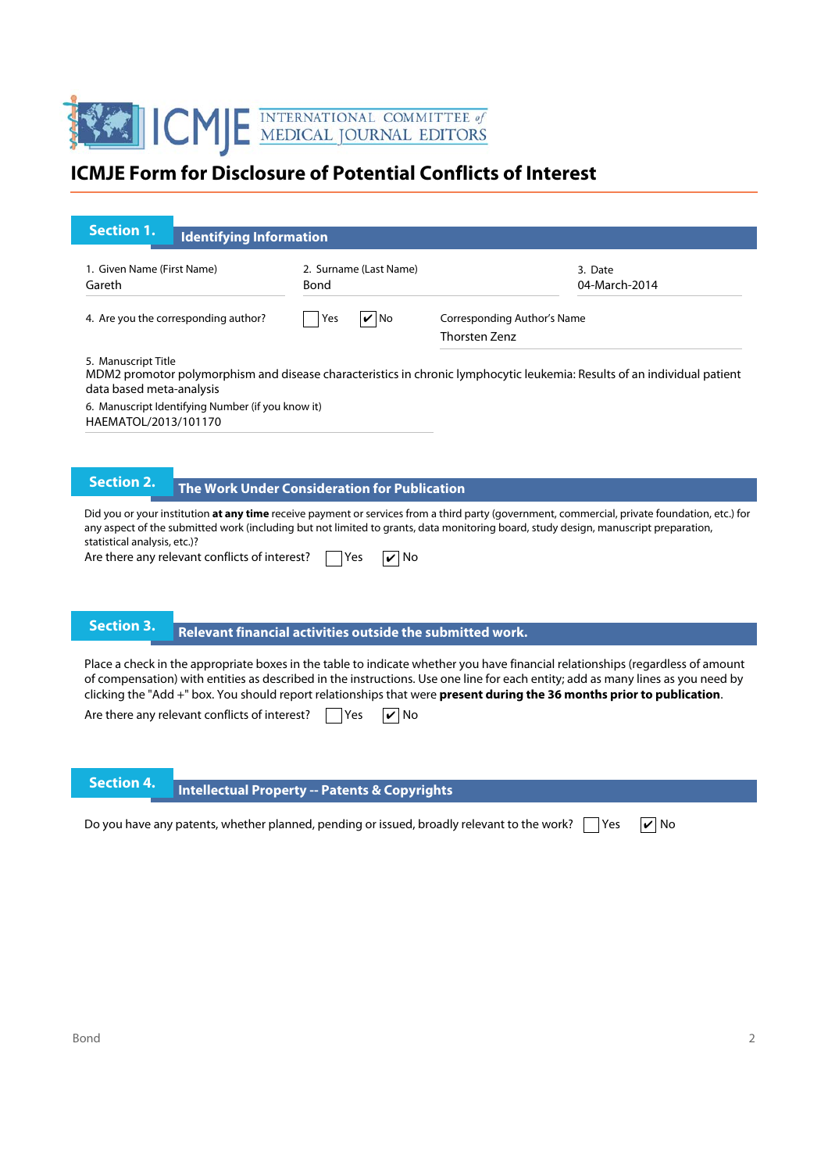

| <b>Section 1.</b>                                                                                                                                                                                                                                                                                                                                                                                                                                                | <b>Identifying Information</b>                    |                                                           |                                                                                            |                                                                                                                          |  |
|------------------------------------------------------------------------------------------------------------------------------------------------------------------------------------------------------------------------------------------------------------------------------------------------------------------------------------------------------------------------------------------------------------------------------------------------------------------|---------------------------------------------------|-----------------------------------------------------------|--------------------------------------------------------------------------------------------|--------------------------------------------------------------------------------------------------------------------------|--|
| 1. Given Name (First Name)<br>Gareth                                                                                                                                                                                                                                                                                                                                                                                                                             |                                                   | 2. Surname (Last Name)<br>Bond                            |                                                                                            | 3. Date<br>04-March-2014                                                                                                 |  |
|                                                                                                                                                                                                                                                                                                                                                                                                                                                                  | 4. Are you the corresponding author?              | ∣✔│No<br>Yes                                              | Corresponding Author's Name<br><b>Thorsten Zenz</b>                                        |                                                                                                                          |  |
| 5. Manuscript Title<br>data based meta-analysis                                                                                                                                                                                                                                                                                                                                                                                                                  |                                                   |                                                           |                                                                                            | MDM2 promotor polymorphism and disease characteristics in chronic lymphocytic leukemia: Results of an individual patient |  |
| HAEMATOL/2013/101170                                                                                                                                                                                                                                                                                                                                                                                                                                             | 6. Manuscript Identifying Number (if you know it) |                                                           |                                                                                            |                                                                                                                          |  |
|                                                                                                                                                                                                                                                                                                                                                                                                                                                                  |                                                   |                                                           |                                                                                            |                                                                                                                          |  |
| <b>Section 2.</b>                                                                                                                                                                                                                                                                                                                                                                                                                                                |                                                   | The Work Under Consideration for Publication              |                                                                                            |                                                                                                                          |  |
| Did you or your institution at any time receive payment or services from a third party (government, commercial, private foundation, etc.) for<br>any aspect of the submitted work (including but not limited to grants, data monitoring board, study design, manuscript preparation,<br>statistical analysis, etc.)?<br>Are there any relevant conflicts of interest?<br>$\mathbf{v}$ No<br>Yes                                                                  |                                                   |                                                           |                                                                                            |                                                                                                                          |  |
| <b>Section 3.</b>                                                                                                                                                                                                                                                                                                                                                                                                                                                |                                                   |                                                           |                                                                                            |                                                                                                                          |  |
|                                                                                                                                                                                                                                                                                                                                                                                                                                                                  |                                                   | Relevant financial activities outside the submitted work. |                                                                                            |                                                                                                                          |  |
| Place a check in the appropriate boxes in the table to indicate whether you have financial relationships (regardless of amount<br>of compensation) with entities as described in the instructions. Use one line for each entity; add as many lines as you need by<br>clicking the "Add +" box. You should report relationships that were present during the 36 months prior to publication.<br>Are there any relevant conflicts of interest?<br>  No<br>✓<br>Yes |                                                   |                                                           |                                                                                            |                                                                                                                          |  |
|                                                                                                                                                                                                                                                                                                                                                                                                                                                                  |                                                   |                                                           |                                                                                            |                                                                                                                          |  |
| <b>Section 4.</b>                                                                                                                                                                                                                                                                                                                                                                                                                                                |                                                   | <b>Intellectual Property -- Patents &amp; Copyrights</b>  |                                                                                            |                                                                                                                          |  |
|                                                                                                                                                                                                                                                                                                                                                                                                                                                                  |                                                   |                                                           | Do you have any patents, whether planned, pending or issued, broadly relevant to the work? | Yes<br>$\mathbf{v}$ No                                                                                                   |  |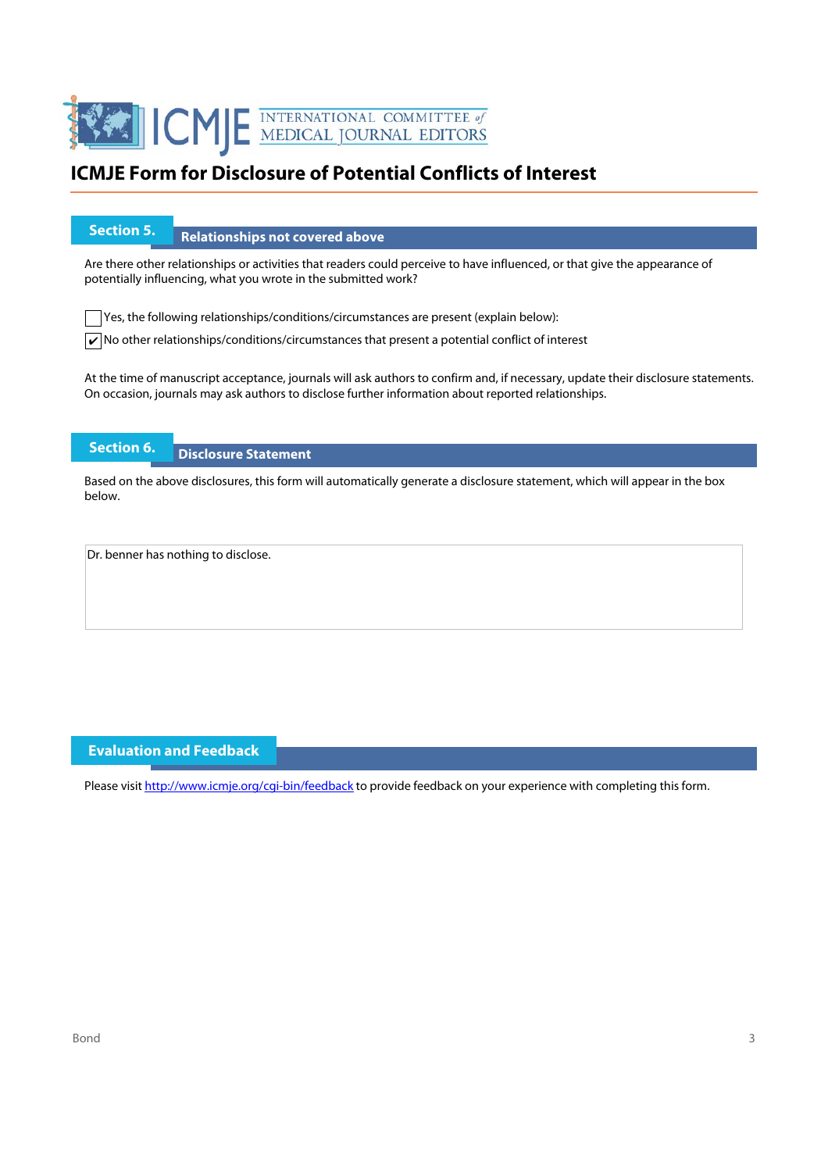

## **Section 5.** Relationships not covered above

Are there other relationships or activities that readers could perceive to have influenced, or that give the appearance of potentially influencing, what you wrote in the submitted work?

 $\Box$  Yes, the following relationships/conditions/circumstances are present (explain below):

 $\boxed{\mathbf{v}}$  No other relationships/conditions/circumstances that present a potential conflict of interest

At the time of manuscript acceptance, journals will ask authors to confirm and, if necessary, update their disclosure statements. On occasion, journals may ask authors to disclose further information about reported relationships.

## **Disclosure Statement Section 6.**

Based on the above disclosures, this form will automatically generate a disclosure statement, which will appear in the box below.

Dr. benner has nothing to disclose.

### **Evaluation and Feedback**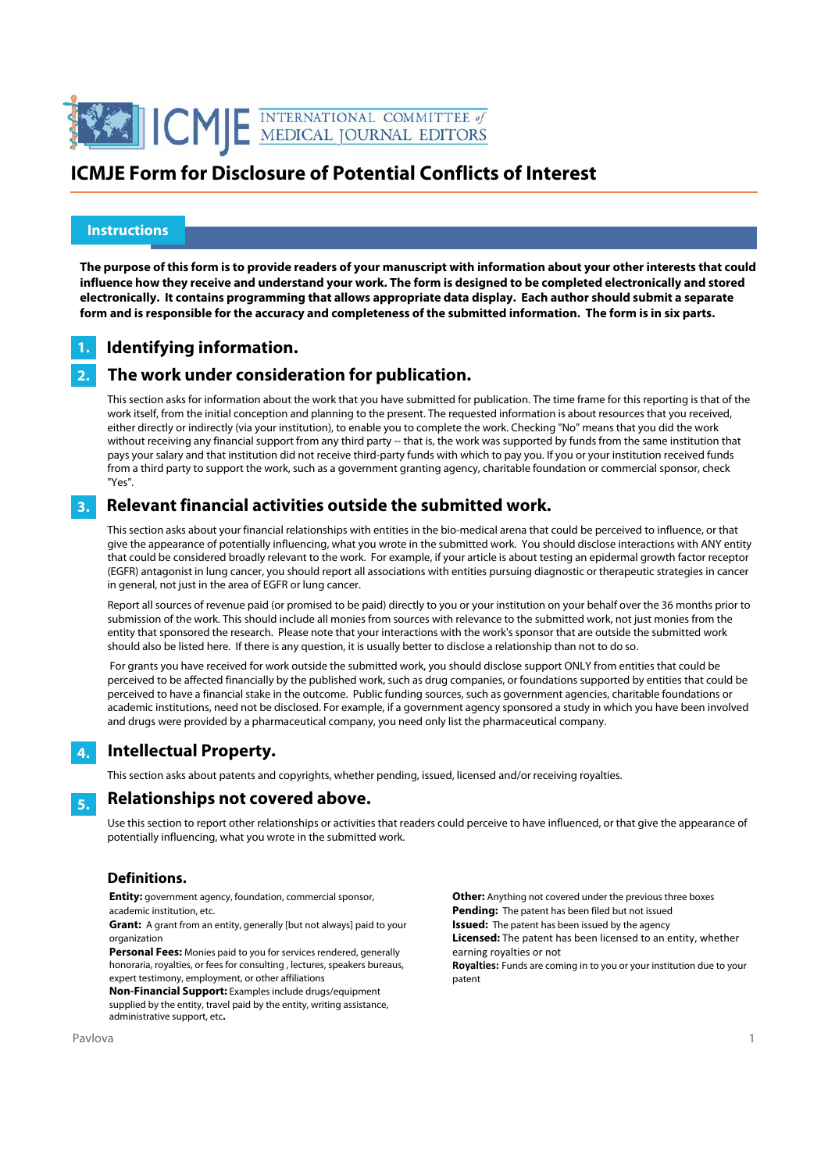

#### **Instructions**

**2.**

**The purpose of this form is to provide readers of your manuscript with information about your other interests that could influence how they receive and understand your work. The form is designed to be completed electronically and stored electronically. It contains programming that allows appropriate data display. Each author should submit a separate form and is responsible for the accuracy and completeness of the submitted information. The form is in six parts.** 

#### **Identifying information. 1.**

### **The work under consideration for publication.**

This section asks for information about the work that you have submitted for publication. The time frame for this reporting is that of the work itself, from the initial conception and planning to the present. The requested information is about resources that you received, either directly or indirectly (via your institution), to enable you to complete the work. Checking "No" means that you did the work without receiving any financial support from any third party -- that is, the work was supported by funds from the same institution that pays your salary and that institution did not receive third-party funds with which to pay you. If you or your institution received funds from a third party to support the work, such as a government granting agency, charitable foundation or commercial sponsor, check "Yes".

#### **Relevant financial activities outside the submitted work. 3.**

This section asks about your financial relationships with entities in the bio-medical arena that could be perceived to influence, or that give the appearance of potentially influencing, what you wrote in the submitted work. You should disclose interactions with ANY entity that could be considered broadly relevant to the work. For example, if your article is about testing an epidermal growth factor receptor (EGFR) antagonist in lung cancer, you should report all associations with entities pursuing diagnostic or therapeutic strategies in cancer in general, not just in the area of EGFR or lung cancer.

Report all sources of revenue paid (or promised to be paid) directly to you or your institution on your behalf over the 36 months prior to submission of the work. This should include all monies from sources with relevance to the submitted work, not just monies from the entity that sponsored the research. Please note that your interactions with the work's sponsor that are outside the submitted work should also be listed here. If there is any question, it is usually better to disclose a relationship than not to do so.

 For grants you have received for work outside the submitted work, you should disclose support ONLY from entities that could be perceived to be affected financially by the published work, such as drug companies, or foundations supported by entities that could be perceived to have a financial stake in the outcome. Public funding sources, such as government agencies, charitable foundations or academic institutions, need not be disclosed. For example, if a government agency sponsored a study in which you have been involved and drugs were provided by a pharmaceutical company, you need only list the pharmaceutical company.

### **Intellectual Property.**

This section asks about patents and copyrights, whether pending, issued, licensed and/or receiving royalties.

#### **Relationships not covered above.**

Use this section to report other relationships or activities that readers could perceive to have influenced, or that give the appearance of potentially influencing, what you wrote in the submitted work.

#### **Definitions.**

**Entity:** government agency, foundation, commercial sponsor, academic institution, etc.

**Grant:** A grant from an entity, generally [but not always] paid to your organization

**Personal Fees:** Monies paid to you for services rendered, generally honoraria, royalties, or fees for consulting , lectures, speakers bureaus, expert testimony, employment, or other affiliations

**Non-Financial Support:** Examples include drugs/equipment supplied by the entity, travel paid by the entity, writing assistance, administrative support, etc**.**

**Other:** Anything not covered under the previous three boxes **Pending:** The patent has been filed but not issued **Issued:** The patent has been issued by the agency **Licensed:** The patent has been licensed to an entity, whether earning royalties or not **Royalties:** Funds are coming in to you or your institution due to your patent

Pavlova 1

**4.**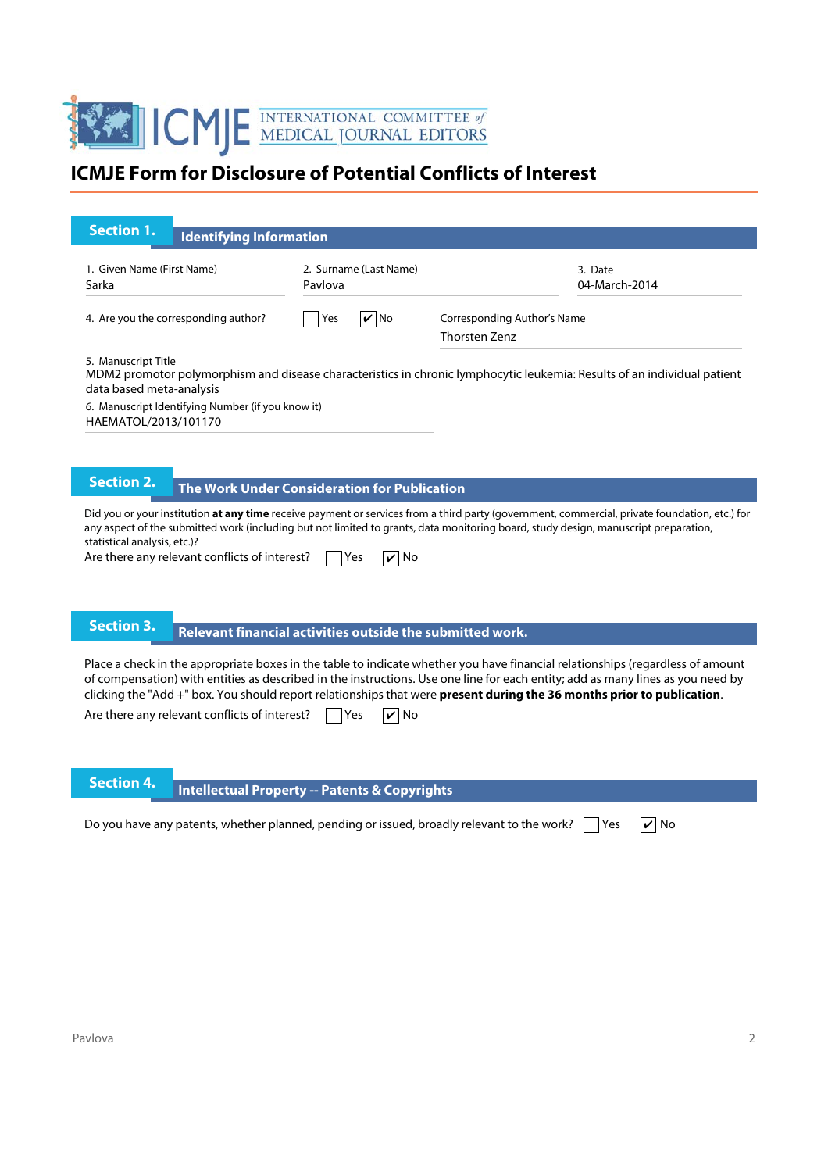

| <b>Section 1.</b>                                                                                                                                                                                                                                                                                                                                                                                                                                                      | <b>Identifying Information</b>                    |                                                           |                                                                                                                                                                                                                                                                                      |  |  |
|------------------------------------------------------------------------------------------------------------------------------------------------------------------------------------------------------------------------------------------------------------------------------------------------------------------------------------------------------------------------------------------------------------------------------------------------------------------------|---------------------------------------------------|-----------------------------------------------------------|--------------------------------------------------------------------------------------------------------------------------------------------------------------------------------------------------------------------------------------------------------------------------------------|--|--|
| 1. Given Name (First Name)<br>Sarka                                                                                                                                                                                                                                                                                                                                                                                                                                    |                                                   | 2. Surname (Last Name)<br>Pavlova                         | 3. Date<br>04-March-2014                                                                                                                                                                                                                                                             |  |  |
|                                                                                                                                                                                                                                                                                                                                                                                                                                                                        | 4. Are you the corresponding author?              | $ \boldsymbol{v} $ No<br>Yes                              | Corresponding Author's Name<br><b>Thorsten Zenz</b>                                                                                                                                                                                                                                  |  |  |
| 5. Manuscript Title<br>data based meta-analysis                                                                                                                                                                                                                                                                                                                                                                                                                        |                                                   |                                                           | MDM2 promotor polymorphism and disease characteristics in chronic lymphocytic leukemia: Results of an individual patient                                                                                                                                                             |  |  |
| HAEMATOL/2013/101170                                                                                                                                                                                                                                                                                                                                                                                                                                                   | 6. Manuscript Identifying Number (if you know it) |                                                           |                                                                                                                                                                                                                                                                                      |  |  |
| <b>Section 2.</b>                                                                                                                                                                                                                                                                                                                                                                                                                                                      |                                                   |                                                           |                                                                                                                                                                                                                                                                                      |  |  |
|                                                                                                                                                                                                                                                                                                                                                                                                                                                                        |                                                   | The Work Under Consideration for Publication              |                                                                                                                                                                                                                                                                                      |  |  |
| statistical analysis, etc.)?                                                                                                                                                                                                                                                                                                                                                                                                                                           |                                                   |                                                           | Did you or your institution at any time receive payment or services from a third party (government, commercial, private foundation, etc.) for<br>any aspect of the submitted work (including but not limited to grants, data monitoring board, study design, manuscript preparation, |  |  |
|                                                                                                                                                                                                                                                                                                                                                                                                                                                                        | Are there any relevant conflicts of interest?     | $\mathbf{v}$ No<br>Yes                                    |                                                                                                                                                                                                                                                                                      |  |  |
|                                                                                                                                                                                                                                                                                                                                                                                                                                                                        |                                                   |                                                           |                                                                                                                                                                                                                                                                                      |  |  |
| <b>Section 3.</b>                                                                                                                                                                                                                                                                                                                                                                                                                                                      |                                                   | Relevant financial activities outside the submitted work. |                                                                                                                                                                                                                                                                                      |  |  |
| Place a check in the appropriate boxes in the table to indicate whether you have financial relationships (regardless of amount<br>of compensation) with entities as described in the instructions. Use one line for each entity; add as many lines as you need by<br>clicking the "Add +" box. You should report relationships that were present during the 36 months prior to publication.<br>Are there any relevant conflicts of interest?<br>$\mathbf{v}$ No<br>Yes |                                                   |                                                           |                                                                                                                                                                                                                                                                                      |  |  |
|                                                                                                                                                                                                                                                                                                                                                                                                                                                                        |                                                   |                                                           |                                                                                                                                                                                                                                                                                      |  |  |
| <b>Section 4.</b>                                                                                                                                                                                                                                                                                                                                                                                                                                                      |                                                   | <b>Intellectual Property -- Patents &amp; Copyrights</b>  |                                                                                                                                                                                                                                                                                      |  |  |
|                                                                                                                                                                                                                                                                                                                                                                                                                                                                        |                                                   |                                                           | Do you have any patents, whether planned, pending or issued, broadly relevant to the work?<br>Yes<br>$\mathbf{v}$ No                                                                                                                                                                 |  |  |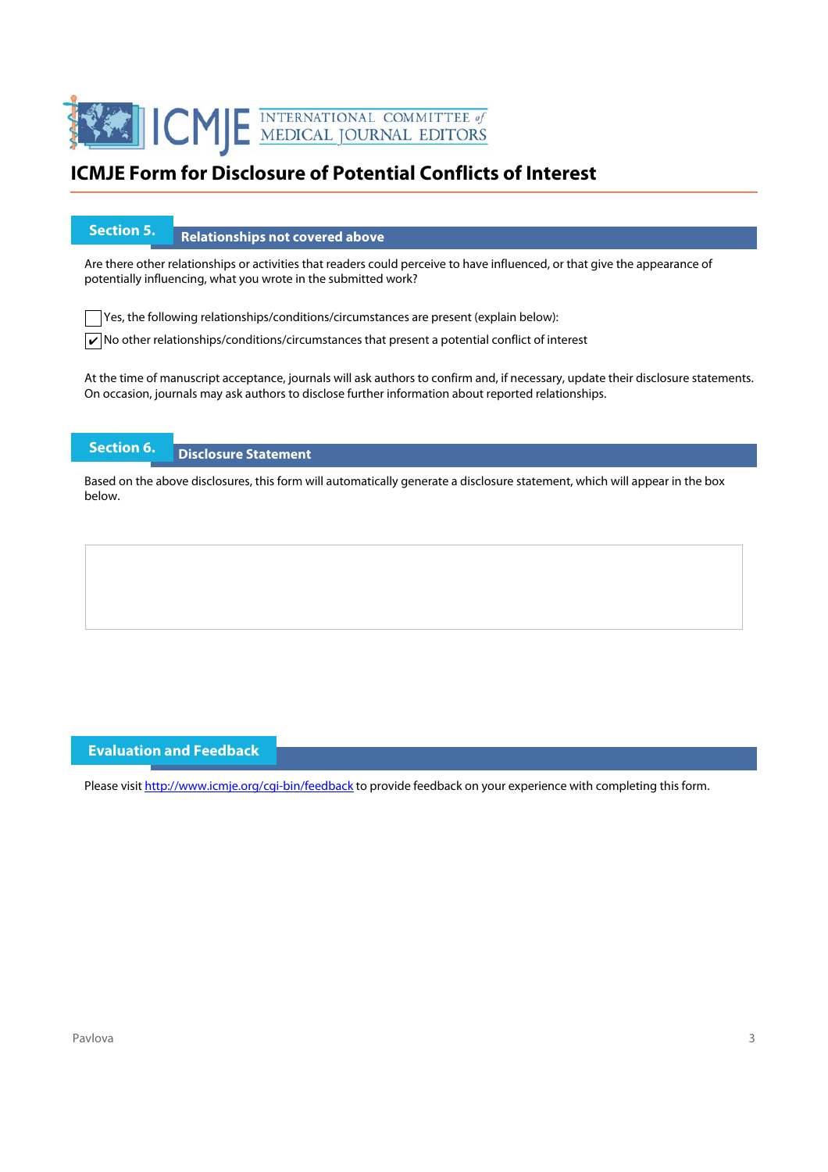

## **Section 5.** Relationships not covered above

Are there other relationships or activities that readers could perceive to have influenced, or that give the appearance of potentially influencing, what you wrote in the submitted work?

 $\Box$  Yes, the following relationships/conditions/circumstances are present (explain below):

 $\boxed{\mathbf{v}}$  No other relationships/conditions/circumstances that present a potential conflict of interest

At the time of manuscript acceptance, journals will ask authors to confirm and, if necessary, update their disclosure statements. On occasion, journals may ask authors to disclose further information about reported relationships.

## **Disclosure Statement Section 6.**

Based on the above disclosures, this form will automatically generate a disclosure statement, which will appear in the box below.

#### **Evaluation and Feedback**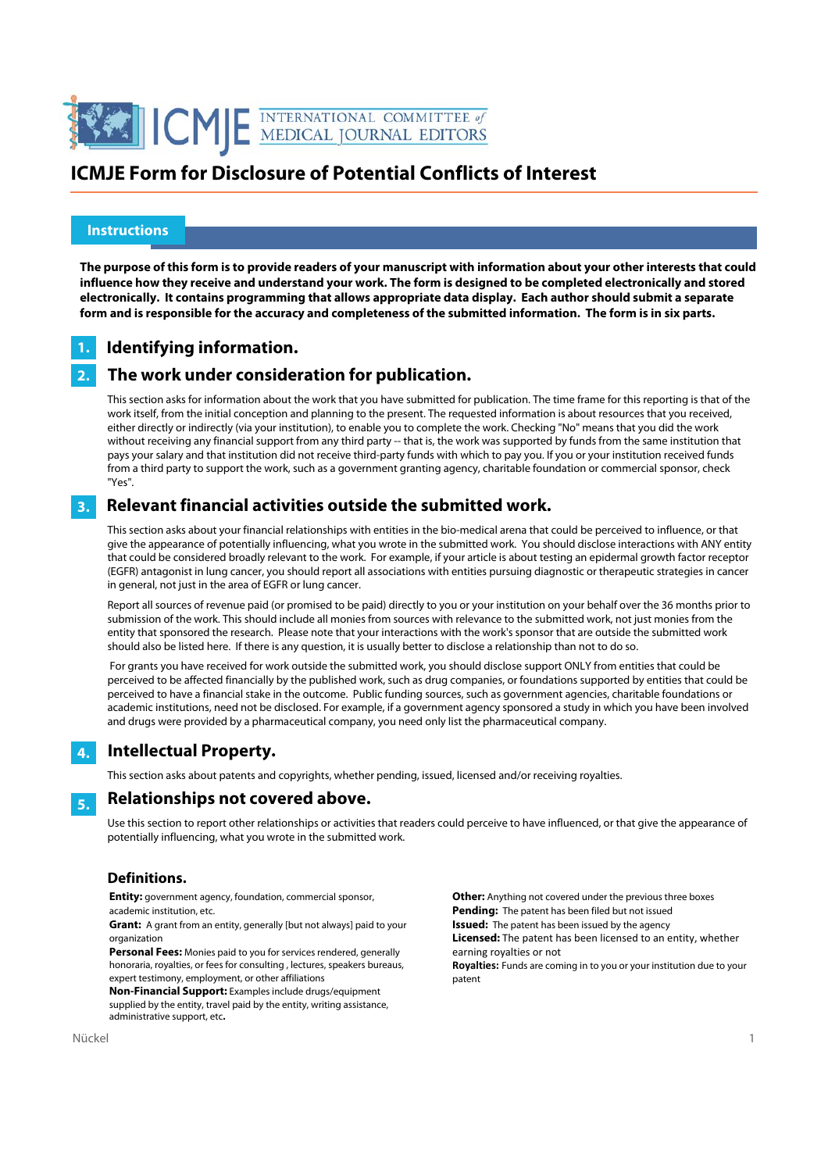

#### **Instructions**

**2.**

**The purpose of this form is to provide readers of your manuscript with information about your other interests that could influence how they receive and understand your work. The form is designed to be completed electronically and stored electronically. It contains programming that allows appropriate data display. Each author should submit a separate form and is responsible for the accuracy and completeness of the submitted information. The form is in six parts.** 

#### **Identifying information. 1.**

### **The work under consideration for publication.**

This section asks for information about the work that you have submitted for publication. The time frame for this reporting is that of the work itself, from the initial conception and planning to the present. The requested information is about resources that you received, either directly or indirectly (via your institution), to enable you to complete the work. Checking "No" means that you did the work without receiving any financial support from any third party -- that is, the work was supported by funds from the same institution that pays your salary and that institution did not receive third-party funds with which to pay you. If you or your institution received funds from a third party to support the work, such as a government granting agency, charitable foundation or commercial sponsor, check "Yes".

#### **Relevant financial activities outside the submitted work. 3.**

This section asks about your financial relationships with entities in the bio-medical arena that could be perceived to influence, or that give the appearance of potentially influencing, what you wrote in the submitted work. You should disclose interactions with ANY entity that could be considered broadly relevant to the work. For example, if your article is about testing an epidermal growth factor receptor (EGFR) antagonist in lung cancer, you should report all associations with entities pursuing diagnostic or therapeutic strategies in cancer in general, not just in the area of EGFR or lung cancer.

Report all sources of revenue paid (or promised to be paid) directly to you or your institution on your behalf over the 36 months prior to submission of the work. This should include all monies from sources with relevance to the submitted work, not just monies from the entity that sponsored the research. Please note that your interactions with the work's sponsor that are outside the submitted work should also be listed here. If there is any question, it is usually better to disclose a relationship than not to do so.

 For grants you have received for work outside the submitted work, you should disclose support ONLY from entities that could be perceived to be affected financially by the published work, such as drug companies, or foundations supported by entities that could be perceived to have a financial stake in the outcome. Public funding sources, such as government agencies, charitable foundations or academic institutions, need not be disclosed. For example, if a government agency sponsored a study in which you have been involved and drugs were provided by a pharmaceutical company, you need only list the pharmaceutical company.

### **Intellectual Property.**

This section asks about patents and copyrights, whether pending, issued, licensed and/or receiving royalties.

#### **Relationships not covered above.**

Use this section to report other relationships or activities that readers could perceive to have influenced, or that give the appearance of potentially influencing, what you wrote in the submitted work.

#### **Definitions.**

**Entity:** government agency, foundation, commercial sponsor, academic institution, etc.

**Grant:** A grant from an entity, generally [but not always] paid to your organization

**Personal Fees:** Monies paid to you for services rendered, generally honoraria, royalties, or fees for consulting , lectures, speakers bureaus, expert testimony, employment, or other affiliations

**Non-Financial Support:** Examples include drugs/equipment supplied by the entity, travel paid by the entity, writing assistance, administrative support, etc**.**

**Other:** Anything not covered under the previous three boxes **Pending:** The patent has been filed but not issued **Issued:** The patent has been issued by the agency **Licensed:** The patent has been licensed to an entity, whether earning royalties or not **Royalties:** Funds are coming in to you or your institution due to your patent

Nückel 1

**4.**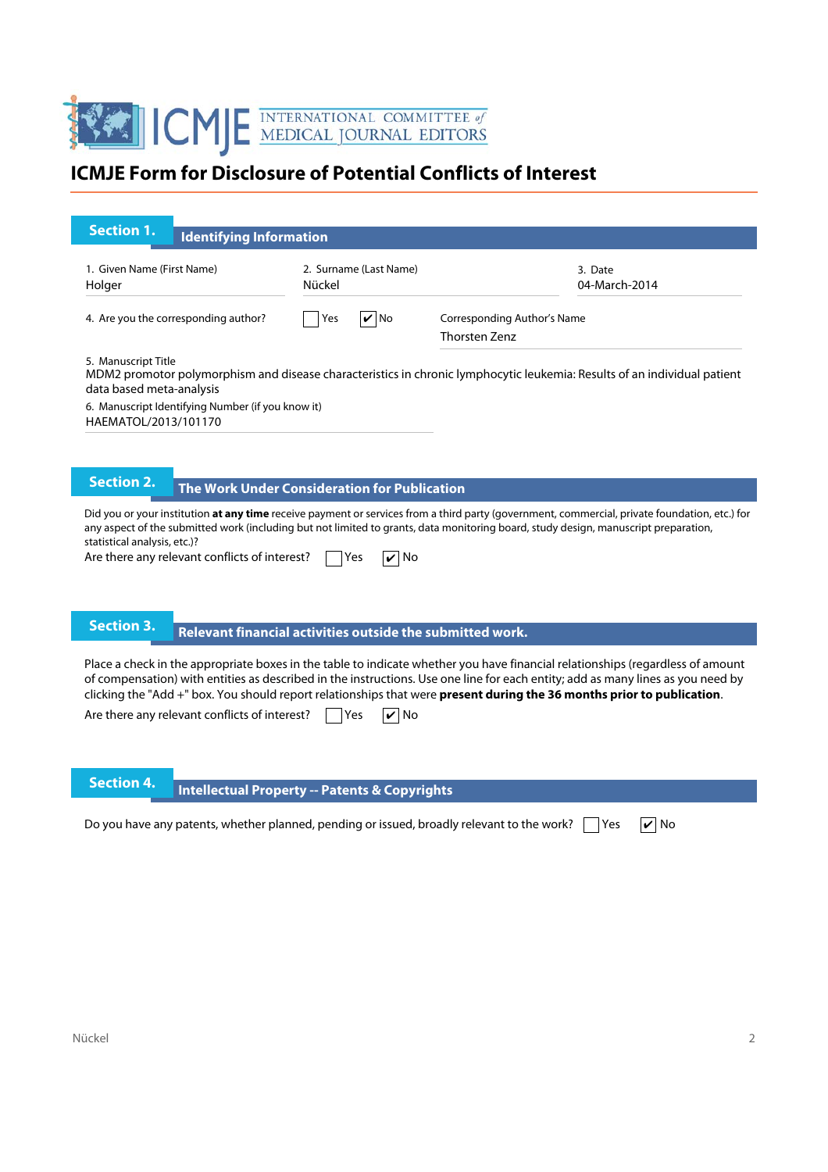

| <b>Section 1.</b>                                                                                                                                                                                                                                                                                                                                                                                                                                                      | <b>Identifying Information</b>                    |                                                           |                                                                                                                          |  |  |
|------------------------------------------------------------------------------------------------------------------------------------------------------------------------------------------------------------------------------------------------------------------------------------------------------------------------------------------------------------------------------------------------------------------------------------------------------------------------|---------------------------------------------------|-----------------------------------------------------------|--------------------------------------------------------------------------------------------------------------------------|--|--|
| 1. Given Name (First Name)<br>Holger                                                                                                                                                                                                                                                                                                                                                                                                                                   |                                                   | 2. Surname (Last Name)<br>Nückel                          | 3. Date<br>04-March-2014                                                                                                 |  |  |
| 4. Are you the corresponding author?                                                                                                                                                                                                                                                                                                                                                                                                                                   |                                                   | $\boxed{\mathbf{v}}$ No<br>Yes                            | Corresponding Author's Name<br><b>Thorsten Zenz</b>                                                                      |  |  |
| 5. Manuscript Title<br>data based meta-analysis                                                                                                                                                                                                                                                                                                                                                                                                                        |                                                   |                                                           | MDM2 promotor polymorphism and disease characteristics in chronic lymphocytic leukemia: Results of an individual patient |  |  |
| HAEMATOL/2013/101170                                                                                                                                                                                                                                                                                                                                                                                                                                                   | 6. Manuscript Identifying Number (if you know it) |                                                           |                                                                                                                          |  |  |
|                                                                                                                                                                                                                                                                                                                                                                                                                                                                        |                                                   |                                                           |                                                                                                                          |  |  |
| <b>Section 2.</b>                                                                                                                                                                                                                                                                                                                                                                                                                                                      |                                                   | The Work Under Consideration for Publication              |                                                                                                                          |  |  |
| Did you or your institution at any time receive payment or services from a third party (government, commercial, private foundation, etc.) for<br>any aspect of the submitted work (including but not limited to grants, data monitoring board, study design, manuscript preparation,<br>statistical analysis, etc.)?<br>Are there any relevant conflicts of interest?<br>$\mathbf{v}$ No<br>Yes                                                                        |                                                   |                                                           |                                                                                                                          |  |  |
|                                                                                                                                                                                                                                                                                                                                                                                                                                                                        |                                                   |                                                           |                                                                                                                          |  |  |
| <b>Section 3.</b>                                                                                                                                                                                                                                                                                                                                                                                                                                                      |                                                   | Relevant financial activities outside the submitted work. |                                                                                                                          |  |  |
| Place a check in the appropriate boxes in the table to indicate whether you have financial relationships (regardless of amount<br>of compensation) with entities as described in the instructions. Use one line for each entity; add as many lines as you need by<br>clicking the "Add +" box. You should report relationships that were present during the 36 months prior to publication.<br>Are there any relevant conflicts of interest?<br>$\mathbf{v}$ No<br>Yes |                                                   |                                                           |                                                                                                                          |  |  |
|                                                                                                                                                                                                                                                                                                                                                                                                                                                                        |                                                   |                                                           |                                                                                                                          |  |  |
| <b>Section 4.</b>                                                                                                                                                                                                                                                                                                                                                                                                                                                      |                                                   | <b>Intellectual Property -- Patents &amp; Copyrights</b>  |                                                                                                                          |  |  |
|                                                                                                                                                                                                                                                                                                                                                                                                                                                                        |                                                   |                                                           | Do you have any patents, whether planned, pending or issued, broadly relevant to the work?<br>Yes<br>$\mathbf{v}$ No     |  |  |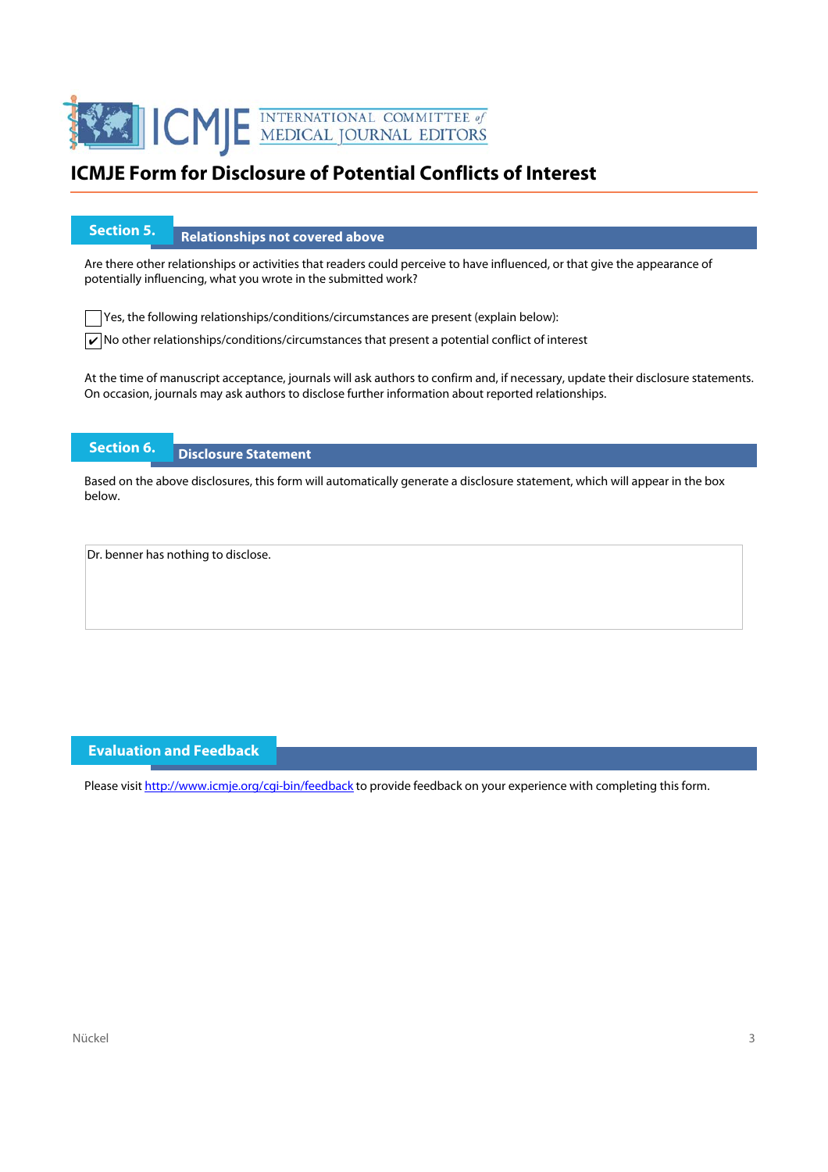

## **Section 5.** Relationships not covered above

Are there other relationships or activities that readers could perceive to have influenced, or that give the appearance of potentially influencing, what you wrote in the submitted work?

 $\Box$  Yes, the following relationships/conditions/circumstances are present (explain below):

 $\boxed{\mathbf{v}}$  No other relationships/conditions/circumstances that present a potential conflict of interest

At the time of manuscript acceptance, journals will ask authors to confirm and, if necessary, update their disclosure statements. On occasion, journals may ask authors to disclose further information about reported relationships.

## **Disclosure Statement Section 6.**

Based on the above disclosures, this form will automatically generate a disclosure statement, which will appear in the box below.

Dr. benner has nothing to disclose.

### **Evaluation and Feedback**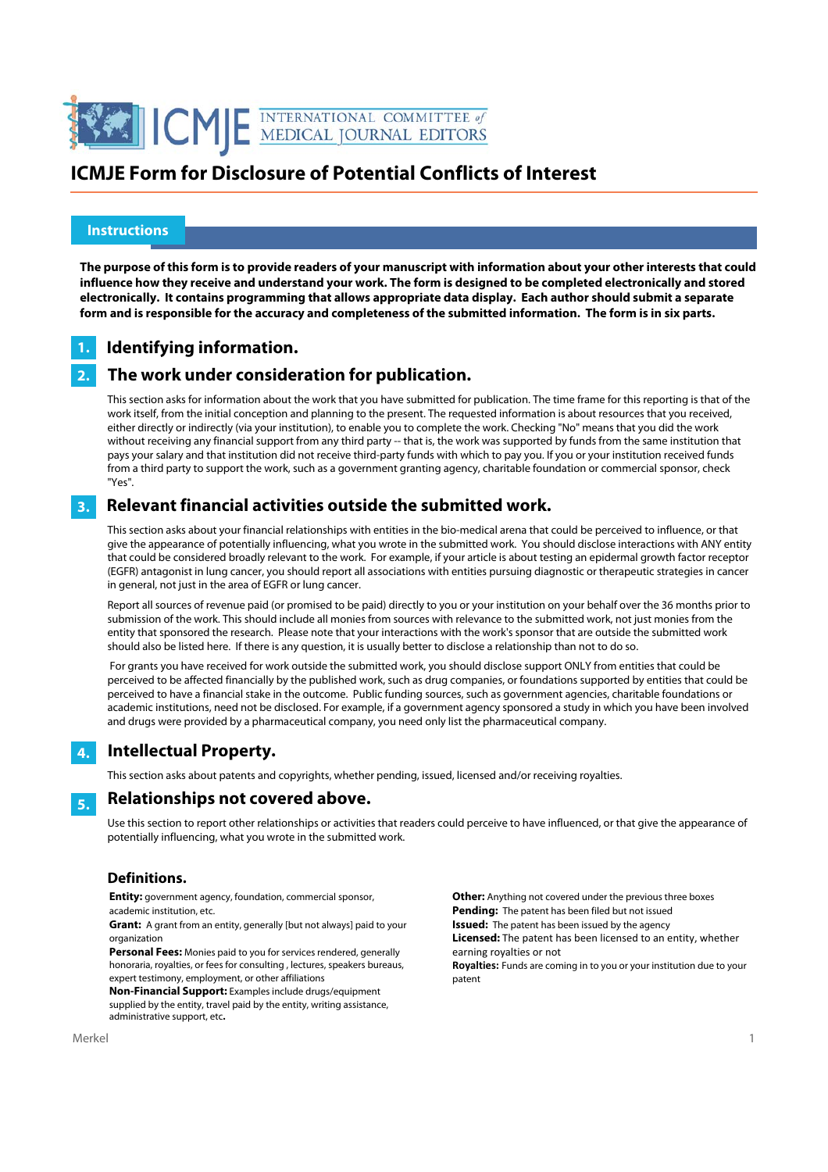

#### **Instructions**

**2.**

**The purpose of this form is to provide readers of your manuscript with information about your other interests that could influence how they receive and understand your work. The form is designed to be completed electronically and stored electronically. It contains programming that allows appropriate data display. Each author should submit a separate form and is responsible for the accuracy and completeness of the submitted information. The form is in six parts.** 

#### **Identifying information. 1.**

### **The work under consideration for publication.**

This section asks for information about the work that you have submitted for publication. The time frame for this reporting is that of the work itself, from the initial conception and planning to the present. The requested information is about resources that you received, either directly or indirectly (via your institution), to enable you to complete the work. Checking "No" means that you did the work without receiving any financial support from any third party -- that is, the work was supported by funds from the same institution that pays your salary and that institution did not receive third-party funds with which to pay you. If you or your institution received funds from a third party to support the work, such as a government granting agency, charitable foundation or commercial sponsor, check "Yes".

#### **Relevant financial activities outside the submitted work. 3.**

This section asks about your financial relationships with entities in the bio-medical arena that could be perceived to influence, or that give the appearance of potentially influencing, what you wrote in the submitted work. You should disclose interactions with ANY entity that could be considered broadly relevant to the work. For example, if your article is about testing an epidermal growth factor receptor (EGFR) antagonist in lung cancer, you should report all associations with entities pursuing diagnostic or therapeutic strategies in cancer in general, not just in the area of EGFR or lung cancer.

Report all sources of revenue paid (or promised to be paid) directly to you or your institution on your behalf over the 36 months prior to submission of the work. This should include all monies from sources with relevance to the submitted work, not just monies from the entity that sponsored the research. Please note that your interactions with the work's sponsor that are outside the submitted work should also be listed here. If there is any question, it is usually better to disclose a relationship than not to do so.

 For grants you have received for work outside the submitted work, you should disclose support ONLY from entities that could be perceived to be affected financially by the published work, such as drug companies, or foundations supported by entities that could be perceived to have a financial stake in the outcome. Public funding sources, such as government agencies, charitable foundations or academic institutions, need not be disclosed. For example, if a government agency sponsored a study in which you have been involved and drugs were provided by a pharmaceutical company, you need only list the pharmaceutical company.

### **Intellectual Property.**

This section asks about patents and copyrights, whether pending, issued, licensed and/or receiving royalties.

#### **Relationships not covered above.**

Use this section to report other relationships or activities that readers could perceive to have influenced, or that give the appearance of potentially influencing, what you wrote in the submitted work.

#### **Definitions.**

**Entity:** government agency, foundation, commercial sponsor, academic institution, etc.

**Grant:** A grant from an entity, generally [but not always] paid to your organization

**Personal Fees:** Monies paid to you for services rendered, generally honoraria, royalties, or fees for consulting , lectures, speakers bureaus, expert testimony, employment, or other affiliations

**Non-Financial Support:** Examples include drugs/equipment supplied by the entity, travel paid by the entity, writing assistance, administrative support, etc**.**

**Other:** Anything not covered under the previous three boxes **Pending:** The patent has been filed but not issued **Issued:** The patent has been issued by the agency **Licensed:** The patent has been licensed to an entity, whether earning royalties or not **Royalties:** Funds are coming in to you or your institution due to your patent

Merkel 1

**4.**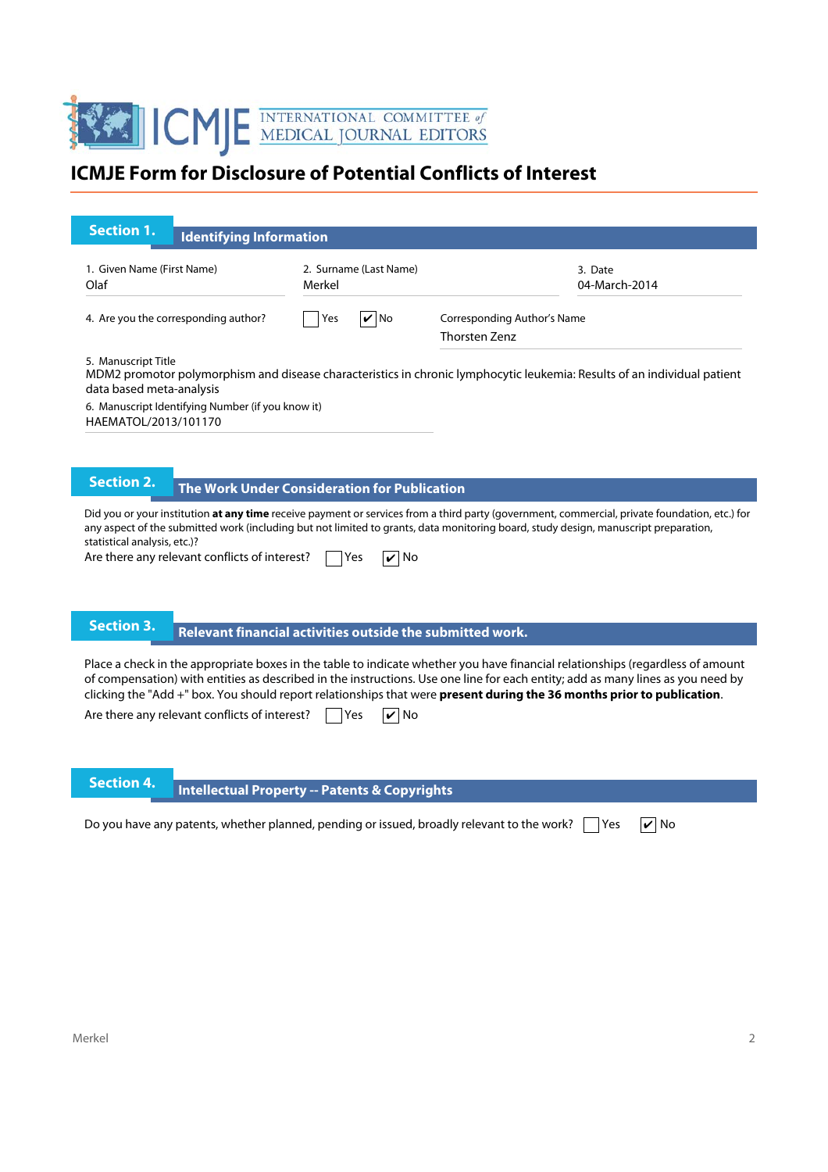

| <b>Section 1.</b>                                                                                                                                                                                                                                                                                                                                                                                                                                                      | <b>Identifying Information</b>                    |                                                           |                                                                                            |                                                                                                                          |  |
|------------------------------------------------------------------------------------------------------------------------------------------------------------------------------------------------------------------------------------------------------------------------------------------------------------------------------------------------------------------------------------------------------------------------------------------------------------------------|---------------------------------------------------|-----------------------------------------------------------|--------------------------------------------------------------------------------------------|--------------------------------------------------------------------------------------------------------------------------|--|
| 1. Given Name (First Name)<br>Olaf                                                                                                                                                                                                                                                                                                                                                                                                                                     |                                                   | 2. Surname (Last Name)<br>Merkel                          |                                                                                            | 3. Date<br>04-March-2014                                                                                                 |  |
| 4. Are you the corresponding author?                                                                                                                                                                                                                                                                                                                                                                                                                                   |                                                   | $\boxed{\mathbf{v}}$ No<br>Yes                            | Corresponding Author's Name<br><b>Thorsten Zenz</b>                                        |                                                                                                                          |  |
| 5. Manuscript Title<br>data based meta-analysis                                                                                                                                                                                                                                                                                                                                                                                                                        |                                                   |                                                           |                                                                                            | MDM2 promotor polymorphism and disease characteristics in chronic lymphocytic leukemia: Results of an individual patient |  |
| HAEMATOL/2013/101170                                                                                                                                                                                                                                                                                                                                                                                                                                                   | 6. Manuscript Identifying Number (if you know it) |                                                           |                                                                                            |                                                                                                                          |  |
|                                                                                                                                                                                                                                                                                                                                                                                                                                                                        |                                                   |                                                           |                                                                                            |                                                                                                                          |  |
| <b>Section 2.</b>                                                                                                                                                                                                                                                                                                                                                                                                                                                      |                                                   | The Work Under Consideration for Publication              |                                                                                            |                                                                                                                          |  |
| Did you or your institution at any time receive payment or services from a third party (government, commercial, private foundation, etc.) for<br>any aspect of the submitted work (including but not limited to grants, data monitoring board, study design, manuscript preparation,<br>statistical analysis, etc.)?<br>Are there any relevant conflicts of interest?<br>$\mathbf{v}$ No<br>Yes                                                                        |                                                   |                                                           |                                                                                            |                                                                                                                          |  |
|                                                                                                                                                                                                                                                                                                                                                                                                                                                                        |                                                   |                                                           |                                                                                            |                                                                                                                          |  |
| <b>Section 3.</b>                                                                                                                                                                                                                                                                                                                                                                                                                                                      |                                                   | Relevant financial activities outside the submitted work. |                                                                                            |                                                                                                                          |  |
| Place a check in the appropriate boxes in the table to indicate whether you have financial relationships (regardless of amount<br>of compensation) with entities as described in the instructions. Use one line for each entity; add as many lines as you need by<br>clicking the "Add +" box. You should report relationships that were present during the 36 months prior to publication.<br>Are there any relevant conflicts of interest?<br>$\mathbf{v}$ No<br>Yes |                                                   |                                                           |                                                                                            |                                                                                                                          |  |
|                                                                                                                                                                                                                                                                                                                                                                                                                                                                        |                                                   |                                                           |                                                                                            |                                                                                                                          |  |
| <b>Section 4.</b>                                                                                                                                                                                                                                                                                                                                                                                                                                                      |                                                   | <b>Intellectual Property -- Patents &amp; Copyrights</b>  |                                                                                            |                                                                                                                          |  |
|                                                                                                                                                                                                                                                                                                                                                                                                                                                                        |                                                   |                                                           | Do you have any patents, whether planned, pending or issued, broadly relevant to the work? | Yes<br>$\mathbf{v}$ No                                                                                                   |  |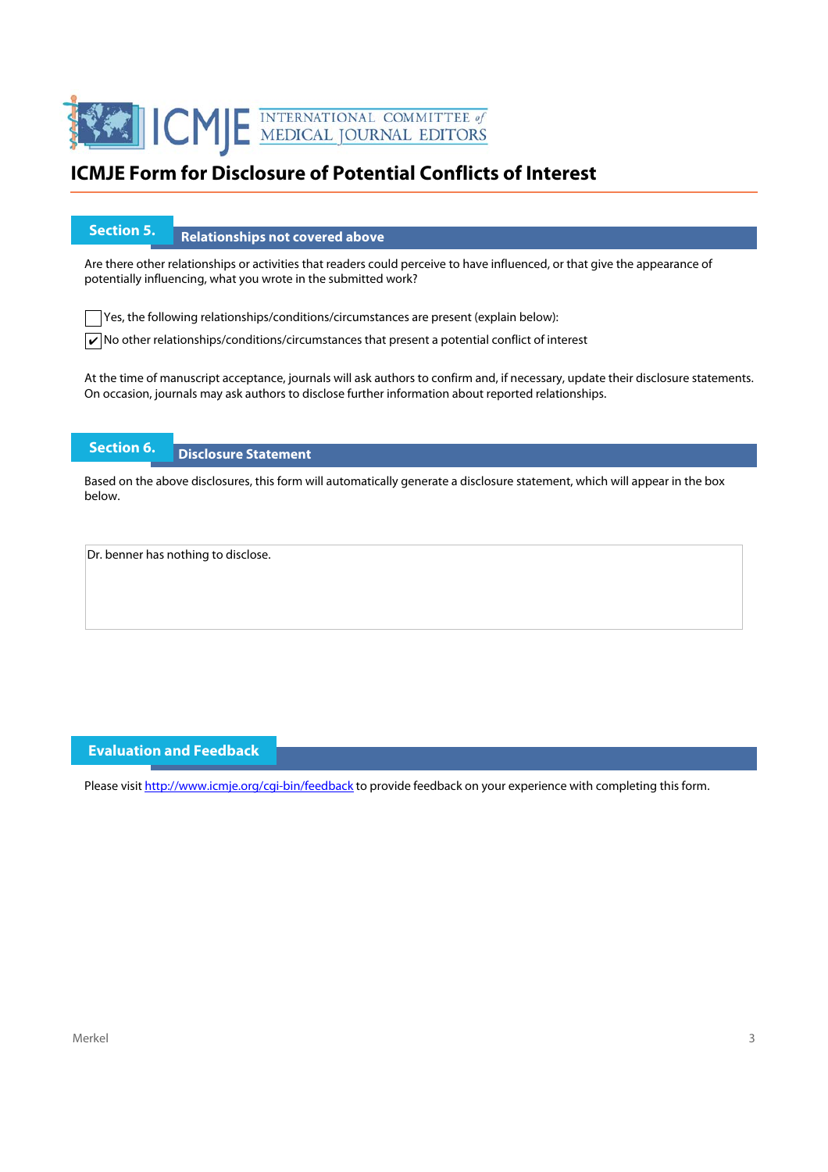

## **Section 5.** Relationships not covered above

Are there other relationships or activities that readers could perceive to have influenced, or that give the appearance of potentially influencing, what you wrote in the submitted work?

 $\Box$  Yes, the following relationships/conditions/circumstances are present (explain below):

 $\boxed{\mathbf{v}}$  No other relationships/conditions/circumstances that present a potential conflict of interest

At the time of manuscript acceptance, journals will ask authors to confirm and, if necessary, update their disclosure statements. On occasion, journals may ask authors to disclose further information about reported relationships.

## **Disclosure Statement Section 6.**

Based on the above disclosures, this form will automatically generate a disclosure statement, which will appear in the box below.

Dr. benner has nothing to disclose.

### **Evaluation and Feedback**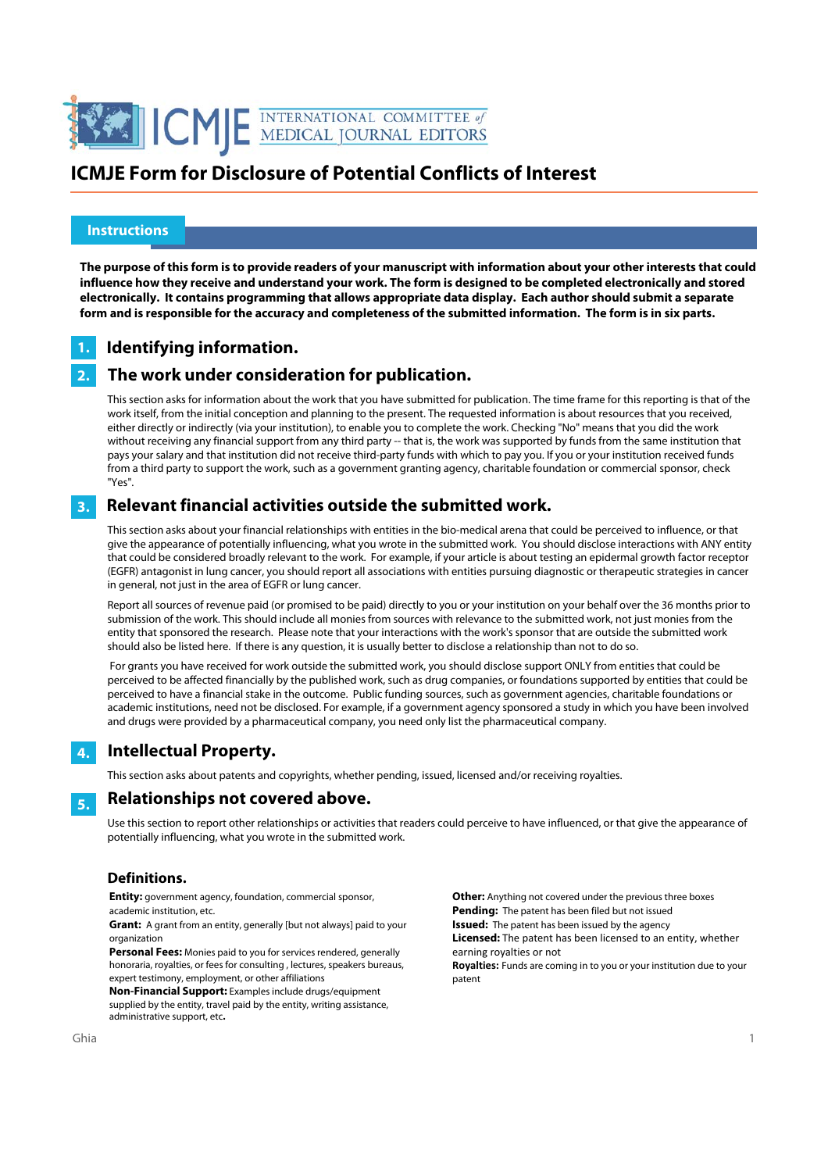

#### **Instructions**

**2.**

**The purpose of this form is to provide readers of your manuscript with information about your other interests that could influence how they receive and understand your work. The form is designed to be completed electronically and stored electronically. It contains programming that allows appropriate data display. Each author should submit a separate form and is responsible for the accuracy and completeness of the submitted information. The form is in six parts.** 

#### **Identifying information. 1.**

### **The work under consideration for publication.**

This section asks for information about the work that you have submitted for publication. The time frame for this reporting is that of the work itself, from the initial conception and planning to the present. The requested information is about resources that you received, either directly or indirectly (via your institution), to enable you to complete the work. Checking "No" means that you did the work without receiving any financial support from any third party -- that is, the work was supported by funds from the same institution that pays your salary and that institution did not receive third-party funds with which to pay you. If you or your institution received funds from a third party to support the work, such as a government granting agency, charitable foundation or commercial sponsor, check "Yes".

#### **Relevant financial activities outside the submitted work. 3.**

This section asks about your financial relationships with entities in the bio-medical arena that could be perceived to influence, or that give the appearance of potentially influencing, what you wrote in the submitted work. You should disclose interactions with ANY entity that could be considered broadly relevant to the work. For example, if your article is about testing an epidermal growth factor receptor (EGFR) antagonist in lung cancer, you should report all associations with entities pursuing diagnostic or therapeutic strategies in cancer in general, not just in the area of EGFR or lung cancer.

Report all sources of revenue paid (or promised to be paid) directly to you or your institution on your behalf over the 36 months prior to submission of the work. This should include all monies from sources with relevance to the submitted work, not just monies from the entity that sponsored the research. Please note that your interactions with the work's sponsor that are outside the submitted work should also be listed here. If there is any question, it is usually better to disclose a relationship than not to do so.

 For grants you have received for work outside the submitted work, you should disclose support ONLY from entities that could be perceived to be affected financially by the published work, such as drug companies, or foundations supported by entities that could be perceived to have a financial stake in the outcome. Public funding sources, such as government agencies, charitable foundations or academic institutions, need not be disclosed. For example, if a government agency sponsored a study in which you have been involved and drugs were provided by a pharmaceutical company, you need only list the pharmaceutical company.

### **Intellectual Property.**

This section asks about patents and copyrights, whether pending, issued, licensed and/or receiving royalties.

#### **Relationships not covered above.**

Use this section to report other relationships or activities that readers could perceive to have influenced, or that give the appearance of potentially influencing, what you wrote in the submitted work.

#### **Definitions.**

**Entity:** government agency, foundation, commercial sponsor, academic institution, etc.

**Grant:** A grant from an entity, generally [but not always] paid to your organization

**Personal Fees:** Monies paid to you for services rendered, generally honoraria, royalties, or fees for consulting , lectures, speakers bureaus, expert testimony, employment, or other affiliations

**Non-Financial Support:** Examples include drugs/equipment supplied by the entity, travel paid by the entity, writing assistance, administrative support, etc**.**

**Other:** Anything not covered under the previous three boxes **Pending:** The patent has been filed but not issued **Issued:** The patent has been issued by the agency **Licensed:** The patent has been licensed to an entity, whether earning royalties or not **Royalties:** Funds are coming in to you or your institution due to your patent

**4.**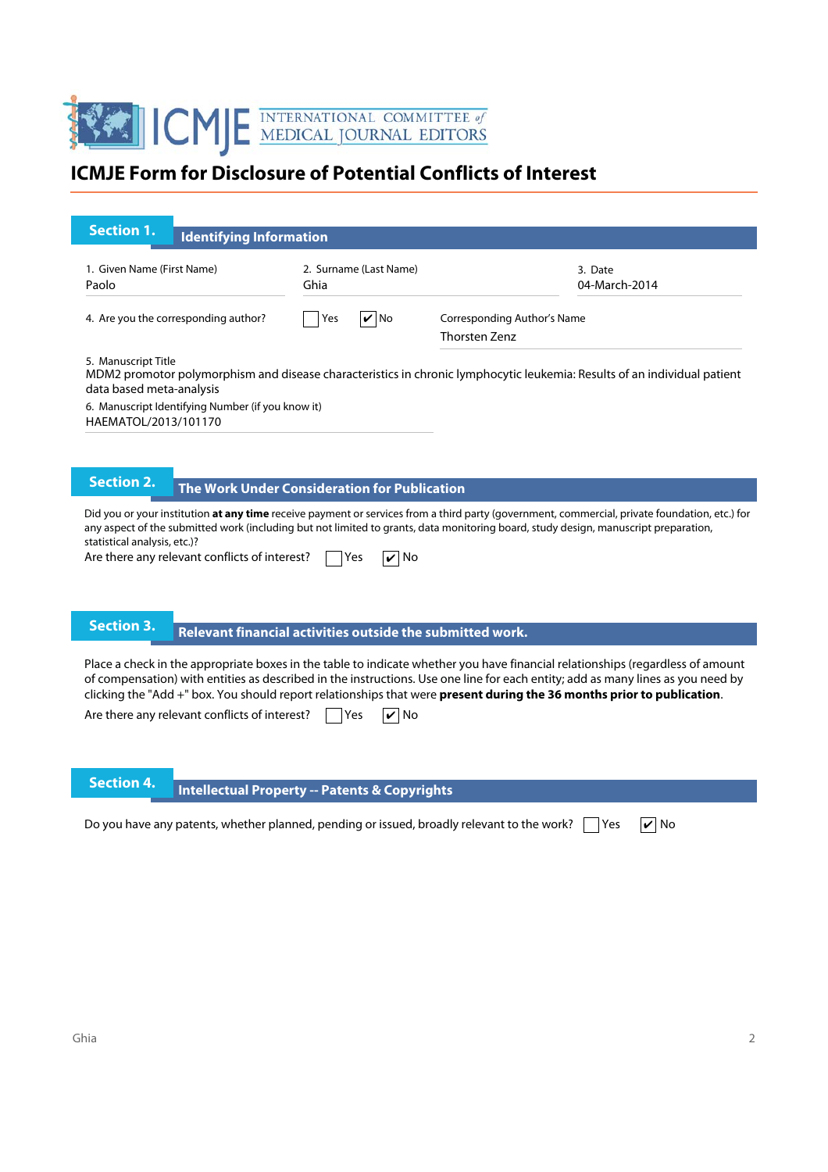

| <b>Section 1.</b>                                                                                                                                                                                                                                                                                                                                                                                                                                               | <b>Identifying Information</b>                    |                                                           |                                                                                                                          |  |  |
|-----------------------------------------------------------------------------------------------------------------------------------------------------------------------------------------------------------------------------------------------------------------------------------------------------------------------------------------------------------------------------------------------------------------------------------------------------------------|---------------------------------------------------|-----------------------------------------------------------|--------------------------------------------------------------------------------------------------------------------------|--|--|
| 1. Given Name (First Name)<br>Paolo                                                                                                                                                                                                                                                                                                                                                                                                                             |                                                   | 2. Surname (Last Name)<br>Ghia                            | 3. Date<br>04-March-2014                                                                                                 |  |  |
| 4. Are you the corresponding author?                                                                                                                                                                                                                                                                                                                                                                                                                            |                                                   | $\overline{\mathbf{v}}$ No<br>Yes                         | Corresponding Author's Name<br>Thorsten Zenz                                                                             |  |  |
| 5. Manuscript Title<br>data based meta-analysis                                                                                                                                                                                                                                                                                                                                                                                                                 |                                                   |                                                           | MDM2 promotor polymorphism and disease characteristics in chronic lymphocytic leukemia: Results of an individual patient |  |  |
| HAEMATOL/2013/101170                                                                                                                                                                                                                                                                                                                                                                                                                                            | 6. Manuscript Identifying Number (if you know it) |                                                           |                                                                                                                          |  |  |
|                                                                                                                                                                                                                                                                                                                                                                                                                                                                 |                                                   |                                                           |                                                                                                                          |  |  |
| <b>Section 2.</b>                                                                                                                                                                                                                                                                                                                                                                                                                                               |                                                   | The Work Under Consideration for Publication              |                                                                                                                          |  |  |
| Did you or your institution at any time receive payment or services from a third party (government, commercial, private foundation, etc.) for<br>any aspect of the submitted work (including but not limited to grants, data monitoring board, study design, manuscript preparation,<br>statistical analysis, etc.)?<br>Are there any relevant conflicts of interest?<br>$\overline{\mathbf{v}}$ No<br>Yes                                                      |                                                   |                                                           |                                                                                                                          |  |  |
|                                                                                                                                                                                                                                                                                                                                                                                                                                                                 |                                                   |                                                           |                                                                                                                          |  |  |
| <b>Section 3.</b>                                                                                                                                                                                                                                                                                                                                                                                                                                               |                                                   | Relevant financial activities outside the submitted work. |                                                                                                                          |  |  |
| Place a check in the appropriate boxes in the table to indicate whether you have financial relationships (regardless of amount<br>of compensation) with entities as described in the instructions. Use one line for each entity; add as many lines as you need by<br>clicking the "Add +" box. You should report relationships that were present during the 36 months prior to publication.<br>Are there any relevant conflicts of interest?<br>$\nu$ No<br>Yes |                                                   |                                                           |                                                                                                                          |  |  |
|                                                                                                                                                                                                                                                                                                                                                                                                                                                                 |                                                   |                                                           |                                                                                                                          |  |  |
| <b>Section 4.</b>                                                                                                                                                                                                                                                                                                                                                                                                                                               |                                                   | <b>Intellectual Property -- Patents &amp; Copyrights</b>  |                                                                                                                          |  |  |
|                                                                                                                                                                                                                                                                                                                                                                                                                                                                 |                                                   |                                                           | Do you have any patents, whether planned, pending or issued, broadly relevant to the work?<br>$\mathbf{v}$ No<br>Yes     |  |  |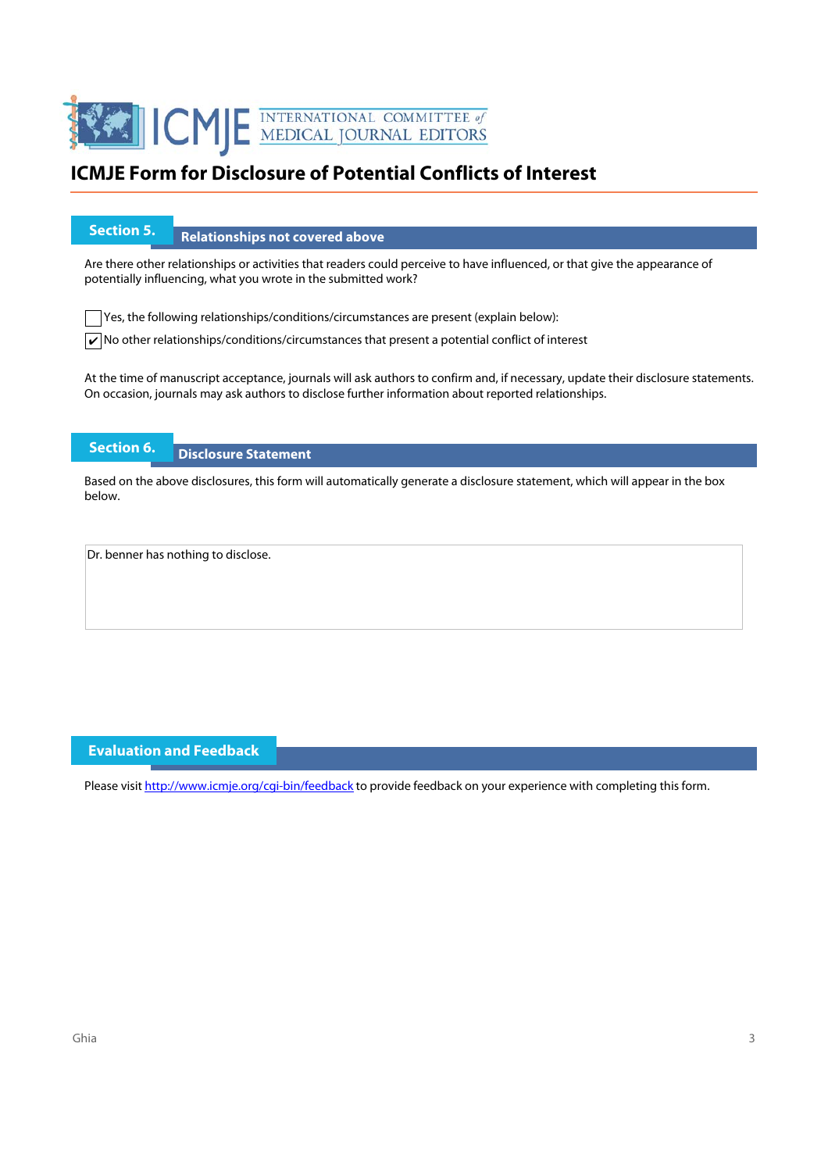

## **Section 5.** Relationships not covered above

Are there other relationships or activities that readers could perceive to have influenced, or that give the appearance of potentially influencing, what you wrote in the submitted work?

 $\Box$  Yes, the following relationships/conditions/circumstances are present (explain below):

 $\boxed{\mathbf{v}}$  No other relationships/conditions/circumstances that present a potential conflict of interest

At the time of manuscript acceptance, journals will ask authors to confirm and, if necessary, update their disclosure statements. On occasion, journals may ask authors to disclose further information about reported relationships.

## **Disclosure Statement Section 6.**

Based on the above disclosures, this form will automatically generate a disclosure statement, which will appear in the box below.

Dr. benner has nothing to disclose.

### **Evaluation and Feedback**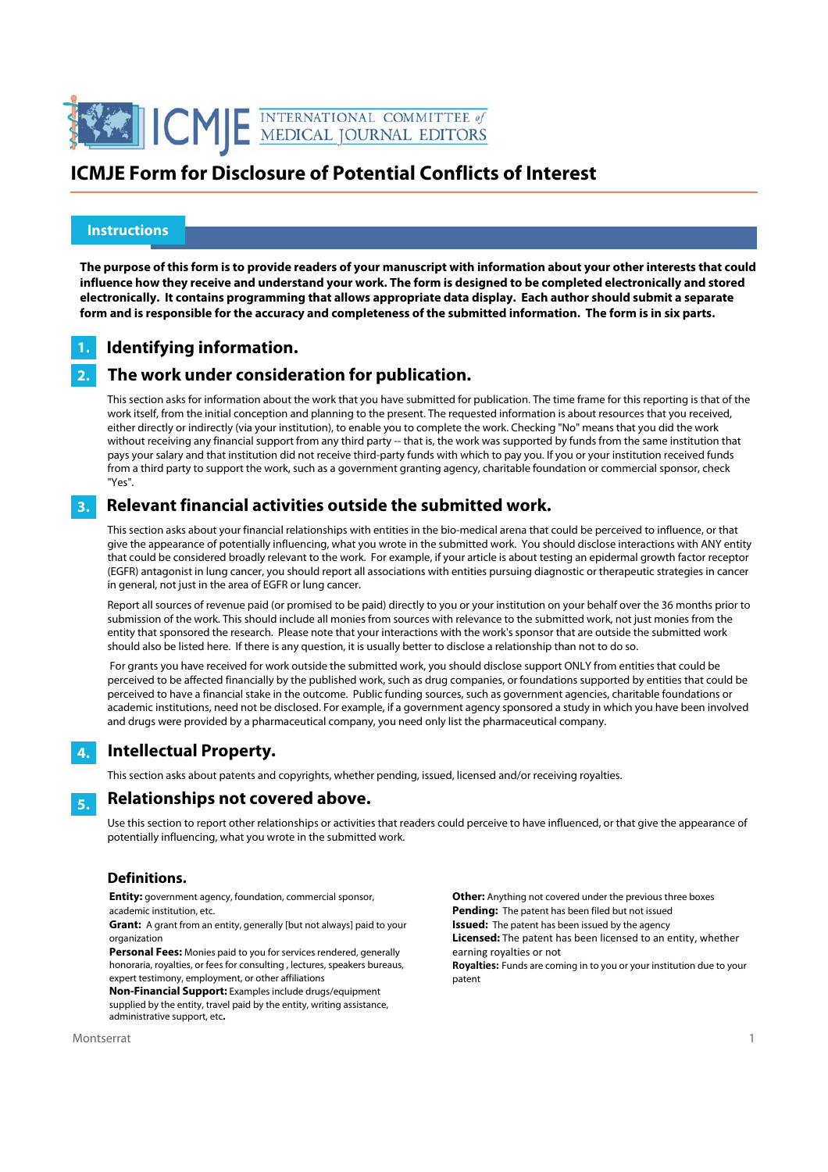

#### **Instructions**

**2.**

**The purpose of this form is to provide readers of your manuscript with information about your other interests that could influence how they receive and understand your work. The form is designed to be completed electronically and stored electronically. It contains programming that allows appropriate data display. Each author should submit a separate form and is responsible for the accuracy and completeness of the submitted information. The form is in six parts.** 

#### **Identifying information. 1.**

### **The work under consideration for publication.**

This section asks for information about the work that you have submitted for publication. The time frame for this reporting is that of the work itself, from the initial conception and planning to the present. The requested information is about resources that you received, either directly or indirectly (via your institution), to enable you to complete the work. Checking "No" means that you did the work without receiving any financial support from any third party -- that is, the work was supported by funds from the same institution that pays your salary and that institution did not receive third-party funds with which to pay you. If you or your institution received funds from a third party to support the work, such as a government granting agency, charitable foundation or commercial sponsor, check "Yes".

#### **Relevant financial activities outside the submitted work. 3.**

This section asks about your financial relationships with entities in the bio-medical arena that could be perceived to influence, or that give the appearance of potentially influencing, what you wrote in the submitted work. You should disclose interactions with ANY entity that could be considered broadly relevant to the work. For example, if your article is about testing an epidermal growth factor receptor (EGFR) antagonist in lung cancer, you should report all associations with entities pursuing diagnostic or therapeutic strategies in cancer in general, not just in the area of EGFR or lung cancer.

Report all sources of revenue paid (or promised to be paid) directly to you or your institution on your behalf over the 36 months prior to submission of the work. This should include all monies from sources with relevance to the submitted work, not just monies from the entity that sponsored the research. Please note that your interactions with the work's sponsor that are outside the submitted work should also be listed here. If there is any question, it is usually better to disclose a relationship than not to do so.

 For grants you have received for work outside the submitted work, you should disclose support ONLY from entities that could be perceived to be affected financially by the published work, such as drug companies, or foundations supported by entities that could be perceived to have a financial stake in the outcome. Public funding sources, such as government agencies, charitable foundations or academic institutions, need not be disclosed. For example, if a government agency sponsored a study in which you have been involved and drugs were provided by a pharmaceutical company, you need only list the pharmaceutical company.

### **Intellectual Property.**

This section asks about patents and copyrights, whether pending, issued, licensed and/or receiving royalties.

#### **Relationships not covered above.**

Use this section to report other relationships or activities that readers could perceive to have influenced, or that give the appearance of potentially influencing, what you wrote in the submitted work.

#### **Definitions.**

**Entity:** government agency, foundation, commercial sponsor, academic institution, etc.

**Grant:** A grant from an entity, generally [but not always] paid to your organization

**Personal Fees:** Monies paid to you for services rendered, generally honoraria, royalties, or fees for consulting , lectures, speakers bureaus, expert testimony, employment, or other affiliations

**Non-Financial Support:** Examples include drugs/equipment supplied by the entity, travel paid by the entity, writing assistance, administrative support, etc**.**

**Other:** Anything not covered under the previous three boxes **Pending:** The patent has been filed but not issued **Issued:** The patent has been issued by the agency **Licensed:** The patent has been licensed to an entity, whether earning royalties or not **Royalties:** Funds are coming in to you or your institution due to your patent

Montserrat 1

**4.**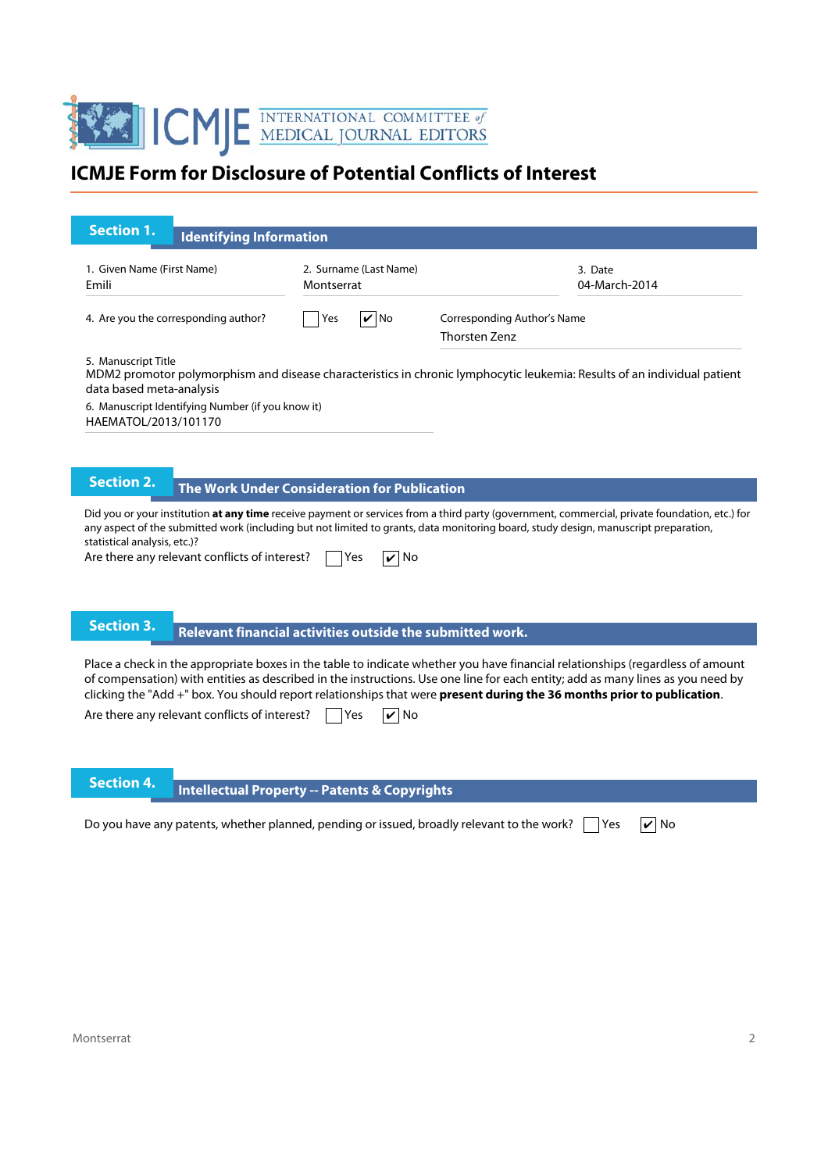

| <b>Section 1.</b><br><b>Identifying Information</b>                                                                                                                                                                                                                                                                                                                                             |                                                          |                                                                                                                          |  |  |  |
|-------------------------------------------------------------------------------------------------------------------------------------------------------------------------------------------------------------------------------------------------------------------------------------------------------------------------------------------------------------------------------------------------|----------------------------------------------------------|--------------------------------------------------------------------------------------------------------------------------|--|--|--|
| 1. Given Name (First Name)<br>Emili                                                                                                                                                                                                                                                                                                                                                             | 2. Surname (Last Name)<br>Montserrat                     | 3. Date<br>04-March-2014                                                                                                 |  |  |  |
| 4. Are you the corresponding author?                                                                                                                                                                                                                                                                                                                                                            | V<br>  No<br>Yes                                         | Corresponding Author's Name<br><b>Thorsten Zenz</b>                                                                      |  |  |  |
| 5. Manuscript Title<br>data based meta-analysis                                                                                                                                                                                                                                                                                                                                                 |                                                          | MDM2 promotor polymorphism and disease characteristics in chronic lymphocytic leukemia: Results of an individual patient |  |  |  |
| 6. Manuscript Identifying Number (if you know it)<br>HAEMATOL/2013/101170                                                                                                                                                                                                                                                                                                                       |                                                          |                                                                                                                          |  |  |  |
|                                                                                                                                                                                                                                                                                                                                                                                                 |                                                          |                                                                                                                          |  |  |  |
| <b>Section 2.</b>                                                                                                                                                                                                                                                                                                                                                                               | The Work Under Consideration for Publication             |                                                                                                                          |  |  |  |
| Did you or your institution at any time receive payment or services from a third party (government, commercial, private foundation, etc.) for<br>any aspect of the submitted work (including but not limited to grants, data monitoring board, study design, manuscript preparation,<br>statistical analysis, etc.)?<br>Are there any relevant conflicts of interest?<br>$\mathbf{v}$ No<br>Yes |                                                          |                                                                                                                          |  |  |  |
| <b>Section 3.</b>                                                                                                                                                                                                                                                                                                                                                                               |                                                          |                                                                                                                          |  |  |  |
| Relevant financial activities outside the submitted work.                                                                                                                                                                                                                                                                                                                                       |                                                          |                                                                                                                          |  |  |  |
| Place a check in the appropriate boxes in the table to indicate whether you have financial relationships (regardless of amount<br>of compensation) with entities as described in the instructions. Use one line for each entity; add as many lines as you need by                                                                                                                               |                                                          |                                                                                                                          |  |  |  |
| clicking the "Add +" box. You should report relationships that were present during the 36 months prior to publication.<br>Are there any relevant conflicts of interest?<br>  No<br>Yes<br>V                                                                                                                                                                                                     |                                                          |                                                                                                                          |  |  |  |
|                                                                                                                                                                                                                                                                                                                                                                                                 |                                                          |                                                                                                                          |  |  |  |
| <b>Section 4.</b>                                                                                                                                                                                                                                                                                                                                                                               | <b>Intellectual Property -- Patents &amp; Copyrights</b> |                                                                                                                          |  |  |  |
| Do you have any patents, whether planned, pending or issued, broadly relevant to the work?                                                                                                                                                                                                                                                                                                      |                                                          | Yes<br>$\mathbf{v}$ No                                                                                                   |  |  |  |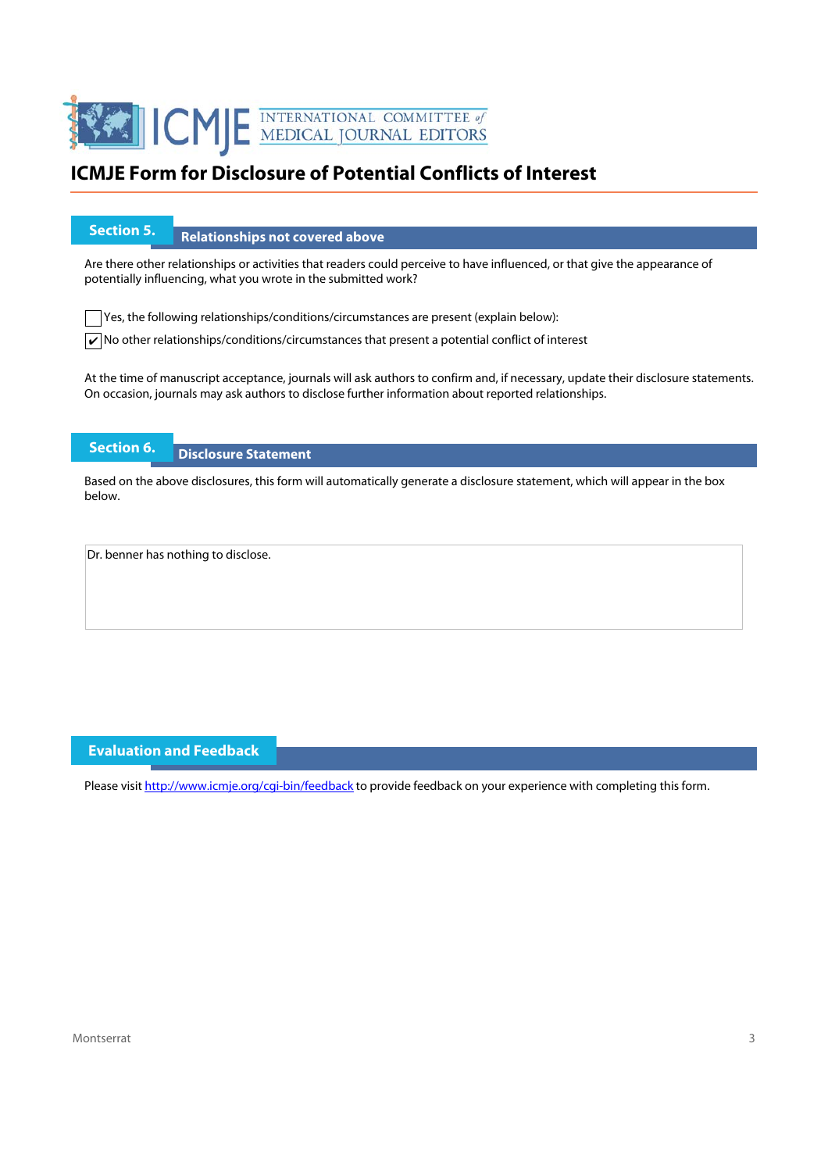

## **Section 5.** Relationships not covered above

Are there other relationships or activities that readers could perceive to have influenced, or that give the appearance of potentially influencing, what you wrote in the submitted work?

 $\Box$  Yes, the following relationships/conditions/circumstances are present (explain below):

 $\boxed{\mathbf{v}}$  No other relationships/conditions/circumstances that present a potential conflict of interest

At the time of manuscript acceptance, journals will ask authors to confirm and, if necessary, update their disclosure statements. On occasion, journals may ask authors to disclose further information about reported relationships.

## **Disclosure Statement Section 6.**

Based on the above disclosures, this form will automatically generate a disclosure statement, which will appear in the box below.

Dr. benner has nothing to disclose.

#### **Evaluation and Feedback**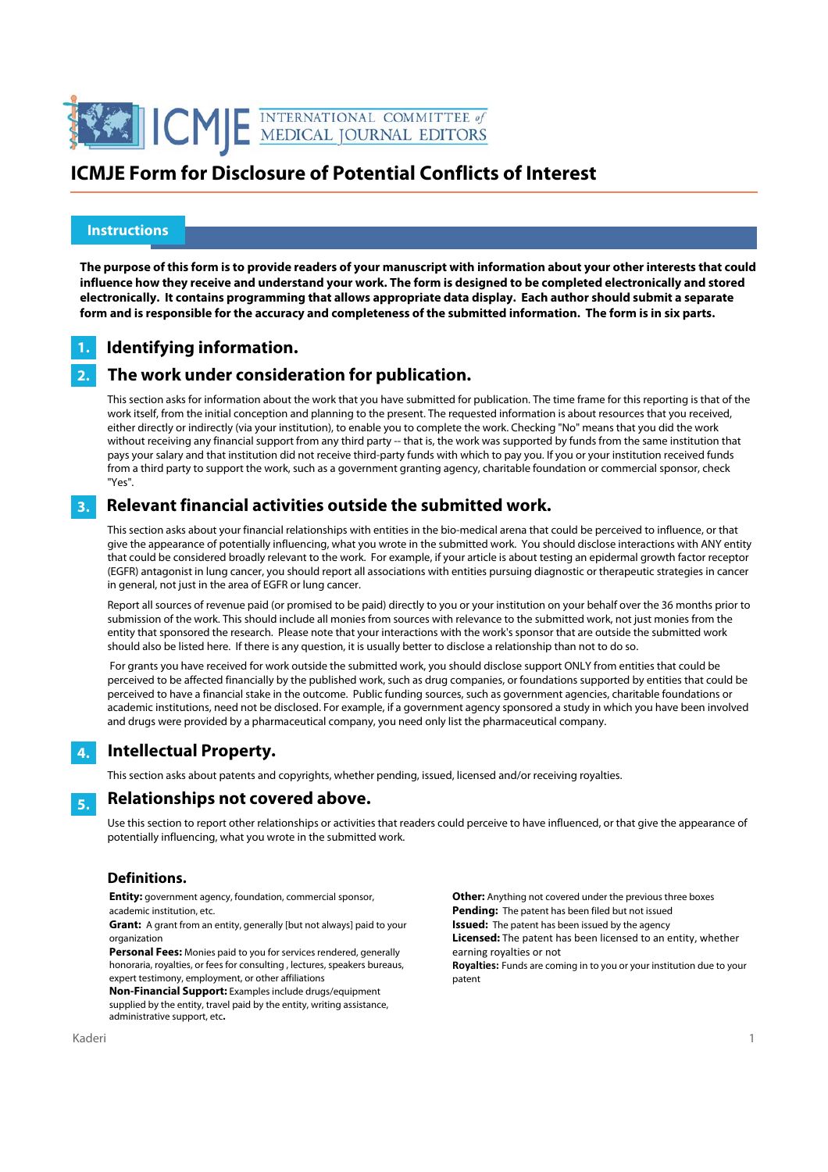

### **Instructions**

**2.**

**The purpose of this form is to provide readers of your manuscript with information about your other interests that could influence how they receive and understand your work. The form is designed to be completed electronically and stored electronically. It contains programming that allows appropriate data display. Each author should submit a separate form and is responsible for the accuracy and completeness of the submitted information. The form is in six parts.** 

#### **Identifying information. 1.**

## **The work under consideration for publication.**

This section asks for information about the work that you have submitted for publication. The time frame for this reporting is that of the work itself, from the initial conception and planning to the present. The requested information is about resources that you received, either directly or indirectly (via your institution), to enable you to complete the work. Checking "No" means that you did the work without receiving any financial support from any third party -- that is, the work was supported by funds from the same institution that pays your salary and that institution did not receive third-party funds with which to pay you. If you or your institution received funds from a third party to support the work, such as a government granting agency, charitable foundation or commercial sponsor, check "Yes".

### **Relevant financial activities outside the submitted work. 3.**

This section asks about your financial relationships with entities in the bio-medical arena that could be perceived to influence, or that give the appearance of potentially influencing, what you wrote in the submitted work. You should disclose interactions with ANY entity that could be considered broadly relevant to the work. For example, if your article is about testing an epidermal growth factor receptor (EGFR) antagonist in lung cancer, you should report all associations with entities pursuing diagnostic or therapeutic strategies in cancer in general, not just in the area of EGFR or lung cancer.

Report all sources of revenue paid (or promised to be paid) directly to you or your institution on your behalf over the 36 months prior to submission of the work. This should include all monies from sources with relevance to the submitted work, not just monies from the entity that sponsored the research. Please note that your interactions with the work's sponsor that are outside the submitted work should also be listed here. If there is any question, it is usually better to disclose a relationship than not to do so.

 For grants you have received for work outside the submitted work, you should disclose support ONLY from entities that could be perceived to be affected financially by the published work, such as drug companies, or foundations supported by entities that could be perceived to have a financial stake in the outcome. Public funding sources, such as government agencies, charitable foundations or academic institutions, need not be disclosed. For example, if a government agency sponsored a study in which you have been involved and drugs were provided by a pharmaceutical company, you need only list the pharmaceutical company.

## **Intellectual Property.**

This section asks about patents and copyrights, whether pending, issued, licensed and/or receiving royalties.

## **Relationships not covered above.**

Use this section to report other relationships or activities that readers could perceive to have influenced, or that give the appearance of potentially influencing, what you wrote in the submitted work.

## **Definitions.**

**Entity:** government agency, foundation, commercial sponsor, academic institution, etc.

**Grant:** A grant from an entity, generally [but not always] paid to your organization

**Personal Fees:** Monies paid to you for services rendered, generally honoraria, royalties, or fees for consulting , lectures, speakers bureaus, expert testimony, employment, or other affiliations

**Non-Financial Support:** Examples include drugs/equipment supplied by the entity, travel paid by the entity, writing assistance, administrative support, etc**.**

**Other:** Anything not covered under the previous three boxes **Pending:** The patent has been filed but not issued **Issued:** The patent has been issued by the agency **Licensed:** The patent has been licensed to an entity, whether earning royalties or not **Royalties:** Funds are coming in to you or your institution due to your patent

Kaderi 1

**4.**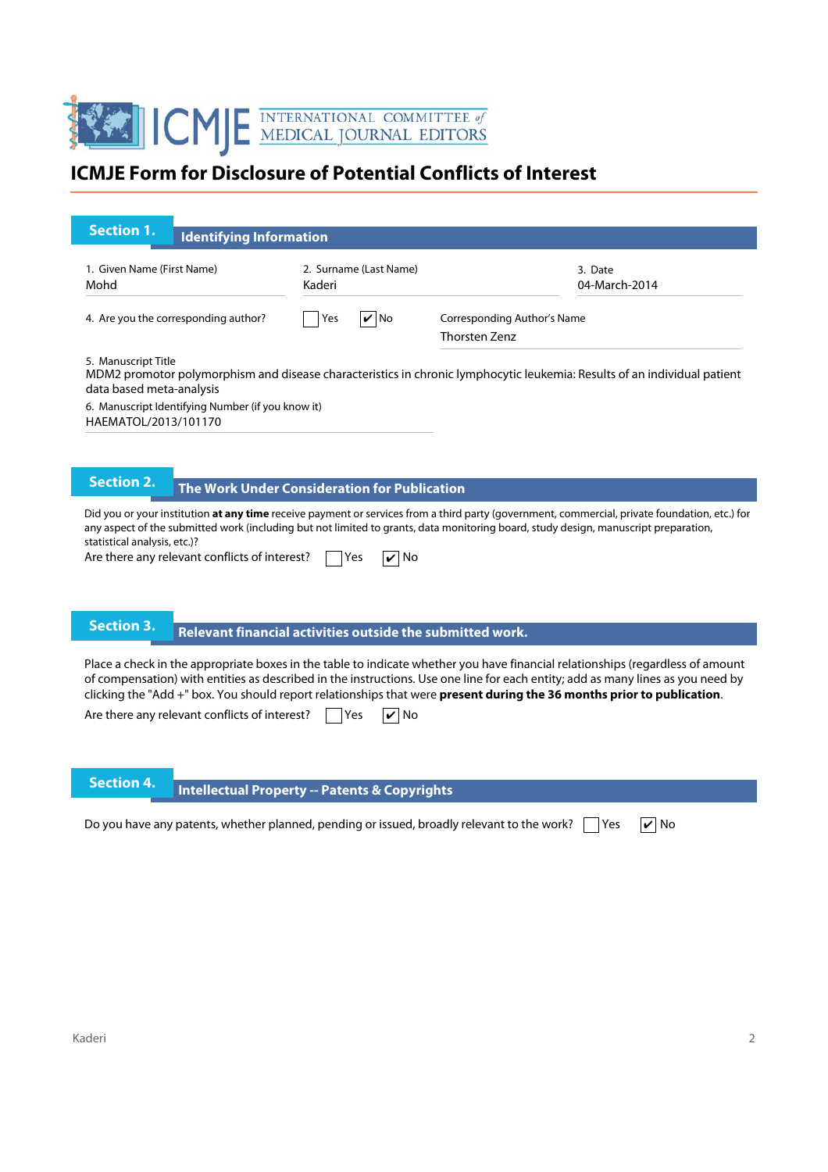

| <b>Section 1.</b>                                                                                                                                                                                                                                                                                                                                                                                                                                                               | <b>Identifying Information</b>                                                                                                                                                                                                                                                                                                                                                     |                                                           |                                                     |                                                                                                                          |  |  |
|---------------------------------------------------------------------------------------------------------------------------------------------------------------------------------------------------------------------------------------------------------------------------------------------------------------------------------------------------------------------------------------------------------------------------------------------------------------------------------|------------------------------------------------------------------------------------------------------------------------------------------------------------------------------------------------------------------------------------------------------------------------------------------------------------------------------------------------------------------------------------|-----------------------------------------------------------|-----------------------------------------------------|--------------------------------------------------------------------------------------------------------------------------|--|--|
| 1. Given Name (First Name)<br>Mohd                                                                                                                                                                                                                                                                                                                                                                                                                                              |                                                                                                                                                                                                                                                                                                                                                                                    | 2. Surname (Last Name)<br>Kaderi                          |                                                     | 3. Date<br>04-March-2014                                                                                                 |  |  |
|                                                                                                                                                                                                                                                                                                                                                                                                                                                                                 | 4. Are you the corresponding author?                                                                                                                                                                                                                                                                                                                                               | $\mathbf{v}$ No<br>Yes                                    | Corresponding Author's Name<br><b>Thorsten Zenz</b> |                                                                                                                          |  |  |
| 5. Manuscript Title<br>data based meta-analysis                                                                                                                                                                                                                                                                                                                                                                                                                                 |                                                                                                                                                                                                                                                                                                                                                                                    |                                                           |                                                     | MDM2 promotor polymorphism and disease characteristics in chronic lymphocytic leukemia: Results of an individual patient |  |  |
| HAEMATOL/2013/101170                                                                                                                                                                                                                                                                                                                                                                                                                                                            | 6. Manuscript Identifying Number (if you know it)                                                                                                                                                                                                                                                                                                                                  |                                                           |                                                     |                                                                                                                          |  |  |
|                                                                                                                                                                                                                                                                                                                                                                                                                                                                                 |                                                                                                                                                                                                                                                                                                                                                                                    |                                                           |                                                     |                                                                                                                          |  |  |
| <b>Section 2.</b>                                                                                                                                                                                                                                                                                                                                                                                                                                                               |                                                                                                                                                                                                                                                                                                                                                                                    | The Work Under Consideration for Publication              |                                                     |                                                                                                                          |  |  |
|                                                                                                                                                                                                                                                                                                                                                                                                                                                                                 | Did you or your institution at any time receive payment or services from a third party (government, commercial, private foundation, etc.) for<br>any aspect of the submitted work (including but not limited to grants, data monitoring board, study design, manuscript preparation,<br>statistical analysis, etc.)?<br>Are there any relevant conflicts of interest?<br>Yes<br>No |                                                           |                                                     |                                                                                                                          |  |  |
|                                                                                                                                                                                                                                                                                                                                                                                                                                                                                 |                                                                                                                                                                                                                                                                                                                                                                                    |                                                           |                                                     |                                                                                                                          |  |  |
| <b>Section 3.</b>                                                                                                                                                                                                                                                                                                                                                                                                                                                               |                                                                                                                                                                                                                                                                                                                                                                                    | Relevant financial activities outside the submitted work. |                                                     |                                                                                                                          |  |  |
| Place a check in the appropriate boxes in the table to indicate whether you have financial relationships (regardless of amount<br>of compensation) with entities as described in the instructions. Use one line for each entity; add as many lines as you need by<br>clicking the "Add +" box. You should report relationships that were present during the 36 months prior to publication.<br>Are there any relevant conflicts of interest?<br>$\boldsymbol{\nu}$<br>No<br>Yes |                                                                                                                                                                                                                                                                                                                                                                                    |                                                           |                                                     |                                                                                                                          |  |  |
|                                                                                                                                                                                                                                                                                                                                                                                                                                                                                 |                                                                                                                                                                                                                                                                                                                                                                                    |                                                           |                                                     |                                                                                                                          |  |  |
| <b>Section 4.</b>                                                                                                                                                                                                                                                                                                                                                                                                                                                               |                                                                                                                                                                                                                                                                                                                                                                                    | <b>Intellectual Property -- Patents &amp; Copyrights</b>  |                                                     |                                                                                                                          |  |  |
|                                                                                                                                                                                                                                                                                                                                                                                                                                                                                 | Do you have any patents, whether planned, pending or issued, broadly relevant to the work?<br>Yes<br>$\mathbf{v}$ No                                                                                                                                                                                                                                                               |                                                           |                                                     |                                                                                                                          |  |  |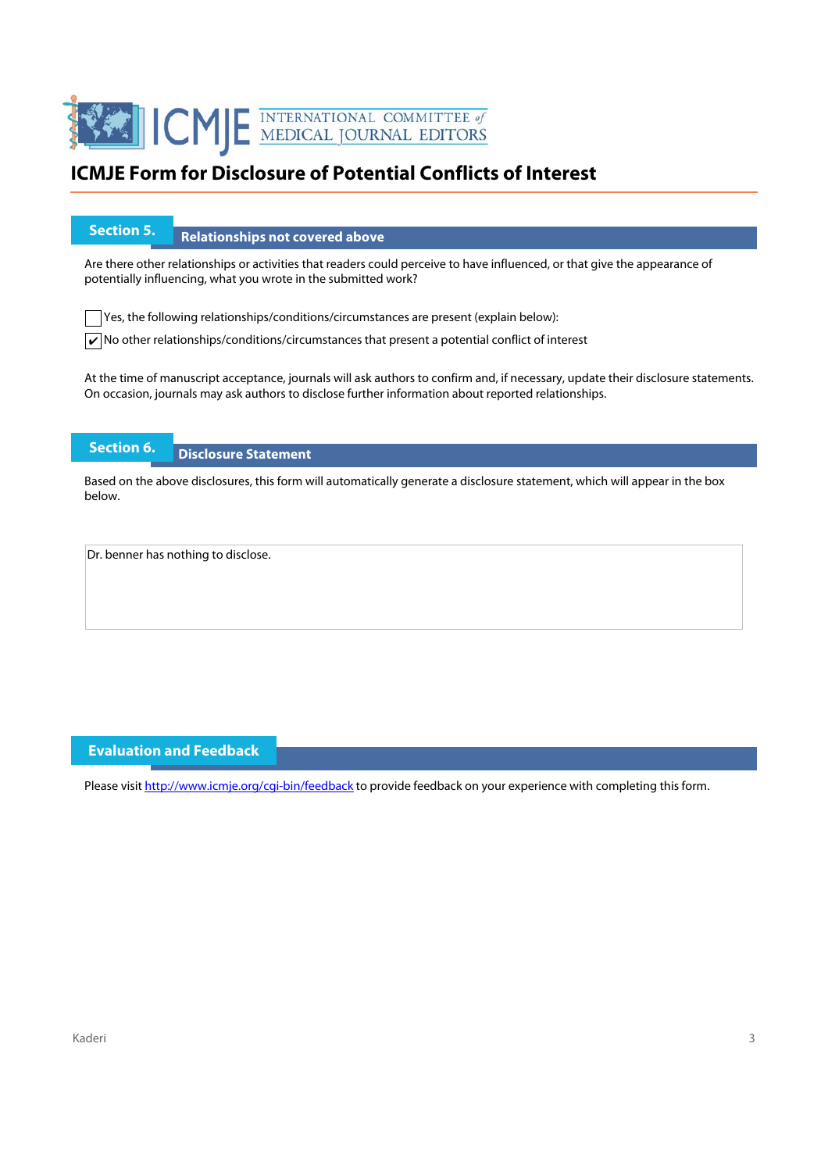

## **Section 5.** Relationships not covered above

Are there other relationships or activities that readers could perceive to have influenced, or that give the appearance of potentially influencing, what you wrote in the submitted work?

 $\Box$  Yes, the following relationships/conditions/circumstances are present (explain below):

 $\boxed{\mathbf{v}}$  No other relationships/conditions/circumstances that present a potential conflict of interest

At the time of manuscript acceptance, journals will ask authors to confirm and, if necessary, update their disclosure statements. On occasion, journals may ask authors to disclose further information about reported relationships.

# **Disclosure Statement Section 6.**

Based on the above disclosures, this form will automatically generate a disclosure statement, which will appear in the box below.

Dr. benner has nothing to disclose.

## **Evaluation and Feedback**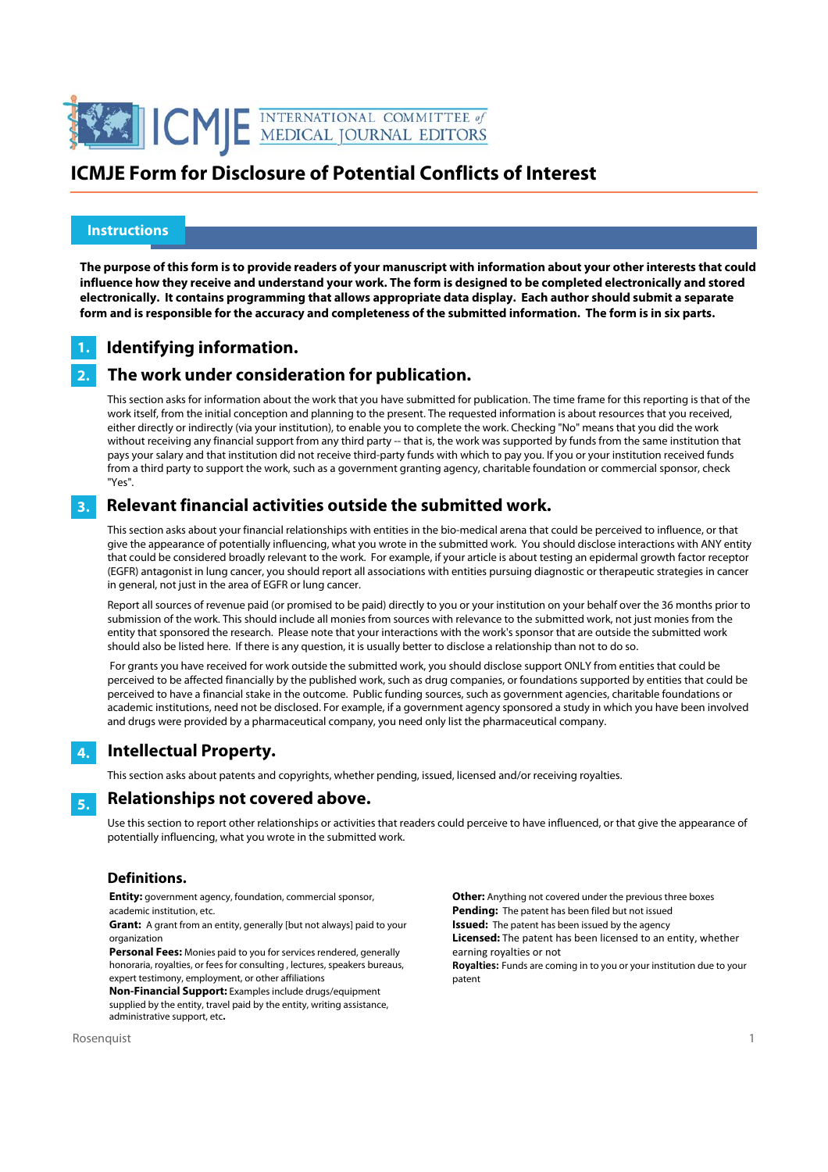

### **Instructions**

**2.**

**The purpose of this form is to provide readers of your manuscript with information about your other interests that could influence how they receive and understand your work. The form is designed to be completed electronically and stored electronically. It contains programming that allows appropriate data display. Each author should submit a separate form and is responsible for the accuracy and completeness of the submitted information. The form is in six parts.** 

#### **Identifying information. 1.**

## **The work under consideration for publication.**

This section asks for information about the work that you have submitted for publication. The time frame for this reporting is that of the work itself, from the initial conception and planning to the present. The requested information is about resources that you received, either directly or indirectly (via your institution), to enable you to complete the work. Checking "No" means that you did the work without receiving any financial support from any third party -- that is, the work was supported by funds from the same institution that pays your salary and that institution did not receive third-party funds with which to pay you. If you or your institution received funds from a third party to support the work, such as a government granting agency, charitable foundation or commercial sponsor, check "Yes".

### **Relevant financial activities outside the submitted work. 3.**

This section asks about your financial relationships with entities in the bio-medical arena that could be perceived to influence, or that give the appearance of potentially influencing, what you wrote in the submitted work. You should disclose interactions with ANY entity that could be considered broadly relevant to the work. For example, if your article is about testing an epidermal growth factor receptor (EGFR) antagonist in lung cancer, you should report all associations with entities pursuing diagnostic or therapeutic strategies in cancer in general, not just in the area of EGFR or lung cancer.

Report all sources of revenue paid (or promised to be paid) directly to you or your institution on your behalf over the 36 months prior to submission of the work. This should include all monies from sources with relevance to the submitted work, not just monies from the entity that sponsored the research. Please note that your interactions with the work's sponsor that are outside the submitted work should also be listed here. If there is any question, it is usually better to disclose a relationship than not to do so.

 For grants you have received for work outside the submitted work, you should disclose support ONLY from entities that could be perceived to be affected financially by the published work, such as drug companies, or foundations supported by entities that could be perceived to have a financial stake in the outcome. Public funding sources, such as government agencies, charitable foundations or academic institutions, need not be disclosed. For example, if a government agency sponsored a study in which you have been involved and drugs were provided by a pharmaceutical company, you need only list the pharmaceutical company.

## **Intellectual Property.**

This section asks about patents and copyrights, whether pending, issued, licensed and/or receiving royalties.

## **Relationships not covered above.**

Use this section to report other relationships or activities that readers could perceive to have influenced, or that give the appearance of potentially influencing, what you wrote in the submitted work.

## **Definitions.**

**Entity:** government agency, foundation, commercial sponsor, academic institution, etc.

**Grant:** A grant from an entity, generally [but not always] paid to your organization

**Personal Fees:** Monies paid to you for services rendered, generally honoraria, royalties, or fees for consulting , lectures, speakers bureaus, expert testimony, employment, or other affiliations

**Non-Financial Support:** Examples include drugs/equipment supplied by the entity, travel paid by the entity, writing assistance, administrative support, etc**.**

**Other:** Anything not covered under the previous three boxes **Pending:** The patent has been filed but not issued **Issued:** The patent has been issued by the agency **Licensed:** The patent has been licensed to an entity, whether earning royalties or not **Royalties:** Funds are coming in to you or your institution due to your patent

Rosenquist 1

**4.**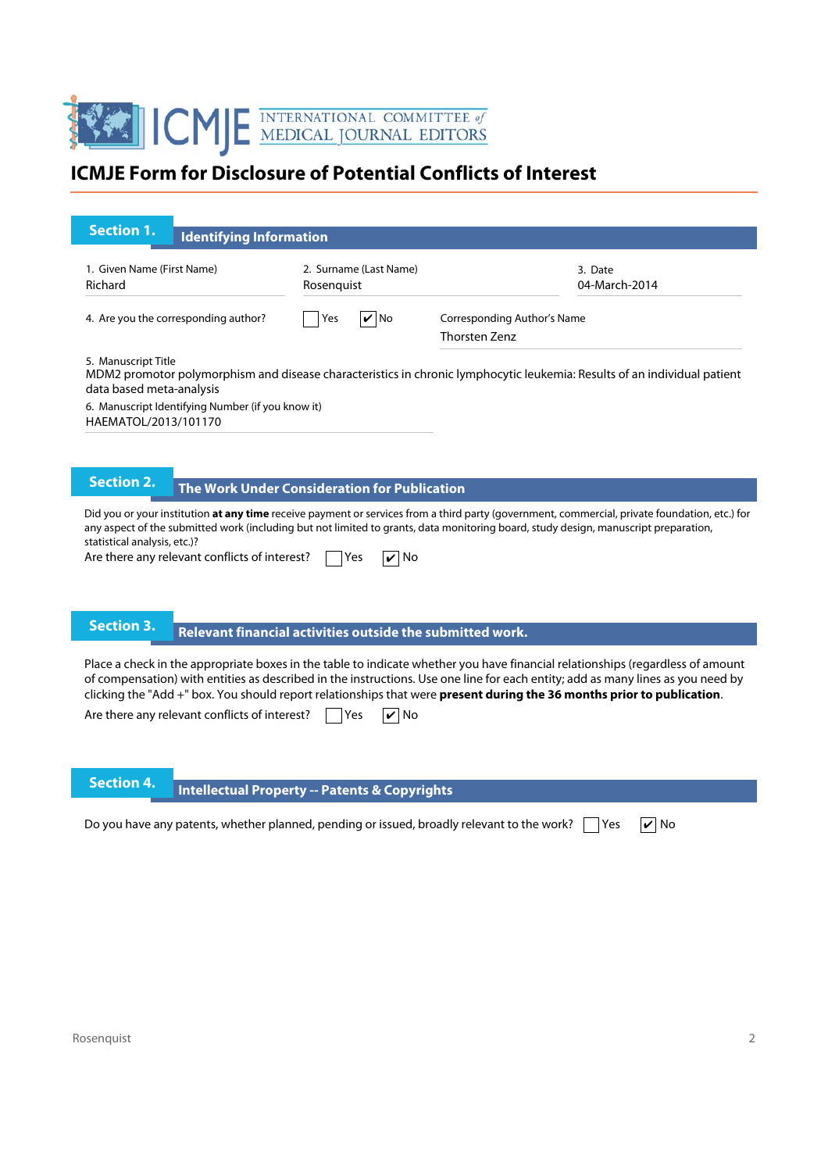

| <b>Section 1.</b>                                                                                                                                                                                                                                                                                                                                                                                                                                              | <b>Identifying Information</b>                                                                                                                                                                                                                                                                                                                                                                     |                                                           |                                                                                                                          |  |  |  |  |
|----------------------------------------------------------------------------------------------------------------------------------------------------------------------------------------------------------------------------------------------------------------------------------------------------------------------------------------------------------------------------------------------------------------------------------------------------------------|----------------------------------------------------------------------------------------------------------------------------------------------------------------------------------------------------------------------------------------------------------------------------------------------------------------------------------------------------------------------------------------------------|-----------------------------------------------------------|--------------------------------------------------------------------------------------------------------------------------|--|--|--|--|
| 1. Given Name (First Name)<br>Richard                                                                                                                                                                                                                                                                                                                                                                                                                          |                                                                                                                                                                                                                                                                                                                                                                                                    | 2. Surname (Last Name)<br>Rosenquist                      | 3. Date<br>04-March-2014                                                                                                 |  |  |  |  |
| 4. Are you the corresponding author?                                                                                                                                                                                                                                                                                                                                                                                                                           |                                                                                                                                                                                                                                                                                                                                                                                                    | $\mathbf{v}$ No<br>Yes                                    | Corresponding Author's Name<br><b>Thorsten Zenz</b>                                                                      |  |  |  |  |
| 5. Manuscript Title<br>data based meta-analysis                                                                                                                                                                                                                                                                                                                                                                                                                |                                                                                                                                                                                                                                                                                                                                                                                                    |                                                           | MDM2 promotor polymorphism and disease characteristics in chronic lymphocytic leukemia: Results of an individual patient |  |  |  |  |
| HAEMATOL/2013/101170                                                                                                                                                                                                                                                                                                                                                                                                                                           | 6. Manuscript Identifying Number (if you know it)                                                                                                                                                                                                                                                                                                                                                  |                                                           |                                                                                                                          |  |  |  |  |
|                                                                                                                                                                                                                                                                                                                                                                                                                                                                |                                                                                                                                                                                                                                                                                                                                                                                                    |                                                           |                                                                                                                          |  |  |  |  |
| <b>Section 2.</b>                                                                                                                                                                                                                                                                                                                                                                                                                                              |                                                                                                                                                                                                                                                                                                                                                                                                    | The Work Under Consideration for Publication              |                                                                                                                          |  |  |  |  |
|                                                                                                                                                                                                                                                                                                                                                                                                                                                                | Did you or your institution at any time receive payment or services from a third party (government, commercial, private foundation, etc.) for<br>any aspect of the submitted work (including but not limited to grants, data monitoring board, study design, manuscript preparation,<br>statistical analysis, etc.)?<br>Are there any relevant conflicts of interest?<br>No<br>Yes<br>$\checkmark$ |                                                           |                                                                                                                          |  |  |  |  |
|                                                                                                                                                                                                                                                                                                                                                                                                                                                                |                                                                                                                                                                                                                                                                                                                                                                                                    |                                                           |                                                                                                                          |  |  |  |  |
| <b>Section 3.</b>                                                                                                                                                                                                                                                                                                                                                                                                                                              |                                                                                                                                                                                                                                                                                                                                                                                                    | Relevant financial activities outside the submitted work. |                                                                                                                          |  |  |  |  |
| Place a check in the appropriate boxes in the table to indicate whether you have financial relationships (regardless of amount<br>of compensation) with entities as described in the instructions. Use one line for each entity; add as many lines as you need by<br>clicking the "Add +" box. You should report relationships that were present during the 36 months prior to publication.<br>Are there any relevant conflicts of interest?<br>No<br>Yes<br>V |                                                                                                                                                                                                                                                                                                                                                                                                    |                                                           |                                                                                                                          |  |  |  |  |
|                                                                                                                                                                                                                                                                                                                                                                                                                                                                |                                                                                                                                                                                                                                                                                                                                                                                                    |                                                           |                                                                                                                          |  |  |  |  |
| <b>Section 4.</b>                                                                                                                                                                                                                                                                                                                                                                                                                                              |                                                                                                                                                                                                                                                                                                                                                                                                    | <b>Intellectual Property -- Patents &amp; Copyrights</b>  |                                                                                                                          |  |  |  |  |
|                                                                                                                                                                                                                                                                                                                                                                                                                                                                | Do you have any patents, whether planned, pending or issued, broadly relevant to the work?<br>$\mathbf{v}$ No<br>Yes                                                                                                                                                                                                                                                                               |                                                           |                                                                                                                          |  |  |  |  |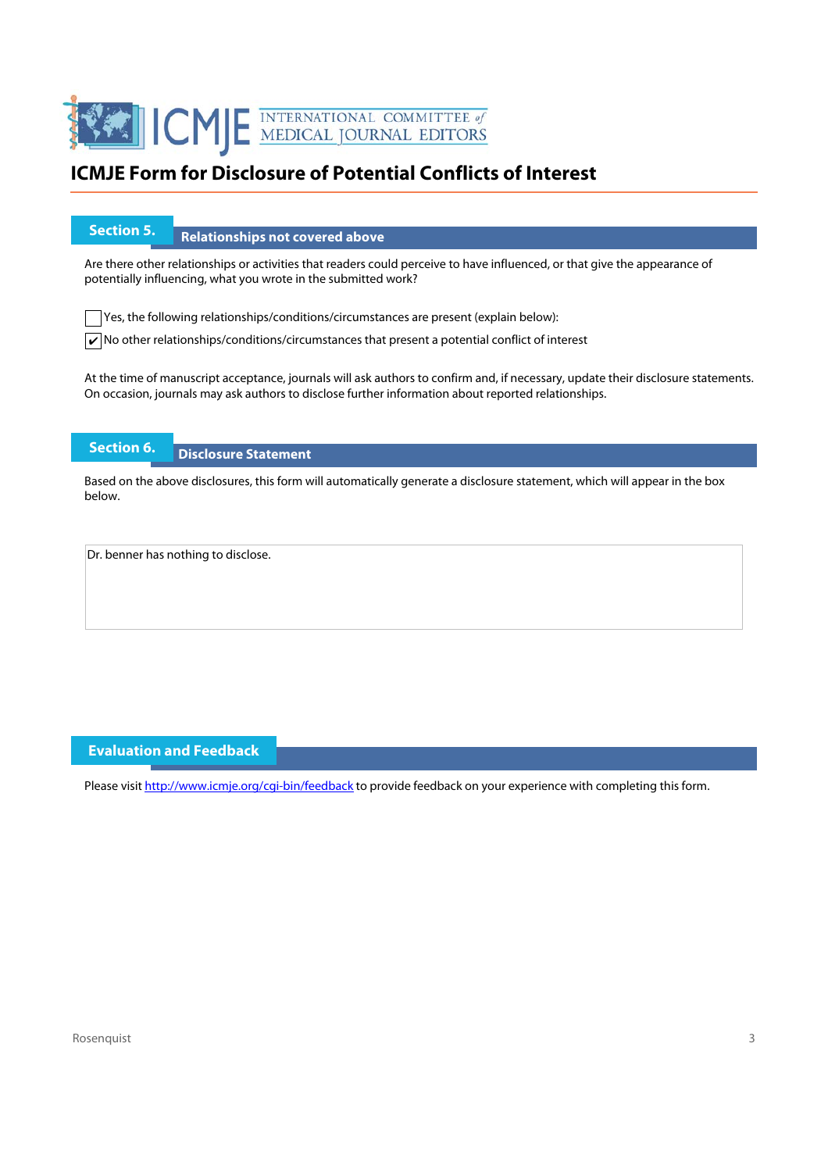

## **Section 5.** Relationships not covered above

Are there other relationships or activities that readers could perceive to have influenced, or that give the appearance of potentially influencing, what you wrote in the submitted work?

 $\Box$  Yes, the following relationships/conditions/circumstances are present (explain below):

 $\boxed{\mathbf{v}}$  No other relationships/conditions/circumstances that present a potential conflict of interest

At the time of manuscript acceptance, journals will ask authors to confirm and, if necessary, update their disclosure statements. On occasion, journals may ask authors to disclose further information about reported relationships.

# **Disclosure Statement Section 6.**

Based on the above disclosures, this form will automatically generate a disclosure statement, which will appear in the box below.

Dr. benner has nothing to disclose.

## **Evaluation and Feedback**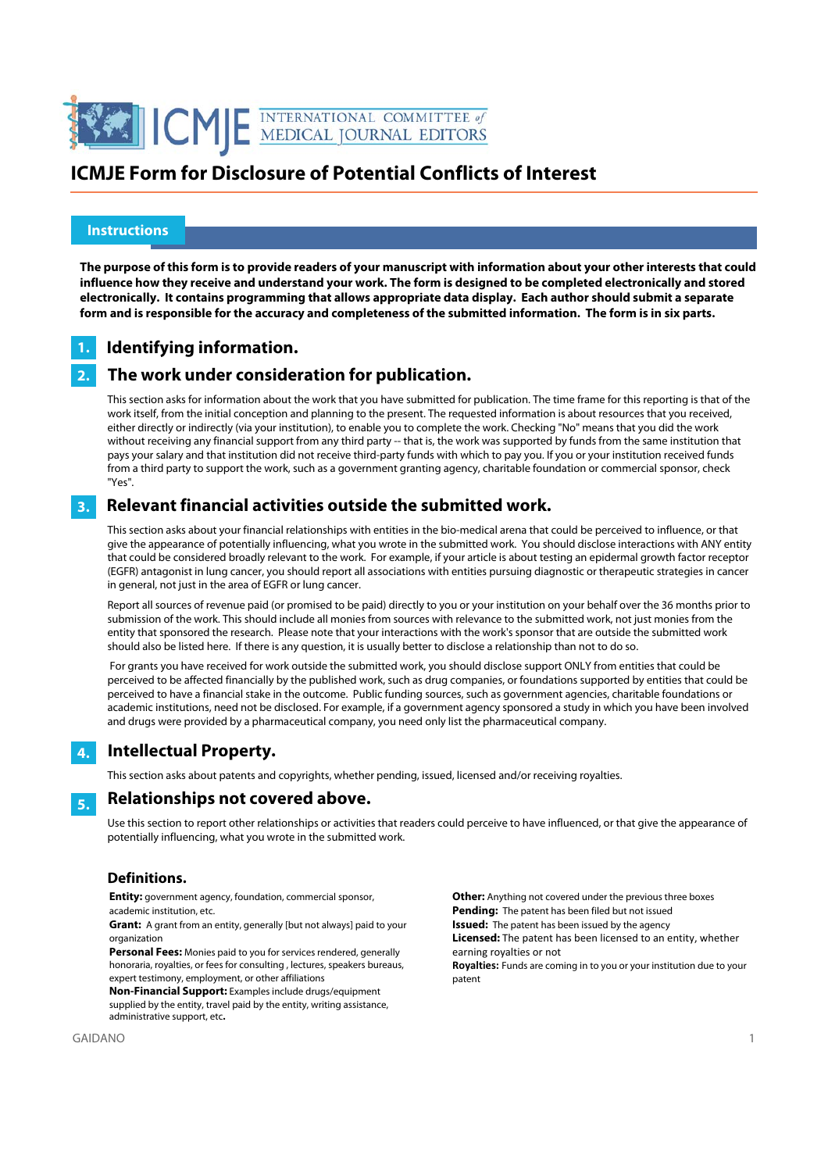

### **Instructions**

**2.**

**The purpose of this form is to provide readers of your manuscript with information about your other interests that could influence how they receive and understand your work. The form is designed to be completed electronically and stored electronically. It contains programming that allows appropriate data display. Each author should submit a separate form and is responsible for the accuracy and completeness of the submitted information. The form is in six parts.** 

#### **Identifying information. 1.**

## **The work under consideration for publication.**

This section asks for information about the work that you have submitted for publication. The time frame for this reporting is that of the work itself, from the initial conception and planning to the present. The requested information is about resources that you received, either directly or indirectly (via your institution), to enable you to complete the work. Checking "No" means that you did the work without receiving any financial support from any third party -- that is, the work was supported by funds from the same institution that pays your salary and that institution did not receive third-party funds with which to pay you. If you or your institution received funds from a third party to support the work, such as a government granting agency, charitable foundation or commercial sponsor, check "Yes".

### **Relevant financial activities outside the submitted work. 3.**

This section asks about your financial relationships with entities in the bio-medical arena that could be perceived to influence, or that give the appearance of potentially influencing, what you wrote in the submitted work. You should disclose interactions with ANY entity that could be considered broadly relevant to the work. For example, if your article is about testing an epidermal growth factor receptor (EGFR) antagonist in lung cancer, you should report all associations with entities pursuing diagnostic or therapeutic strategies in cancer in general, not just in the area of EGFR or lung cancer.

Report all sources of revenue paid (or promised to be paid) directly to you or your institution on your behalf over the 36 months prior to submission of the work. This should include all monies from sources with relevance to the submitted work, not just monies from the entity that sponsored the research. Please note that your interactions with the work's sponsor that are outside the submitted work should also be listed here. If there is any question, it is usually better to disclose a relationship than not to do so.

 For grants you have received for work outside the submitted work, you should disclose support ONLY from entities that could be perceived to be affected financially by the published work, such as drug companies, or foundations supported by entities that could be perceived to have a financial stake in the outcome. Public funding sources, such as government agencies, charitable foundations or academic institutions, need not be disclosed. For example, if a government agency sponsored a study in which you have been involved and drugs were provided by a pharmaceutical company, you need only list the pharmaceutical company.

## **Intellectual Property.**

This section asks about patents and copyrights, whether pending, issued, licensed and/or receiving royalties.

## **Relationships not covered above.**

Use this section to report other relationships or activities that readers could perceive to have influenced, or that give the appearance of potentially influencing, what you wrote in the submitted work.

## **Definitions.**

**Entity:** government agency, foundation, commercial sponsor, academic institution, etc.

**Grant:** A grant from an entity, generally [but not always] paid to your organization

**Personal Fees:** Monies paid to you for services rendered, generally honoraria, royalties, or fees for consulting , lectures, speakers bureaus, expert testimony, employment, or other affiliations

**Non-Financial Support:** Examples include drugs/equipment supplied by the entity, travel paid by the entity, writing assistance, administrative support, etc**.**

**Other:** Anything not covered under the previous three boxes **Pending:** The patent has been filed but not issued **Issued:** The patent has been issued by the agency **Licensed:** The patent has been licensed to an entity, whether earning royalties or not **Royalties:** Funds are coming in to you or your institution due to your patent

GAIDANO 1

**4.**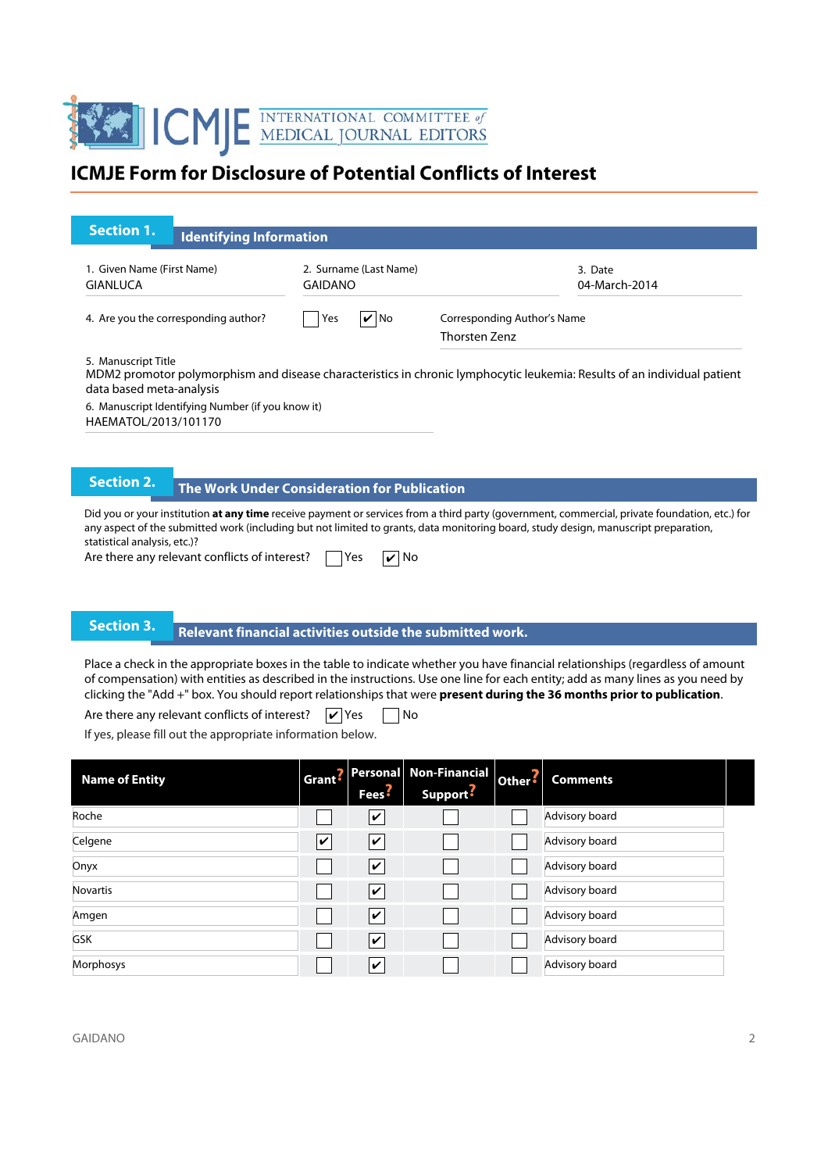

| <b>Section 1.</b><br><b>Identifying Information</b>                                                                                                                                                                                                                                                                                                                                                                                          |                                                                                                                          |                                                     |                          |  |  |  |  |
|----------------------------------------------------------------------------------------------------------------------------------------------------------------------------------------------------------------------------------------------------------------------------------------------------------------------------------------------------------------------------------------------------------------------------------------------|--------------------------------------------------------------------------------------------------------------------------|-----------------------------------------------------|--------------------------|--|--|--|--|
|                                                                                                                                                                                                                                                                                                                                                                                                                                              |                                                                                                                          |                                                     |                          |  |  |  |  |
| 1. Given Name (First Name)<br><b>GIANLUCA</b>                                                                                                                                                                                                                                                                                                                                                                                                | 2. Surname (Last Name)<br><b>GAIDANO</b>                                                                                 |                                                     | 3. Date<br>04-March-2014 |  |  |  |  |
| 4. Are you the corresponding author?                                                                                                                                                                                                                                                                                                                                                                                                         | $ v $ No<br>Yes                                                                                                          | Corresponding Author's Name<br><b>Thorsten Zenz</b> |                          |  |  |  |  |
| 5. Manuscript Title<br>data based meta-analysis                                                                                                                                                                                                                                                                                                                                                                                              | MDM2 promotor polymorphism and disease characteristics in chronic lymphocytic leukemia: Results of an individual patient |                                                     |                          |  |  |  |  |
| 6. Manuscript Identifying Number (if you know it)<br>HAEMATOL/2013/101170                                                                                                                                                                                                                                                                                                                                                                    |                                                                                                                          |                                                     |                          |  |  |  |  |
| <b>Section 2.</b>                                                                                                                                                                                                                                                                                                                                                                                                                            | <b>The Work Under Consideration for Publication</b>                                                                      |                                                     |                          |  |  |  |  |
| Did you or your institution at any time receive payment or services from a third party (government, commercial, private foundation, etc.) for<br>any aspect of the submitted work (including but not limited to grants, data monitoring board, study design, manuscript preparation,<br>statistical analysis, etc.)?<br>Are there any relevant conflicts of interest?<br>  No<br>Yes<br>$\checkmark$                                         |                                                                                                                          |                                                     |                          |  |  |  |  |
| <b>Section 3.</b>                                                                                                                                                                                                                                                                                                                                                                                                                            | Relevant financial activities outside the submitted work.                                                                |                                                     |                          |  |  |  |  |
| Place a check in the appropriate boxes in the table to indicate whether you have financial relationships (regardless of amount<br>of compensation) with entities as described in the instructions. Use one line for each entity; add as many lines as you need by<br>clicking the "Add +" box. You should report relationships that were present during the 36 months prior to publication.<br>Are there any relevant conflicts of interest? | $\checkmark$<br>Yes<br>No                                                                                                |                                                     |                          |  |  |  |  |

If yes, please fill out the appropriate information below.

| <b>Name of Entity</b> | Grant?                  | Fees!                   | Personal   Non-Financial  <br>Support <sup>:</sup> | Other: | <b>Comments</b> |  |
|-----------------------|-------------------------|-------------------------|----------------------------------------------------|--------|-----------------|--|
| Roche                 |                         | V                       |                                                    |        | Advisory board  |  |
| Celgene               | $\overline{\mathbf{v}}$ | $\mathbf v$             |                                                    |        | Advisory board  |  |
| Onyx                  |                         | V                       |                                                    |        | Advisory board  |  |
| <b>Novartis</b>       |                         | V                       |                                                    |        | Advisory board  |  |
| Amgen                 |                         | $\overline{\mathbf{v}}$ |                                                    |        | Advisory board  |  |
| <b>GSK</b>            |                         | V                       |                                                    |        | Advisory board  |  |
| Morphosys             |                         | ✔                       |                                                    |        | Advisory board  |  |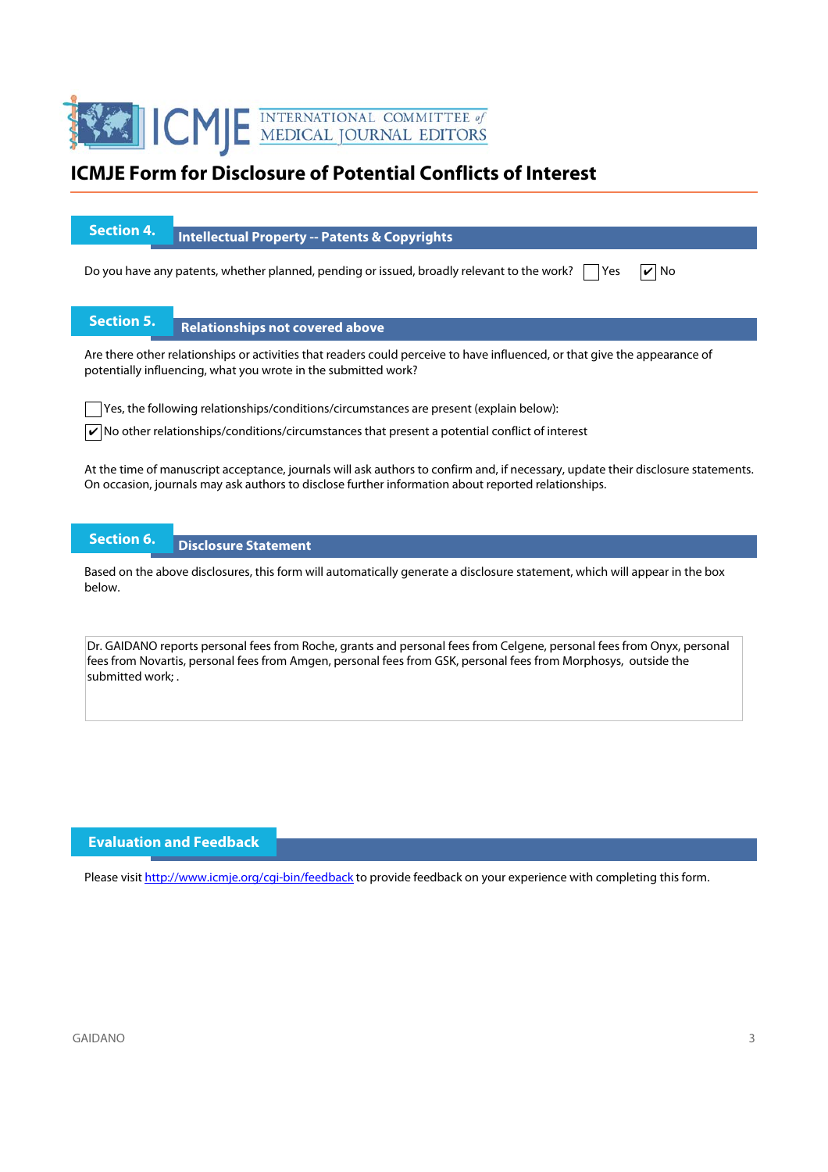

| <b>Section 4.</b>                                                                                                                                                                                                                        | <b>Intellectual Property -- Patents &amp; Copyrights</b>                                                                                                                                     |  |  |  |  |  |  |
|------------------------------------------------------------------------------------------------------------------------------------------------------------------------------------------------------------------------------------------|----------------------------------------------------------------------------------------------------------------------------------------------------------------------------------------------|--|--|--|--|--|--|
|                                                                                                                                                                                                                                          | Do you have any patents, whether planned, pending or issued, broadly relevant to the work?<br>No<br>Yes<br>V                                                                                 |  |  |  |  |  |  |
| <b>Section 5.</b>                                                                                                                                                                                                                        | <b>Relationships not covered above</b>                                                                                                                                                       |  |  |  |  |  |  |
|                                                                                                                                                                                                                                          | Are there other relationships or activities that readers could perceive to have influenced, or that give the appearance of<br>potentially influencing, what you wrote in the submitted work? |  |  |  |  |  |  |
|                                                                                                                                                                                                                                          | Yes, the following relationships/conditions/circumstances are present (explain below):                                                                                                       |  |  |  |  |  |  |
|                                                                                                                                                                                                                                          | $\vert \mathbf{v} \vert$ No other relationships/conditions/circumstances that present a potential conflict of interest                                                                       |  |  |  |  |  |  |
| At the time of manuscript acceptance, journals will ask authors to confirm and, if necessary, update their disclosure statements.<br>On occasion, journals may ask authors to disclose further information about reported relationships. |                                                                                                                                                                                              |  |  |  |  |  |  |
| <b>Section 6.</b>                                                                                                                                                                                                                        | <b>Disclosure Statement</b>                                                                                                                                                                  |  |  |  |  |  |  |
| below.                                                                                                                                                                                                                                   | Based on the above disclosures, this form will automatically generate a disclosure statement, which will appear in the box                                                                   |  |  |  |  |  |  |

Dr. GAIDANO reports personal fees from Roche, grants and personal fees from Celgene, personal fees from Onyx, personal fees from Novartis, personal fees from Amgen, personal fees from GSK, personal fees from Morphosys, outside the submitted work; .

## **Evaluation and Feedback**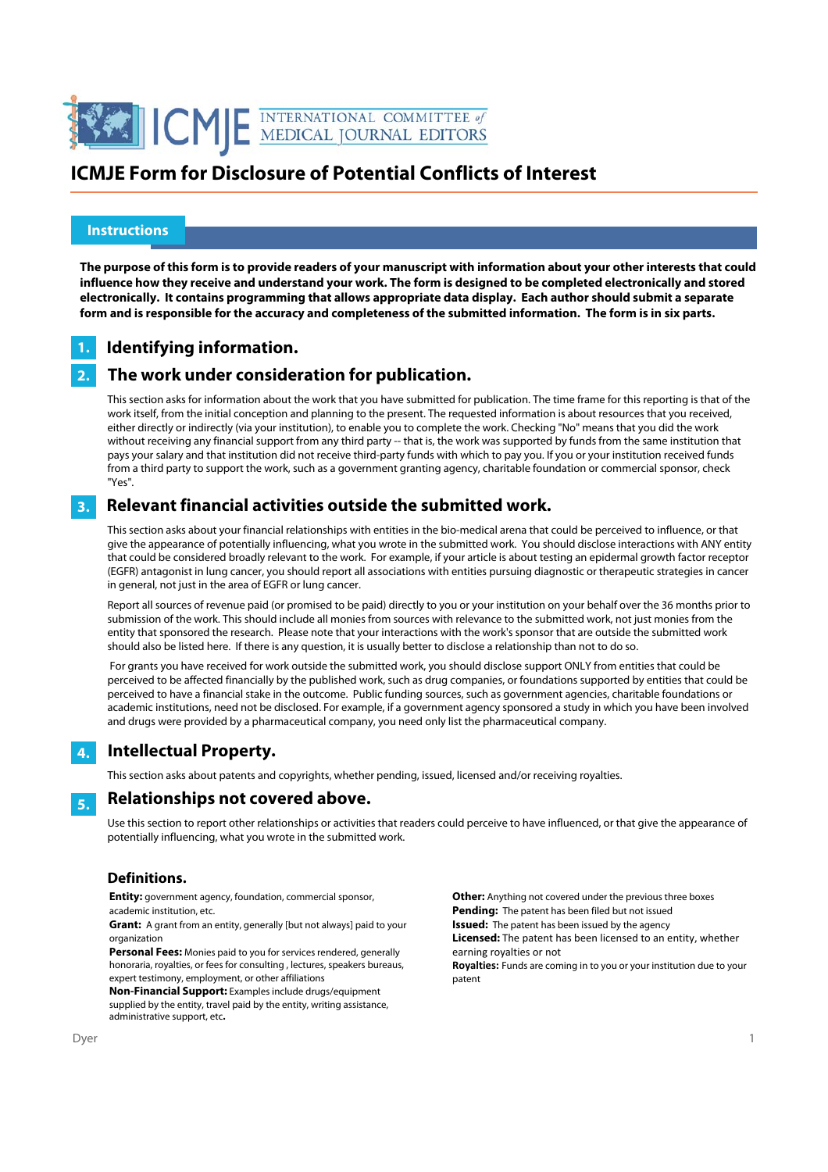

### **Instructions**

**2.**

**The purpose of this form is to provide readers of your manuscript with information about your other interests that could influence how they receive and understand your work. The form is designed to be completed electronically and stored electronically. It contains programming that allows appropriate data display. Each author should submit a separate form and is responsible for the accuracy and completeness of the submitted information. The form is in six parts.** 

#### **Identifying information. 1.**

## **The work under consideration for publication.**

This section asks for information about the work that you have submitted for publication. The time frame for this reporting is that of the work itself, from the initial conception and planning to the present. The requested information is about resources that you received, either directly or indirectly (via your institution), to enable you to complete the work. Checking "No" means that you did the work without receiving any financial support from any third party -- that is, the work was supported by funds from the same institution that pays your salary and that institution did not receive third-party funds with which to pay you. If you or your institution received funds from a third party to support the work, such as a government granting agency, charitable foundation or commercial sponsor, check "Yes".

### **Relevant financial activities outside the submitted work. 3.**

This section asks about your financial relationships with entities in the bio-medical arena that could be perceived to influence, or that give the appearance of potentially influencing, what you wrote in the submitted work. You should disclose interactions with ANY entity that could be considered broadly relevant to the work. For example, if your article is about testing an epidermal growth factor receptor (EGFR) antagonist in lung cancer, you should report all associations with entities pursuing diagnostic or therapeutic strategies in cancer in general, not just in the area of EGFR or lung cancer.

Report all sources of revenue paid (or promised to be paid) directly to you or your institution on your behalf over the 36 months prior to submission of the work. This should include all monies from sources with relevance to the submitted work, not just monies from the entity that sponsored the research. Please note that your interactions with the work's sponsor that are outside the submitted work should also be listed here. If there is any question, it is usually better to disclose a relationship than not to do so.

 For grants you have received for work outside the submitted work, you should disclose support ONLY from entities that could be perceived to be affected financially by the published work, such as drug companies, or foundations supported by entities that could be perceived to have a financial stake in the outcome. Public funding sources, such as government agencies, charitable foundations or academic institutions, need not be disclosed. For example, if a government agency sponsored a study in which you have been involved and drugs were provided by a pharmaceutical company, you need only list the pharmaceutical company.

## **Intellectual Property.**

This section asks about patents and copyrights, whether pending, issued, licensed and/or receiving royalties.

## **Relationships not covered above.**

Use this section to report other relationships or activities that readers could perceive to have influenced, or that give the appearance of potentially influencing, what you wrote in the submitted work.

## **Definitions.**

**Entity:** government agency, foundation, commercial sponsor, academic institution, etc.

**Grant:** A grant from an entity, generally [but not always] paid to your organization

**Personal Fees:** Monies paid to you for services rendered, generally honoraria, royalties, or fees for consulting , lectures, speakers bureaus, expert testimony, employment, or other affiliations

**Non-Financial Support:** Examples include drugs/equipment supplied by the entity, travel paid by the entity, writing assistance, administrative support, etc**.**

**Other:** Anything not covered under the previous three boxes **Pending:** The patent has been filed but not issued **Issued:** The patent has been issued by the agency **Licensed:** The patent has been licensed to an entity, whether earning royalties or not **Royalties:** Funds are coming in to you or your institution due to your patent

**4.**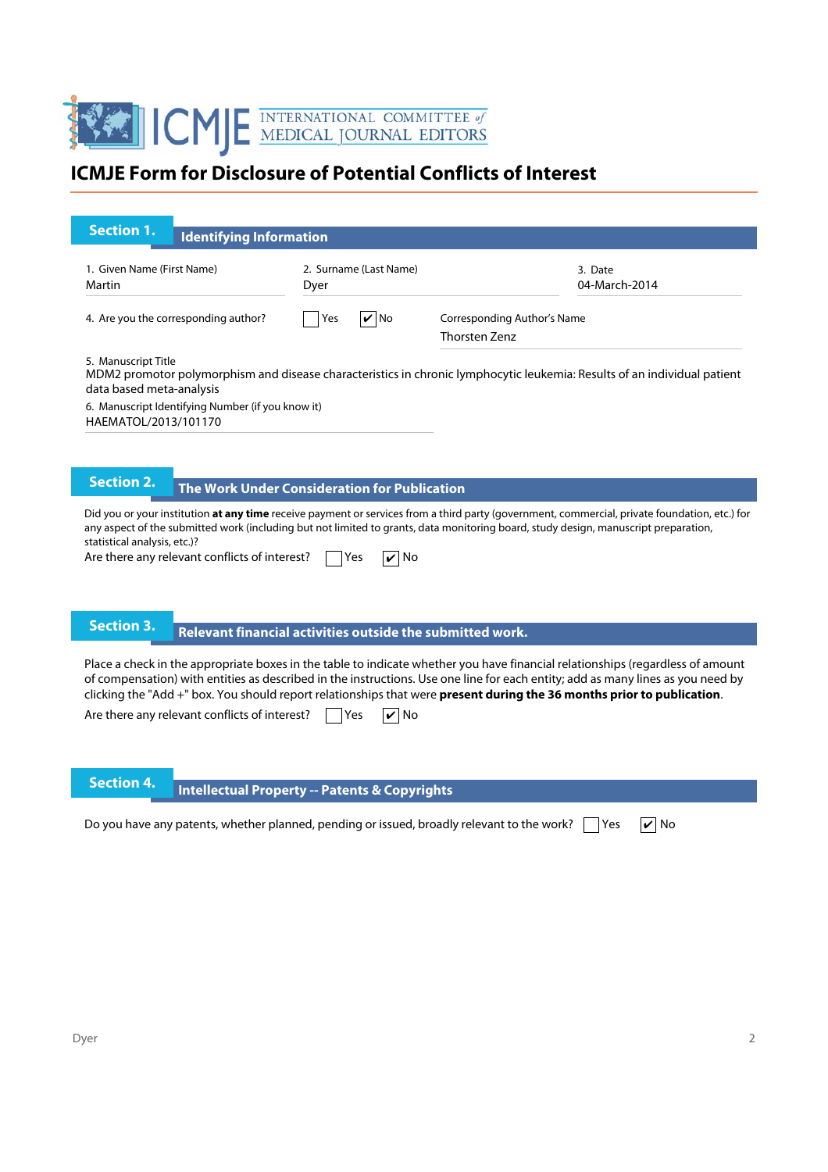

| <b>Section 1.</b>                                                                                                                                                                                                                                                                                                                                                                                                                                              | <b>Identifying Information</b>                    |                                                           |                                                                                                                          |               |  |
|----------------------------------------------------------------------------------------------------------------------------------------------------------------------------------------------------------------------------------------------------------------------------------------------------------------------------------------------------------------------------------------------------------------------------------------------------------------|---------------------------------------------------|-----------------------------------------------------------|--------------------------------------------------------------------------------------------------------------------------|---------------|--|
| 1. Given Name (First Name)<br>Martin                                                                                                                                                                                                                                                                                                                                                                                                                           |                                                   | 2. Surname (Last Name)<br>Dyer                            | 3. Date                                                                                                                  | 04-March-2014 |  |
|                                                                                                                                                                                                                                                                                                                                                                                                                                                                | 4. Are you the corresponding author?              | $\nu$ No<br>Yes                                           | Corresponding Author's Name<br><b>Thorsten Zenz</b>                                                                      |               |  |
| 5. Manuscript Title<br>data based meta-analysis                                                                                                                                                                                                                                                                                                                                                                                                                |                                                   |                                                           | MDM2 promotor polymorphism and disease characteristics in chronic lymphocytic leukemia: Results of an individual patient |               |  |
| HAEMATOL/2013/101170                                                                                                                                                                                                                                                                                                                                                                                                                                           | 6. Manuscript Identifying Number (if you know it) |                                                           |                                                                                                                          |               |  |
|                                                                                                                                                                                                                                                                                                                                                                                                                                                                |                                                   |                                                           |                                                                                                                          |               |  |
| <b>Section 2.</b>                                                                                                                                                                                                                                                                                                                                                                                                                                              |                                                   | The Work Under Consideration for Publication              |                                                                                                                          |               |  |
| Did you or your institution at any time receive payment or services from a third party (government, commercial, private foundation, etc.) for<br>any aspect of the submitted work (including but not limited to grants, data monitoring board, study design, manuscript preparation,<br>statistical analysis, etc.)?<br>Are there any relevant conflicts of interest?<br>Yes<br>No<br>V                                                                        |                                                   |                                                           |                                                                                                                          |               |  |
|                                                                                                                                                                                                                                                                                                                                                                                                                                                                |                                                   |                                                           |                                                                                                                          |               |  |
| <b>Section 3.</b>                                                                                                                                                                                                                                                                                                                                                                                                                                              |                                                   | Relevant financial activities outside the submitted work. |                                                                                                                          |               |  |
| Place a check in the appropriate boxes in the table to indicate whether you have financial relationships (regardless of amount<br>of compensation) with entities as described in the instructions. Use one line for each entity; add as many lines as you need by<br>clicking the "Add +" box. You should report relationships that were present during the 36 months prior to publication.<br>Are there any relevant conflicts of interest?<br>No<br>Yes<br>✓ |                                                   |                                                           |                                                                                                                          |               |  |
|                                                                                                                                                                                                                                                                                                                                                                                                                                                                |                                                   |                                                           |                                                                                                                          |               |  |
| <b>Section 4.</b>                                                                                                                                                                                                                                                                                                                                                                                                                                              |                                                   | <b>Intellectual Property -- Patents &amp; Copyrights</b>  |                                                                                                                          |               |  |
| Do you have any patents, whether planned, pending or issued, broadly relevant to the work?<br>Yes<br>$\mathbf{v}$ No                                                                                                                                                                                                                                                                                                                                           |                                                   |                                                           |                                                                                                                          |               |  |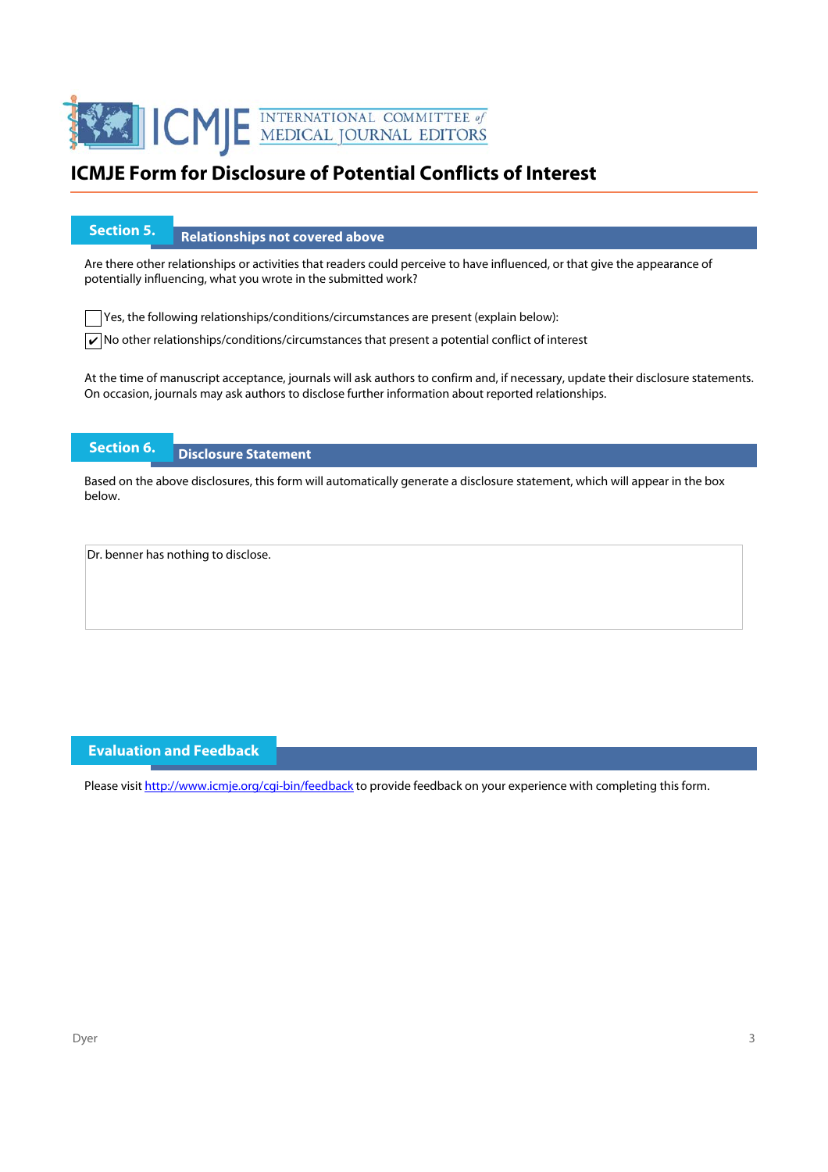

## **Section 5.** Relationships not covered above

Are there other relationships or activities that readers could perceive to have influenced, or that give the appearance of potentially influencing, what you wrote in the submitted work?

 $\Box$  Yes, the following relationships/conditions/circumstances are present (explain below):

 $\boxed{\mathbf{v}}$  No other relationships/conditions/circumstances that present a potential conflict of interest

At the time of manuscript acceptance, journals will ask authors to confirm and, if necessary, update their disclosure statements. On occasion, journals may ask authors to disclose further information about reported relationships.

# **Disclosure Statement Section 6.**

Based on the above disclosures, this form will automatically generate a disclosure statement, which will appear in the box below.

Dr. benner has nothing to disclose.

## **Evaluation and Feedback**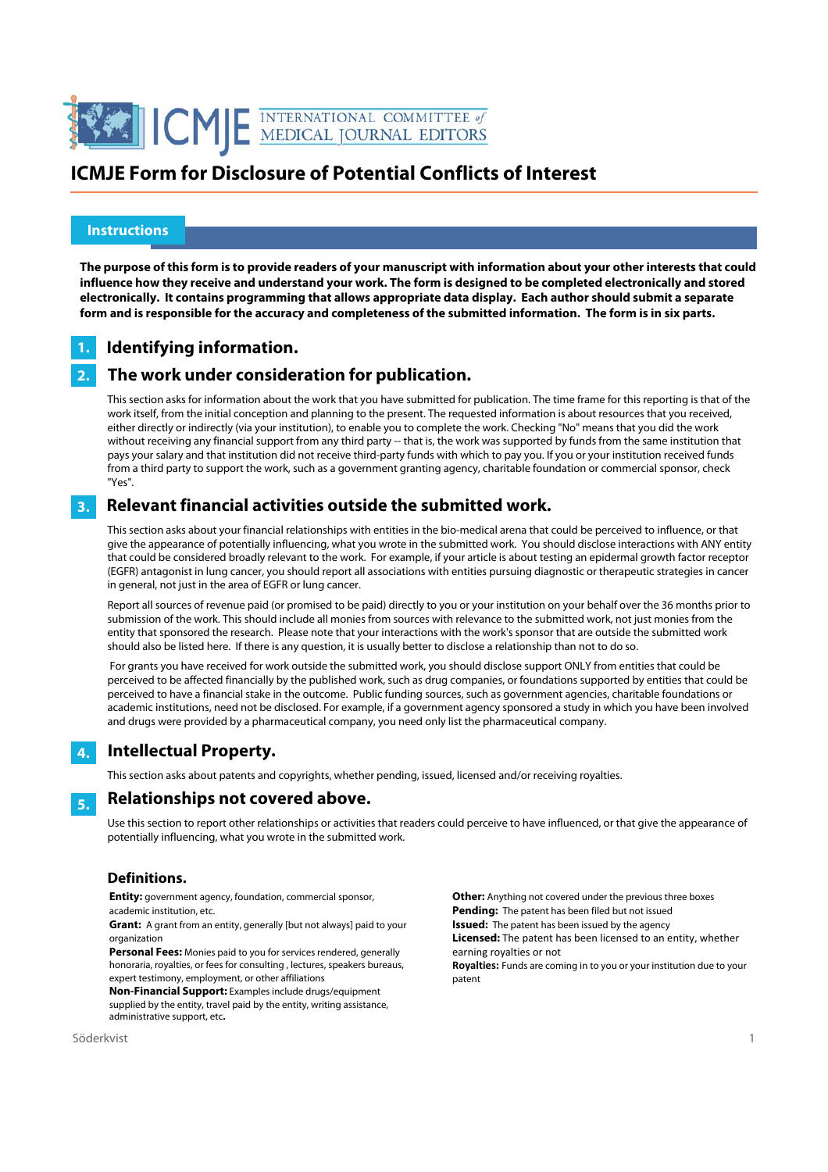

### **Instructions**

**2.**

**The purpose of this form is to provide readers of your manuscript with information about your other interests that could influence how they receive and understand your work. The form is designed to be completed electronically and stored electronically. It contains programming that allows appropriate data display. Each author should submit a separate form and is responsible for the accuracy and completeness of the submitted information. The form is in six parts.** 

#### **Identifying information. 1.**

## **The work under consideration for publication.**

This section asks for information about the work that you have submitted for publication. The time frame for this reporting is that of the work itself, from the initial conception and planning to the present. The requested information is about resources that you received, either directly or indirectly (via your institution), to enable you to complete the work. Checking "No" means that you did the work without receiving any financial support from any third party -- that is, the work was supported by funds from the same institution that pays your salary and that institution did not receive third-party funds with which to pay you. If you or your institution received funds from a third party to support the work, such as a government granting agency, charitable foundation or commercial sponsor, check "Yes".

### **Relevant financial activities outside the submitted work. 3.**

This section asks about your financial relationships with entities in the bio-medical arena that could be perceived to influence, or that give the appearance of potentially influencing, what you wrote in the submitted work. You should disclose interactions with ANY entity that could be considered broadly relevant to the work. For example, if your article is about testing an epidermal growth factor receptor (EGFR) antagonist in lung cancer, you should report all associations with entities pursuing diagnostic or therapeutic strategies in cancer in general, not just in the area of EGFR or lung cancer.

Report all sources of revenue paid (or promised to be paid) directly to you or your institution on your behalf over the 36 months prior to submission of the work. This should include all monies from sources with relevance to the submitted work, not just monies from the entity that sponsored the research. Please note that your interactions with the work's sponsor that are outside the submitted work should also be listed here. If there is any question, it is usually better to disclose a relationship than not to do so.

 For grants you have received for work outside the submitted work, you should disclose support ONLY from entities that could be perceived to be affected financially by the published work, such as drug companies, or foundations supported by entities that could be perceived to have a financial stake in the outcome. Public funding sources, such as government agencies, charitable foundations or academic institutions, need not be disclosed. For example, if a government agency sponsored a study in which you have been involved and drugs were provided by a pharmaceutical company, you need only list the pharmaceutical company.

## **Intellectual Property.**

This section asks about patents and copyrights, whether pending, issued, licensed and/or receiving royalties.

## **Relationships not covered above.**

Use this section to report other relationships or activities that readers could perceive to have influenced, or that give the appearance of potentially influencing, what you wrote in the submitted work.

## **Definitions.**

**Entity:** government agency, foundation, commercial sponsor, academic institution, etc.

**Grant:** A grant from an entity, generally [but not always] paid to your organization

**Personal Fees:** Monies paid to you for services rendered, generally honoraria, royalties, or fees for consulting , lectures, speakers bureaus, expert testimony, employment, or other affiliations

**Non-Financial Support:** Examples include drugs/equipment supplied by the entity, travel paid by the entity, writing assistance, administrative support, etc**.**

**Other:** Anything not covered under the previous three boxes **Pending:** The patent has been filed but not issued **Issued:** The patent has been issued by the agency **Licensed:** The patent has been licensed to an entity, whether earning royalties or not **Royalties:** Funds are coming in to you or your institution due to your patent

Söderkvist 1

**4.**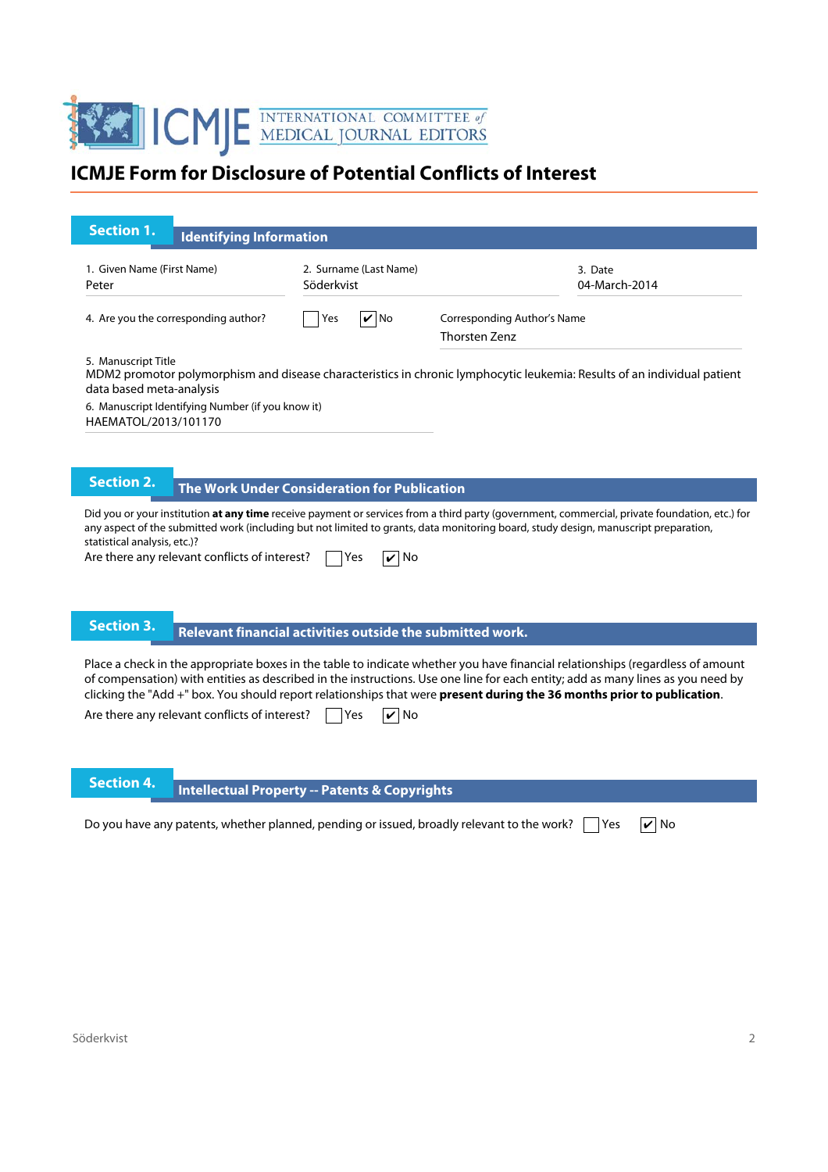

| <b>Section 1.</b><br><b>Identifying Information</b>                                                                                                                                                                                                                                                                                                                                         |                                                           |                                                                                                                                               |  |  |  |
|---------------------------------------------------------------------------------------------------------------------------------------------------------------------------------------------------------------------------------------------------------------------------------------------------------------------------------------------------------------------------------------------|-----------------------------------------------------------|-----------------------------------------------------------------------------------------------------------------------------------------------|--|--|--|
|                                                                                                                                                                                                                                                                                                                                                                                             |                                                           |                                                                                                                                               |  |  |  |
| 1. Given Name (First Name)<br>Peter                                                                                                                                                                                                                                                                                                                                                         | 2. Surname (Last Name)<br>Söderkvist                      | 3. Date<br>04-March-2014                                                                                                                      |  |  |  |
| 4. Are you the corresponding author?                                                                                                                                                                                                                                                                                                                                                        | $\nu$ No<br>Yes                                           | Corresponding Author's Name<br><b>Thorsten Zenz</b>                                                                                           |  |  |  |
| 5. Manuscript Title<br>data based meta-analysis                                                                                                                                                                                                                                                                                                                                             |                                                           | MDM2 promotor polymorphism and disease characteristics in chronic lymphocytic leukemia: Results of an individual patient                      |  |  |  |
| 6. Manuscript Identifying Number (if you know it)<br>HAEMATOL/2013/101170                                                                                                                                                                                                                                                                                                                   |                                                           |                                                                                                                                               |  |  |  |
|                                                                                                                                                                                                                                                                                                                                                                                             |                                                           |                                                                                                                                               |  |  |  |
| <b>Section 2.</b>                                                                                                                                                                                                                                                                                                                                                                           |                                                           |                                                                                                                                               |  |  |  |
|                                                                                                                                                                                                                                                                                                                                                                                             | The Work Under Consideration for Publication              | Did you or your institution at any time receive payment or services from a third party (government, commercial, private foundation, etc.) for |  |  |  |
| statistical analysis, etc.)?                                                                                                                                                                                                                                                                                                                                                                |                                                           | any aspect of the submitted work (including but not limited to grants, data monitoring board, study design, manuscript preparation,           |  |  |  |
| Are there any relevant conflicts of interest?                                                                                                                                                                                                                                                                                                                                               | Yes<br>$\boldsymbol{\nu}$<br>No                           |                                                                                                                                               |  |  |  |
|                                                                                                                                                                                                                                                                                                                                                                                             |                                                           |                                                                                                                                               |  |  |  |
| <b>Section 3.</b>                                                                                                                                                                                                                                                                                                                                                                           |                                                           |                                                                                                                                               |  |  |  |
|                                                                                                                                                                                                                                                                                                                                                                                             | Relevant financial activities outside the submitted work. |                                                                                                                                               |  |  |  |
| Place a check in the appropriate boxes in the table to indicate whether you have financial relationships (regardless of amount<br>of compensation) with entities as described in the instructions. Use one line for each entity; add as many lines as you need by<br>clicking the "Add +" box. You should report relationships that were present during the 36 months prior to publication. |                                                           |                                                                                                                                               |  |  |  |
| Are there any relevant conflicts of interest?                                                                                                                                                                                                                                                                                                                                               | No<br>Yes<br>V                                            |                                                                                                                                               |  |  |  |
|                                                                                                                                                                                                                                                                                                                                                                                             |                                                           |                                                                                                                                               |  |  |  |
| <b>Section 4.</b>                                                                                                                                                                                                                                                                                                                                                                           | <b>Intellectual Property -- Patents &amp; Copyrights</b>  |                                                                                                                                               |  |  |  |
| Do you have any patents, whether planned, pending or issued, broadly relevant to the work?                                                                                                                                                                                                                                                                                                  |                                                           | Yes<br>$\mathbf{v}$ No                                                                                                                        |  |  |  |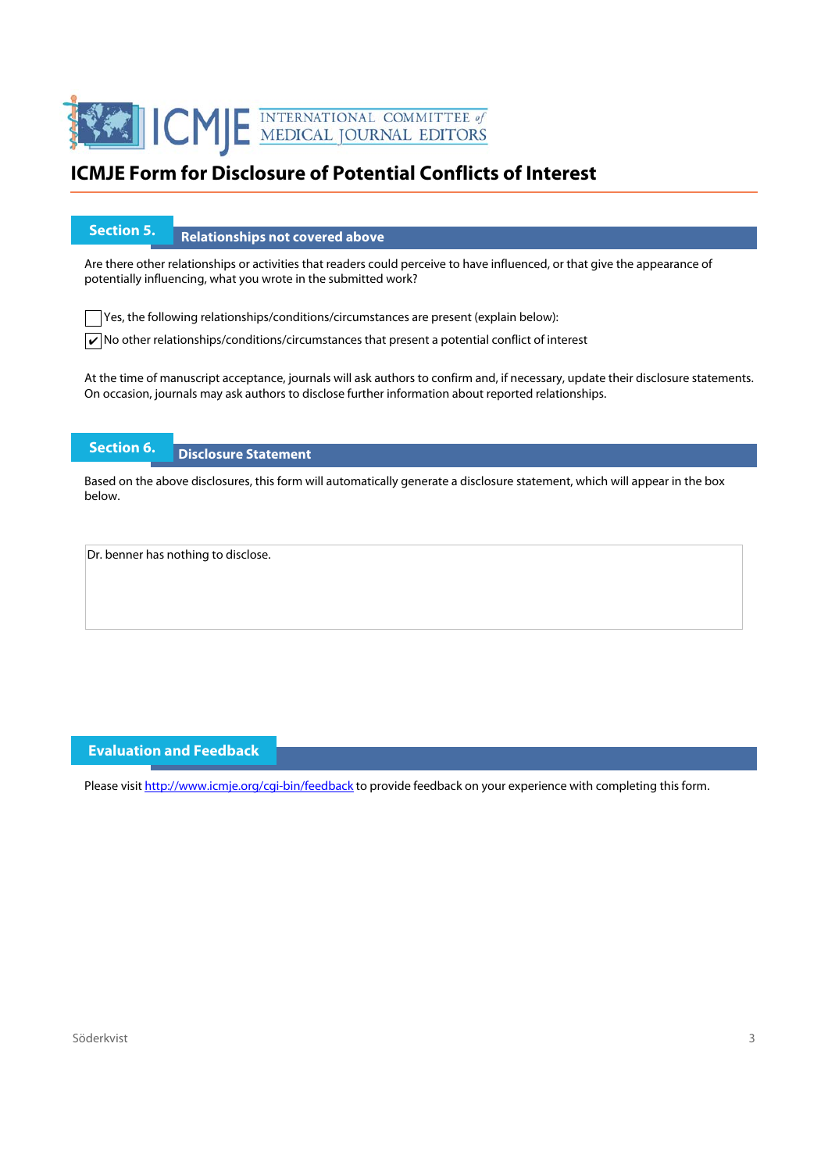

## **Section 5.** Relationships not covered above

Are there other relationships or activities that readers could perceive to have influenced, or that give the appearance of potentially influencing, what you wrote in the submitted work?

 $\Box$  Yes, the following relationships/conditions/circumstances are present (explain below):

 $\boxed{\mathbf{v}}$  No other relationships/conditions/circumstances that present a potential conflict of interest

At the time of manuscript acceptance, journals will ask authors to confirm and, if necessary, update their disclosure statements. On occasion, journals may ask authors to disclose further information about reported relationships.

# **Disclosure Statement Section 6.**

Based on the above disclosures, this form will automatically generate a disclosure statement, which will appear in the box below.

Dr. benner has nothing to disclose.

## **Evaluation and Feedback**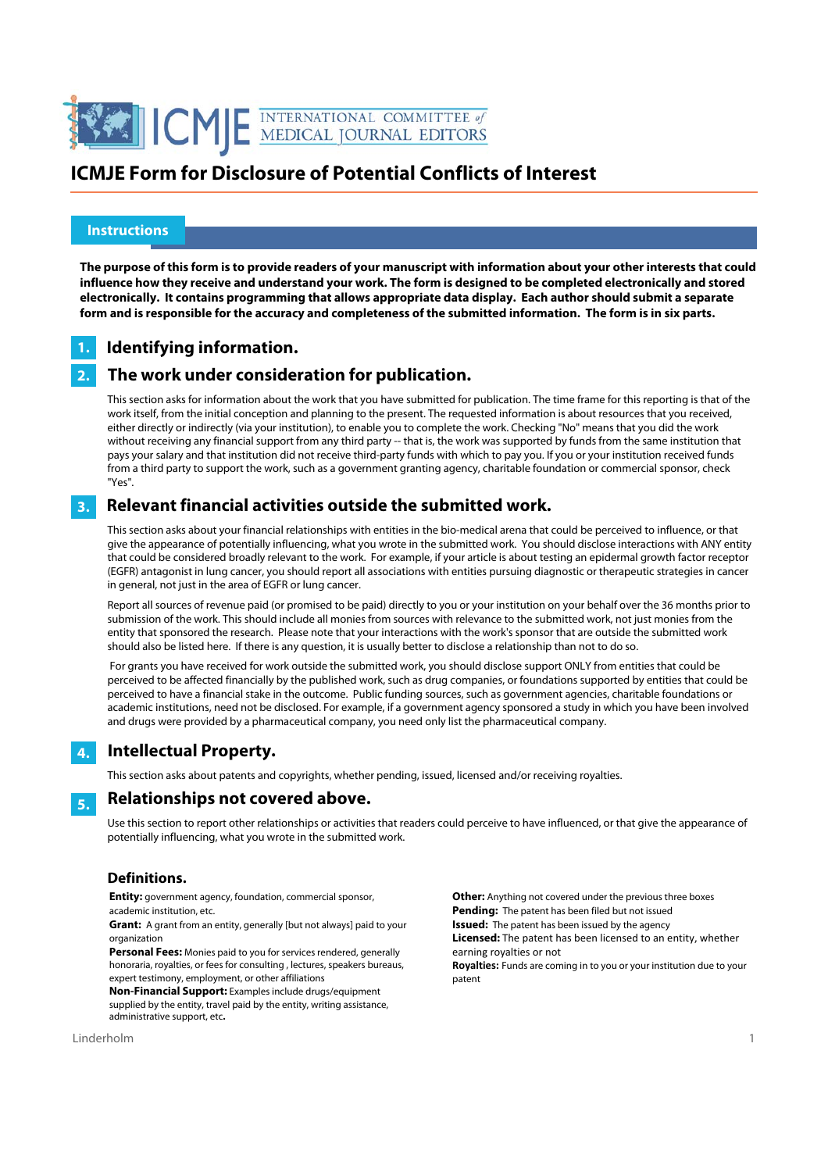

### **Instructions**

**2.**

**The purpose of this form is to provide readers of your manuscript with information about your other interests that could influence how they receive and understand your work. The form is designed to be completed electronically and stored electronically. It contains programming that allows appropriate data display. Each author should submit a separate form and is responsible for the accuracy and completeness of the submitted information. The form is in six parts.** 

#### **Identifying information. 1.**

## **The work under consideration for publication.**

This section asks for information about the work that you have submitted for publication. The time frame for this reporting is that of the work itself, from the initial conception and planning to the present. The requested information is about resources that you received, either directly or indirectly (via your institution), to enable you to complete the work. Checking "No" means that you did the work without receiving any financial support from any third party -- that is, the work was supported by funds from the same institution that pays your salary and that institution did not receive third-party funds with which to pay you. If you or your institution received funds from a third party to support the work, such as a government granting agency, charitable foundation or commercial sponsor, check "Yes".

### **Relevant financial activities outside the submitted work. 3.**

This section asks about your financial relationships with entities in the bio-medical arena that could be perceived to influence, or that give the appearance of potentially influencing, what you wrote in the submitted work. You should disclose interactions with ANY entity that could be considered broadly relevant to the work. For example, if your article is about testing an epidermal growth factor receptor (EGFR) antagonist in lung cancer, you should report all associations with entities pursuing diagnostic or therapeutic strategies in cancer in general, not just in the area of EGFR or lung cancer.

Report all sources of revenue paid (or promised to be paid) directly to you or your institution on your behalf over the 36 months prior to submission of the work. This should include all monies from sources with relevance to the submitted work, not just monies from the entity that sponsored the research. Please note that your interactions with the work's sponsor that are outside the submitted work should also be listed here. If there is any question, it is usually better to disclose a relationship than not to do so.

 For grants you have received for work outside the submitted work, you should disclose support ONLY from entities that could be perceived to be affected financially by the published work, such as drug companies, or foundations supported by entities that could be perceived to have a financial stake in the outcome. Public funding sources, such as government agencies, charitable foundations or academic institutions, need not be disclosed. For example, if a government agency sponsored a study in which you have been involved and drugs were provided by a pharmaceutical company, you need only list the pharmaceutical company.

## **Intellectual Property.**

This section asks about patents and copyrights, whether pending, issued, licensed and/or receiving royalties.

## **Relationships not covered above.**

Use this section to report other relationships or activities that readers could perceive to have influenced, or that give the appearance of potentially influencing, what you wrote in the submitted work.

## **Definitions.**

**Entity:** government agency, foundation, commercial sponsor, academic institution, etc.

**Grant:** A grant from an entity, generally [but not always] paid to your organization

**Personal Fees:** Monies paid to you for services rendered, generally honoraria, royalties, or fees for consulting , lectures, speakers bureaus, expert testimony, employment, or other affiliations

**Non-Financial Support:** Examples include drugs/equipment supplied by the entity, travel paid by the entity, writing assistance, administrative support, etc**.**

**Other:** Anything not covered under the previous three boxes **Pending:** The patent has been filed but not issued **Issued:** The patent has been issued by the agency **Licensed:** The patent has been licensed to an entity, whether earning royalties or not **Royalties:** Funds are coming in to you or your institution due to your patent

Linderholm 1

**4.**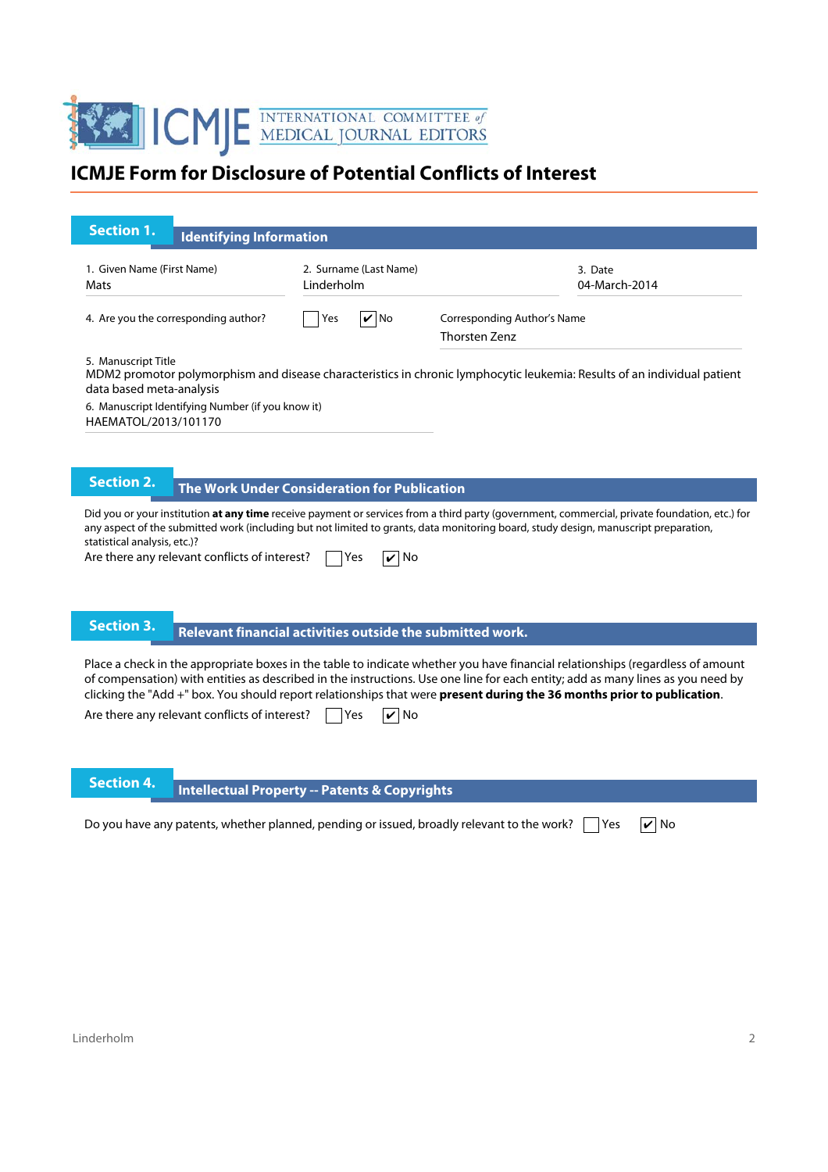

| <b>Section 1.</b>                                                                                                                                                                                                                                                                                                                                                                                                                                                                                                             | <b>Identifying Information</b>                                                                                       |                                                          |                                                                                                                          |  |  |  |
|-------------------------------------------------------------------------------------------------------------------------------------------------------------------------------------------------------------------------------------------------------------------------------------------------------------------------------------------------------------------------------------------------------------------------------------------------------------------------------------------------------------------------------|----------------------------------------------------------------------------------------------------------------------|----------------------------------------------------------|--------------------------------------------------------------------------------------------------------------------------|--|--|--|
| 1. Given Name (First Name)<br>Mats                                                                                                                                                                                                                                                                                                                                                                                                                                                                                            |                                                                                                                      | 2. Surname (Last Name)<br>Linderholm                     | 3. Date<br>04-March-2014                                                                                                 |  |  |  |
|                                                                                                                                                                                                                                                                                                                                                                                                                                                                                                                               | 4. Are you the corresponding author?                                                                                 | V<br>No<br>Yes                                           | Corresponding Author's Name<br><b>Thorsten Zenz</b>                                                                      |  |  |  |
| 5. Manuscript Title<br>data based meta-analysis                                                                                                                                                                                                                                                                                                                                                                                                                                                                               |                                                                                                                      |                                                          | MDM2 promotor polymorphism and disease characteristics in chronic lymphocytic leukemia: Results of an individual patient |  |  |  |
| HAEMATOL/2013/101170                                                                                                                                                                                                                                                                                                                                                                                                                                                                                                          | 6. Manuscript Identifying Number (if you know it)                                                                    |                                                          |                                                                                                                          |  |  |  |
|                                                                                                                                                                                                                                                                                                                                                                                                                                                                                                                               |                                                                                                                      |                                                          |                                                                                                                          |  |  |  |
| <b>Section 2.</b>                                                                                                                                                                                                                                                                                                                                                                                                                                                                                                             |                                                                                                                      | The Work Under Consideration for Publication             |                                                                                                                          |  |  |  |
| Did you or your institution at any time receive payment or services from a third party (government, commercial, private foundation, etc.) for<br>any aspect of the submitted work (including but not limited to grants, data monitoring board, study design, manuscript preparation,<br>statistical analysis, etc.)?<br>Are there any relevant conflicts of interest?<br>$\mathbf{v}$ No<br>Yes                                                                                                                               |                                                                                                                      |                                                          |                                                                                                                          |  |  |  |
| <b>Section 3.</b>                                                                                                                                                                                                                                                                                                                                                                                                                                                                                                             |                                                                                                                      |                                                          |                                                                                                                          |  |  |  |
| Relevant financial activities outside the submitted work.<br>Place a check in the appropriate boxes in the table to indicate whether you have financial relationships (regardless of amount<br>of compensation) with entities as described in the instructions. Use one line for each entity; add as many lines as you need by<br>clicking the "Add +" box. You should report relationships that were present during the 36 months prior to publication.<br>Are there any relevant conflicts of interest?<br>  No<br>Yes<br>V |                                                                                                                      |                                                          |                                                                                                                          |  |  |  |
| <b>Section 4.</b>                                                                                                                                                                                                                                                                                                                                                                                                                                                                                                             |                                                                                                                      | <b>Intellectual Property -- Patents &amp; Copyrights</b> |                                                                                                                          |  |  |  |
|                                                                                                                                                                                                                                                                                                                                                                                                                                                                                                                               | Do you have any patents, whether planned, pending or issued, broadly relevant to the work?<br>Yes<br>$\mathbf{v}$ No |                                                          |                                                                                                                          |  |  |  |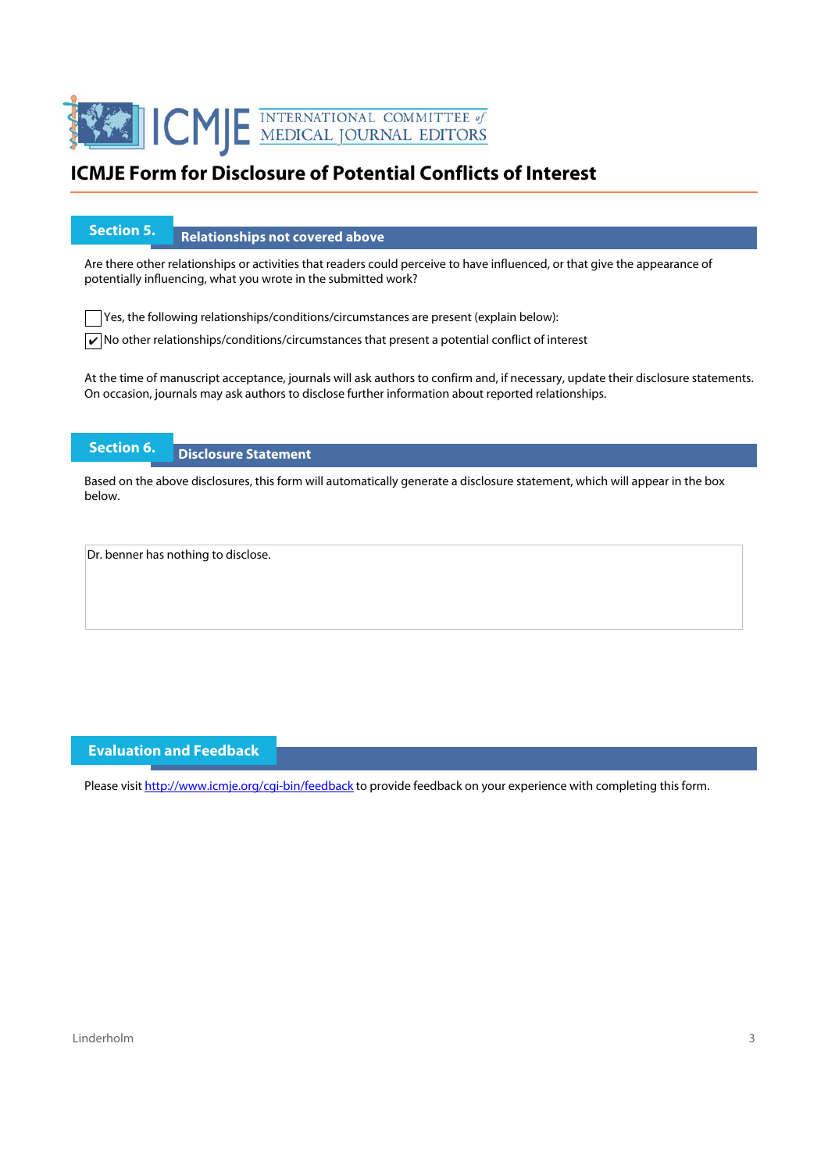

## **Section 5.** Relationships not covered above

Are there other relationships or activities that readers could perceive to have influenced, or that give the appearance of potentially influencing, what you wrote in the submitted work?

 $\Box$  Yes, the following relationships/conditions/circumstances are present (explain below):

 $\boxed{\mathbf{v}}$  No other relationships/conditions/circumstances that present a potential conflict of interest

At the time of manuscript acceptance, journals will ask authors to confirm and, if necessary, update their disclosure statements. On occasion, journals may ask authors to disclose further information about reported relationships.

# **Disclosure Statement Section 6.**

Based on the above disclosures, this form will automatically generate a disclosure statement, which will appear in the box below.

Dr. benner has nothing to disclose.

## **Evaluation and Feedback**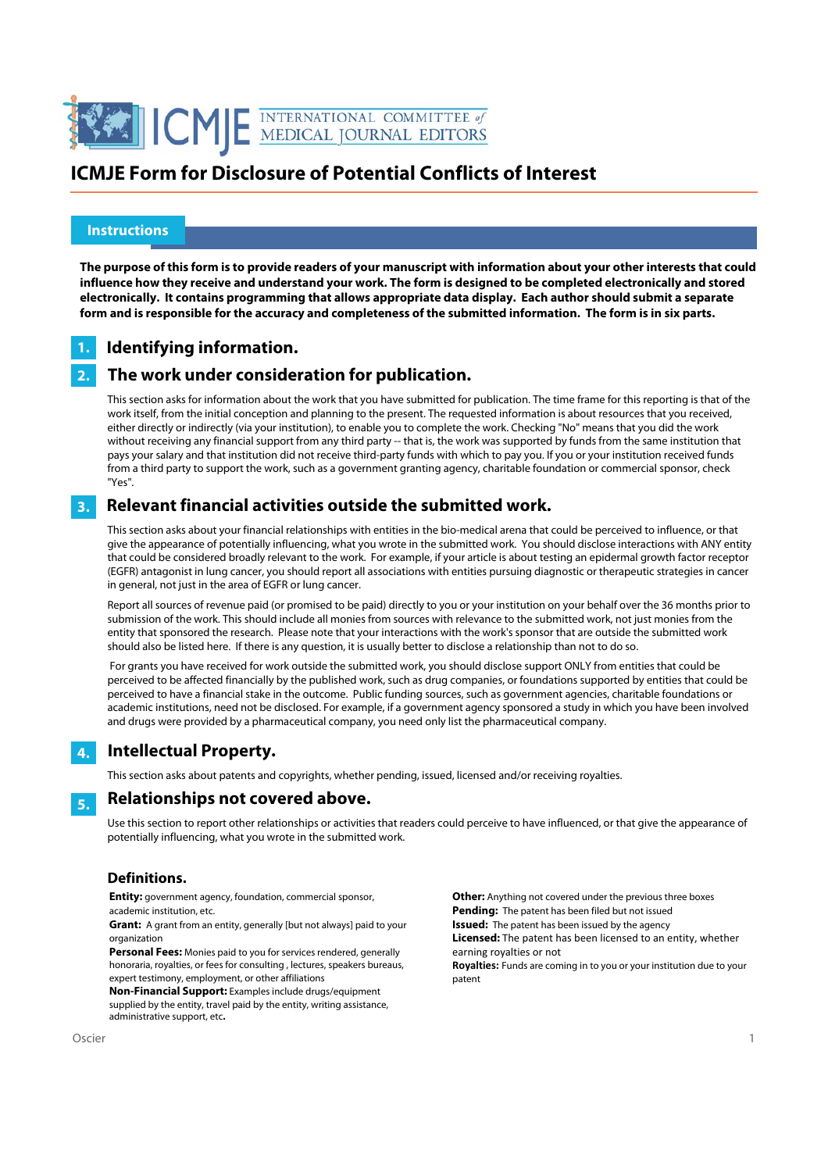

### **Instructions**

**2.**

**The purpose of this form is to provide readers of your manuscript with information about your other interests that could influence how they receive and understand your work. The form is designed to be completed electronically and stored electronically. It contains programming that allows appropriate data display. Each author should submit a separate form and is responsible for the accuracy and completeness of the submitted information. The form is in six parts.** 

#### **Identifying information. 1.**

## **The work under consideration for publication.**

This section asks for information about the work that you have submitted for publication. The time frame for this reporting is that of the work itself, from the initial conception and planning to the present. The requested information is about resources that you received, either directly or indirectly (via your institution), to enable you to complete the work. Checking "No" means that you did the work without receiving any financial support from any third party -- that is, the work was supported by funds from the same institution that pays your salary and that institution did not receive third-party funds with which to pay you. If you or your institution received funds from a third party to support the work, such as a government granting agency, charitable foundation or commercial sponsor, check "Yes".

### **Relevant financial activities outside the submitted work. 3.**

This section asks about your financial relationships with entities in the bio-medical arena that could be perceived to influence, or that give the appearance of potentially influencing, what you wrote in the submitted work. You should disclose interactions with ANY entity that could be considered broadly relevant to the work. For example, if your article is about testing an epidermal growth factor receptor (EGFR) antagonist in lung cancer, you should report all associations with entities pursuing diagnostic or therapeutic strategies in cancer in general, not just in the area of EGFR or lung cancer.

Report all sources of revenue paid (or promised to be paid) directly to you or your institution on your behalf over the 36 months prior to submission of the work. This should include all monies from sources with relevance to the submitted work, not just monies from the entity that sponsored the research. Please note that your interactions with the work's sponsor that are outside the submitted work should also be listed here. If there is any question, it is usually better to disclose a relationship than not to do so.

 For grants you have received for work outside the submitted work, you should disclose support ONLY from entities that could be perceived to be affected financially by the published work, such as drug companies, or foundations supported by entities that could be perceived to have a financial stake in the outcome. Public funding sources, such as government agencies, charitable foundations or academic institutions, need not be disclosed. For example, if a government agency sponsored a study in which you have been involved and drugs were provided by a pharmaceutical company, you need only list the pharmaceutical company.

## **Intellectual Property.**

This section asks about patents and copyrights, whether pending, issued, licensed and/or receiving royalties.

## **Relationships not covered above.**

Use this section to report other relationships or activities that readers could perceive to have influenced, or that give the appearance of potentially influencing, what you wrote in the submitted work.

## **Definitions.**

**Entity:** government agency, foundation, commercial sponsor, academic institution, etc.

**Grant:** A grant from an entity, generally [but not always] paid to your organization

**Personal Fees:** Monies paid to you for services rendered, generally honoraria, royalties, or fees for consulting , lectures, speakers bureaus, expert testimony, employment, or other affiliations

**Non-Financial Support:** Examples include drugs/equipment supplied by the entity, travel paid by the entity, writing assistance, administrative support, etc**.**

**Other:** Anything not covered under the previous three boxes **Pending:** The patent has been filed but not issued **Issued:** The patent has been issued by the agency **Licensed:** The patent has been licensed to an entity, whether earning royalties or not **Royalties:** Funds are coming in to you or your institution due to your patent

**4.**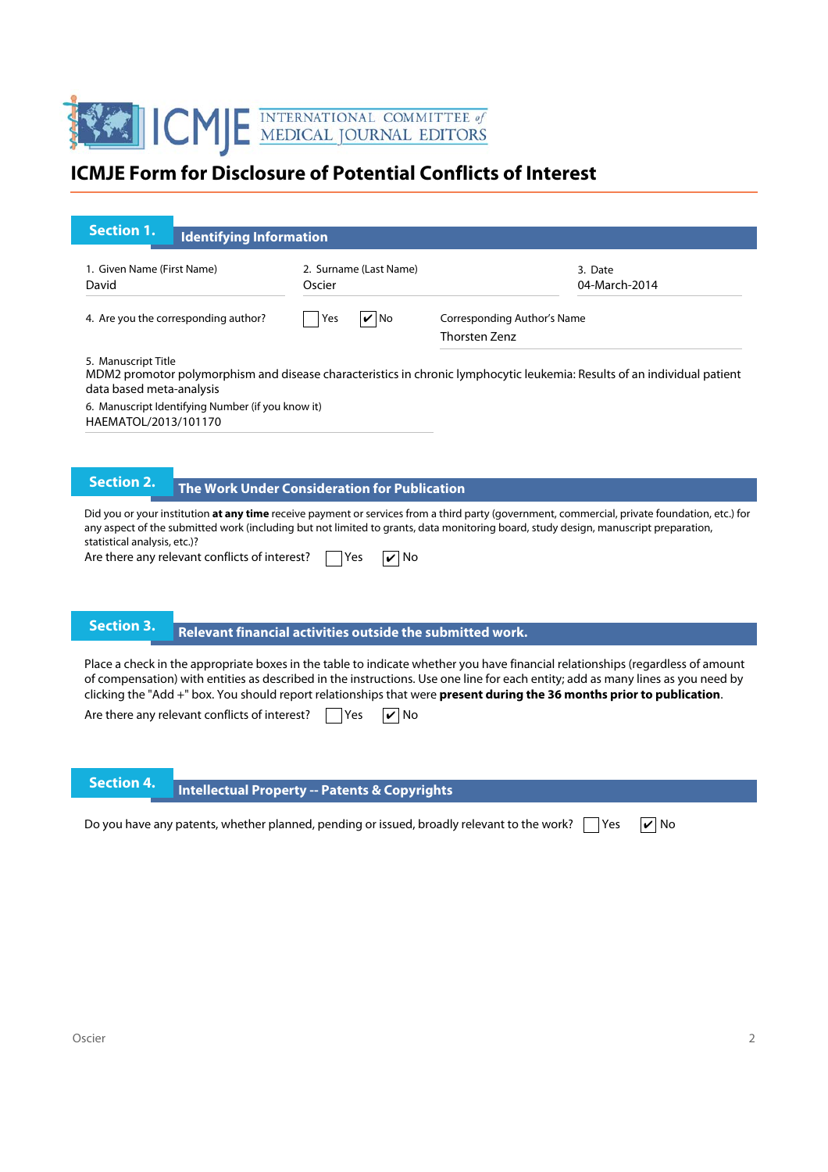

| <b>Section 1.</b>                                                                                                                                                                                                                                                                                                                                                                           | <b>Identifying Information</b>                                                                                                                                                                                                                                                                                       |                                                           |                                                                                                                          |  |  |  |
|---------------------------------------------------------------------------------------------------------------------------------------------------------------------------------------------------------------------------------------------------------------------------------------------------------------------------------------------------------------------------------------------|----------------------------------------------------------------------------------------------------------------------------------------------------------------------------------------------------------------------------------------------------------------------------------------------------------------------|-----------------------------------------------------------|--------------------------------------------------------------------------------------------------------------------------|--|--|--|
| 1. Given Name (First Name)<br>David                                                                                                                                                                                                                                                                                                                                                         |                                                                                                                                                                                                                                                                                                                      | 2. Surname (Last Name)<br>Oscier                          | 3. Date<br>04-March-2014                                                                                                 |  |  |  |
|                                                                                                                                                                                                                                                                                                                                                                                             | 4. Are you the corresponding author?                                                                                                                                                                                                                                                                                 | Yes<br>$\mathbf{v}$ No                                    | Corresponding Author's Name<br><b>Thorsten Zenz</b>                                                                      |  |  |  |
| 5. Manuscript Title<br>data based meta-analysis                                                                                                                                                                                                                                                                                                                                             |                                                                                                                                                                                                                                                                                                                      |                                                           | MDM2 promotor polymorphism and disease characteristics in chronic lymphocytic leukemia: Results of an individual patient |  |  |  |
| HAEMATOL/2013/101170                                                                                                                                                                                                                                                                                                                                                                        | 6. Manuscript Identifying Number (if you know it)                                                                                                                                                                                                                                                                    |                                                           |                                                                                                                          |  |  |  |
|                                                                                                                                                                                                                                                                                                                                                                                             |                                                                                                                                                                                                                                                                                                                      |                                                           |                                                                                                                          |  |  |  |
| <b>Section 2.</b>                                                                                                                                                                                                                                                                                                                                                                           |                                                                                                                                                                                                                                                                                                                      | The Work Under Consideration for Publication              |                                                                                                                          |  |  |  |
|                                                                                                                                                                                                                                                                                                                                                                                             | Did you or your institution at any time receive payment or services from a third party (government, commercial, private foundation, etc.) for<br>any aspect of the submitted work (including but not limited to grants, data monitoring board, study design, manuscript preparation,<br>statistical analysis, etc.)? |                                                           |                                                                                                                          |  |  |  |
|                                                                                                                                                                                                                                                                                                                                                                                             | Are there any relevant conflicts of interest?                                                                                                                                                                                                                                                                        | $\mathbf{v}$ No<br>Yes                                    |                                                                                                                          |  |  |  |
|                                                                                                                                                                                                                                                                                                                                                                                             |                                                                                                                                                                                                                                                                                                                      |                                                           |                                                                                                                          |  |  |  |
| <b>Section 3.</b>                                                                                                                                                                                                                                                                                                                                                                           |                                                                                                                                                                                                                                                                                                                      | Relevant financial activities outside the submitted work. |                                                                                                                          |  |  |  |
| Place a check in the appropriate boxes in the table to indicate whether you have financial relationships (regardless of amount<br>of compensation) with entities as described in the instructions. Use one line for each entity; add as many lines as you need by<br>clicking the "Add +" box. You should report relationships that were present during the 36 months prior to publication. |                                                                                                                                                                                                                                                                                                                      |                                                           |                                                                                                                          |  |  |  |
|                                                                                                                                                                                                                                                                                                                                                                                             | Are there any relevant conflicts of interest?                                                                                                                                                                                                                                                                        | l No<br>✓<br>Yes                                          |                                                                                                                          |  |  |  |
|                                                                                                                                                                                                                                                                                                                                                                                             |                                                                                                                                                                                                                                                                                                                      |                                                           |                                                                                                                          |  |  |  |
| <b>Section 4.</b>                                                                                                                                                                                                                                                                                                                                                                           |                                                                                                                                                                                                                                                                                                                      | <b>Intellectual Property -- Patents &amp; Copyrights</b>  |                                                                                                                          |  |  |  |
|                                                                                                                                                                                                                                                                                                                                                                                             |                                                                                                                                                                                                                                                                                                                      |                                                           | Do you have any patents, whether planned, pending or issued, broadly relevant to the work?<br>$\mathbf{v}$ No<br>Yes     |  |  |  |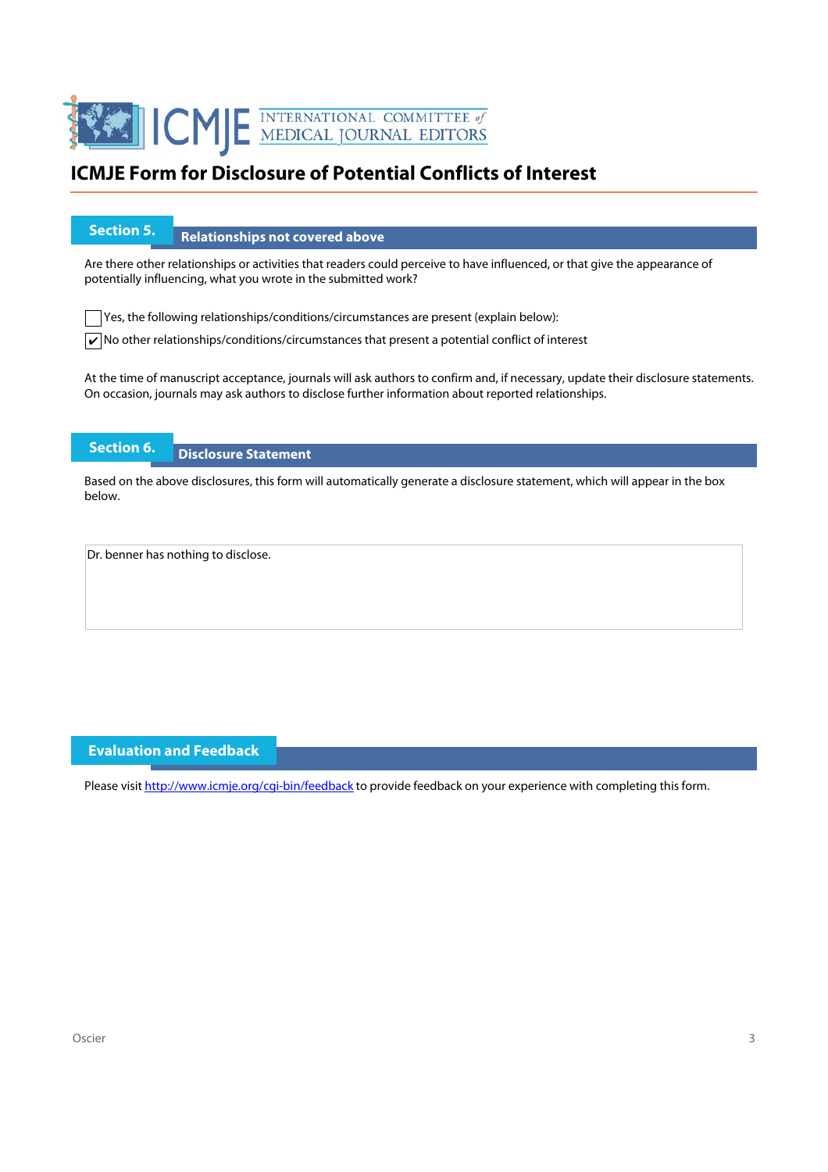

## **Section 5.** Relationships not covered above

Are there other relationships or activities that readers could perceive to have influenced, or that give the appearance of potentially influencing, what you wrote in the submitted work?

 $\Box$  Yes, the following relationships/conditions/circumstances are present (explain below):

 $\boxed{\mathbf{v}}$  No other relationships/conditions/circumstances that present a potential conflict of interest

At the time of manuscript acceptance, journals will ask authors to confirm and, if necessary, update their disclosure statements. On occasion, journals may ask authors to disclose further information about reported relationships.

# **Disclosure Statement Section 6.**

Based on the above disclosures, this form will automatically generate a disclosure statement, which will appear in the box below.

Dr. benner has nothing to disclose.

## **Evaluation and Feedback**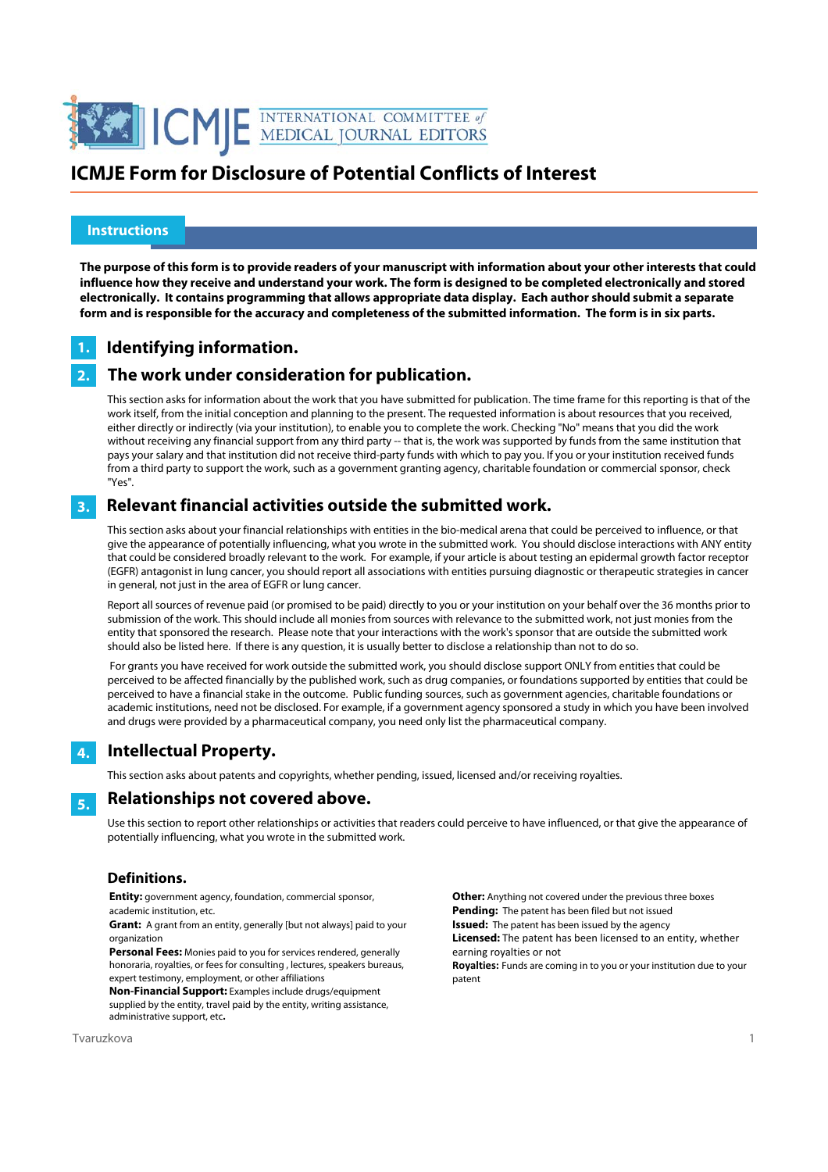

### **Instructions**

**2.**

**The purpose of this form is to provide readers of your manuscript with information about your other interests that could influence how they receive and understand your work. The form is designed to be completed electronically and stored electronically. It contains programming that allows appropriate data display. Each author should submit a separate form and is responsible for the accuracy and completeness of the submitted information. The form is in six parts.** 

#### **Identifying information. 1.**

## **The work under consideration for publication.**

This section asks for information about the work that you have submitted for publication. The time frame for this reporting is that of the work itself, from the initial conception and planning to the present. The requested information is about resources that you received, either directly or indirectly (via your institution), to enable you to complete the work. Checking "No" means that you did the work without receiving any financial support from any third party -- that is, the work was supported by funds from the same institution that pays your salary and that institution did not receive third-party funds with which to pay you. If you or your institution received funds from a third party to support the work, such as a government granting agency, charitable foundation or commercial sponsor, check "Yes".

### **Relevant financial activities outside the submitted work. 3.**

This section asks about your financial relationships with entities in the bio-medical arena that could be perceived to influence, or that give the appearance of potentially influencing, what you wrote in the submitted work. You should disclose interactions with ANY entity that could be considered broadly relevant to the work. For example, if your article is about testing an epidermal growth factor receptor (EGFR) antagonist in lung cancer, you should report all associations with entities pursuing diagnostic or therapeutic strategies in cancer in general, not just in the area of EGFR or lung cancer.

Report all sources of revenue paid (or promised to be paid) directly to you or your institution on your behalf over the 36 months prior to submission of the work. This should include all monies from sources with relevance to the submitted work, not just monies from the entity that sponsored the research. Please note that your interactions with the work's sponsor that are outside the submitted work should also be listed here. If there is any question, it is usually better to disclose a relationship than not to do so.

 For grants you have received for work outside the submitted work, you should disclose support ONLY from entities that could be perceived to be affected financially by the published work, such as drug companies, or foundations supported by entities that could be perceived to have a financial stake in the outcome. Public funding sources, such as government agencies, charitable foundations or academic institutions, need not be disclosed. For example, if a government agency sponsored a study in which you have been involved and drugs were provided by a pharmaceutical company, you need only list the pharmaceutical company.

## **Intellectual Property.**

This section asks about patents and copyrights, whether pending, issued, licensed and/or receiving royalties.

## **Relationships not covered above.**

Use this section to report other relationships or activities that readers could perceive to have influenced, or that give the appearance of potentially influencing, what you wrote in the submitted work.

## **Definitions.**

**Entity:** government agency, foundation, commercial sponsor, academic institution, etc.

**Grant:** A grant from an entity, generally [but not always] paid to your organization

**Personal Fees:** Monies paid to you for services rendered, generally honoraria, royalties, or fees for consulting , lectures, speakers bureaus, expert testimony, employment, or other affiliations

**Non-Financial Support:** Examples include drugs/equipment supplied by the entity, travel paid by the entity, writing assistance, administrative support, etc**.**

**Other:** Anything not covered under the previous three boxes **Pending:** The patent has been filed but not issued **Issued:** The patent has been issued by the agency **Licensed:** The patent has been licensed to an entity, whether earning royalties or not **Royalties:** Funds are coming in to you or your institution due to your patent

Tvaruzkova 1

**4.**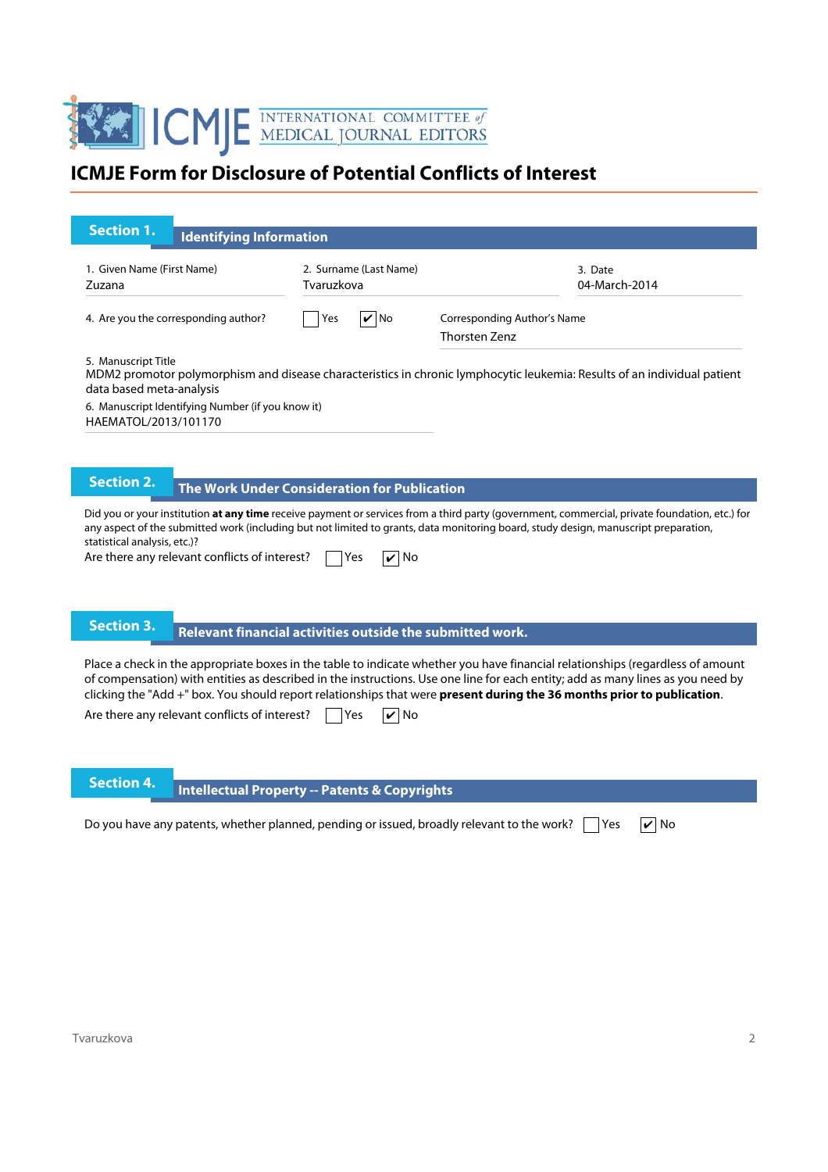

| <b>Section 1.</b>                                                                                                                                                                                                                                                                                                                                                                                                                                              | <b>Identifying Information</b>                                                                                       |                                                           |                                                                                                                          |  |  |  |
|----------------------------------------------------------------------------------------------------------------------------------------------------------------------------------------------------------------------------------------------------------------------------------------------------------------------------------------------------------------------------------------------------------------------------------------------------------------|----------------------------------------------------------------------------------------------------------------------|-----------------------------------------------------------|--------------------------------------------------------------------------------------------------------------------------|--|--|--|
| 1. Given Name (First Name)<br>Zuzana                                                                                                                                                                                                                                                                                                                                                                                                                           |                                                                                                                      | 2. Surname (Last Name)<br>Tvaruzkova                      | 3. Date<br>04-March-2014                                                                                                 |  |  |  |
|                                                                                                                                                                                                                                                                                                                                                                                                                                                                | 4. Are you the corresponding author?                                                                                 | $\nu$ No<br>Yes                                           | Corresponding Author's Name<br><b>Thorsten Zenz</b>                                                                      |  |  |  |
| 5. Manuscript Title<br>data based meta-analysis                                                                                                                                                                                                                                                                                                                                                                                                                |                                                                                                                      |                                                           | MDM2 promotor polymorphism and disease characteristics in chronic lymphocytic leukemia: Results of an individual patient |  |  |  |
| HAEMATOL/2013/101170                                                                                                                                                                                                                                                                                                                                                                                                                                           | 6. Manuscript Identifying Number (if you know it)                                                                    |                                                           |                                                                                                                          |  |  |  |
|                                                                                                                                                                                                                                                                                                                                                                                                                                                                |                                                                                                                      |                                                           |                                                                                                                          |  |  |  |
| <b>Section 2.</b>                                                                                                                                                                                                                                                                                                                                                                                                                                              |                                                                                                                      | The Work Under Consideration for Publication              |                                                                                                                          |  |  |  |
| Did you or your institution at any time receive payment or services from a third party (government, commercial, private foundation, etc.) for<br>any aspect of the submitted work (including but not limited to grants, data monitoring board, study design, manuscript preparation,<br>statistical analysis, etc.)?<br>Are there any relevant conflicts of interest?<br>No<br>Yes<br>$\checkmark$                                                             |                                                                                                                      |                                                           |                                                                                                                          |  |  |  |
|                                                                                                                                                                                                                                                                                                                                                                                                                                                                |                                                                                                                      |                                                           |                                                                                                                          |  |  |  |
| <b>Section 3.</b>                                                                                                                                                                                                                                                                                                                                                                                                                                              |                                                                                                                      | Relevant financial activities outside the submitted work. |                                                                                                                          |  |  |  |
| Place a check in the appropriate boxes in the table to indicate whether you have financial relationships (regardless of amount<br>of compensation) with entities as described in the instructions. Use one line for each entity; add as many lines as you need by<br>clicking the "Add +" box. You should report relationships that were present during the 36 months prior to publication.<br>Are there any relevant conflicts of interest?<br>No<br>Yes<br>V |                                                                                                                      |                                                           |                                                                                                                          |  |  |  |
|                                                                                                                                                                                                                                                                                                                                                                                                                                                                |                                                                                                                      |                                                           |                                                                                                                          |  |  |  |
| <b>Section 4.</b>                                                                                                                                                                                                                                                                                                                                                                                                                                              |                                                                                                                      | <b>Intellectual Property -- Patents &amp; Copyrights</b>  |                                                                                                                          |  |  |  |
|                                                                                                                                                                                                                                                                                                                                                                                                                                                                | Do you have any patents, whether planned, pending or issued, broadly relevant to the work?<br>$\mathbf{v}$ No<br>Yes |                                                           |                                                                                                                          |  |  |  |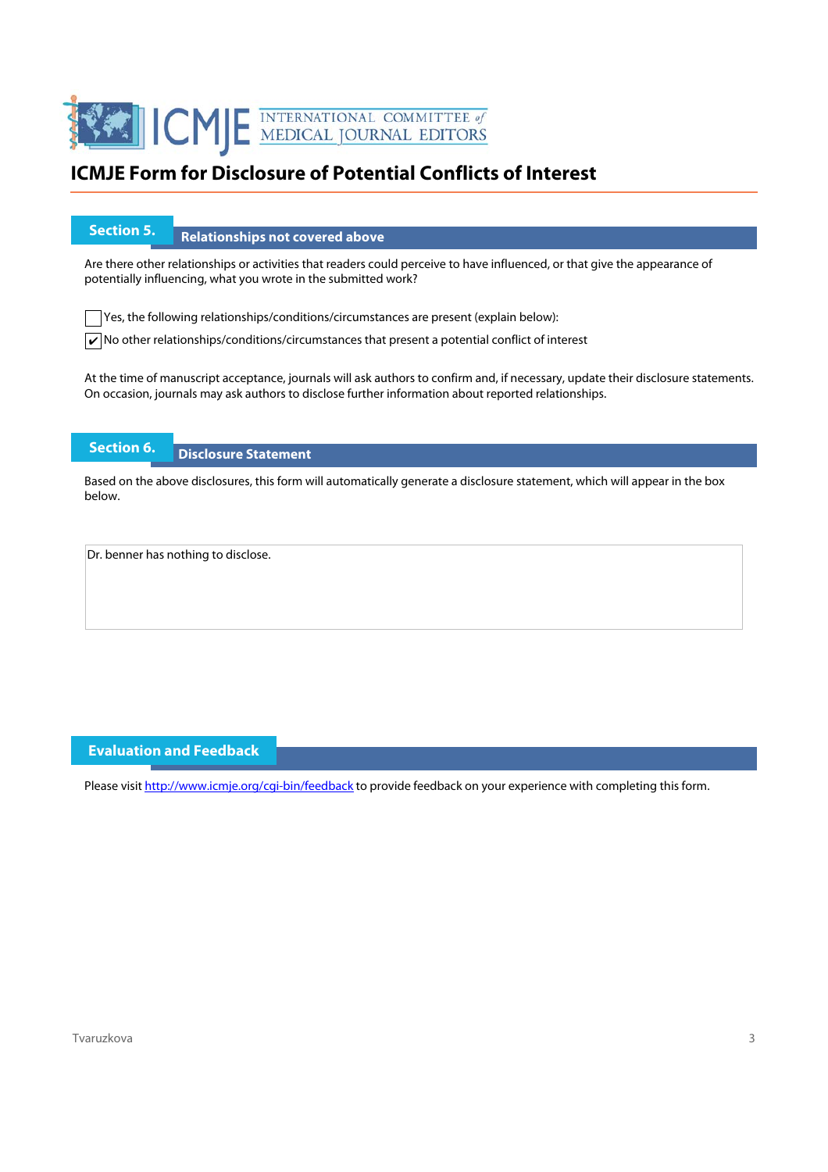

## **Section 5.** Relationships not covered above

Are there other relationships or activities that readers could perceive to have influenced, or that give the appearance of potentially influencing, what you wrote in the submitted work?

 $\Box$  Yes, the following relationships/conditions/circumstances are present (explain below):

 $\boxed{\mathbf{v}}$  No other relationships/conditions/circumstances that present a potential conflict of interest

At the time of manuscript acceptance, journals will ask authors to confirm and, if necessary, update their disclosure statements. On occasion, journals may ask authors to disclose further information about reported relationships.

# **Disclosure Statement Section 6.**

Based on the above disclosures, this form will automatically generate a disclosure statement, which will appear in the box below.

Dr. benner has nothing to disclose.

## **Evaluation and Feedback**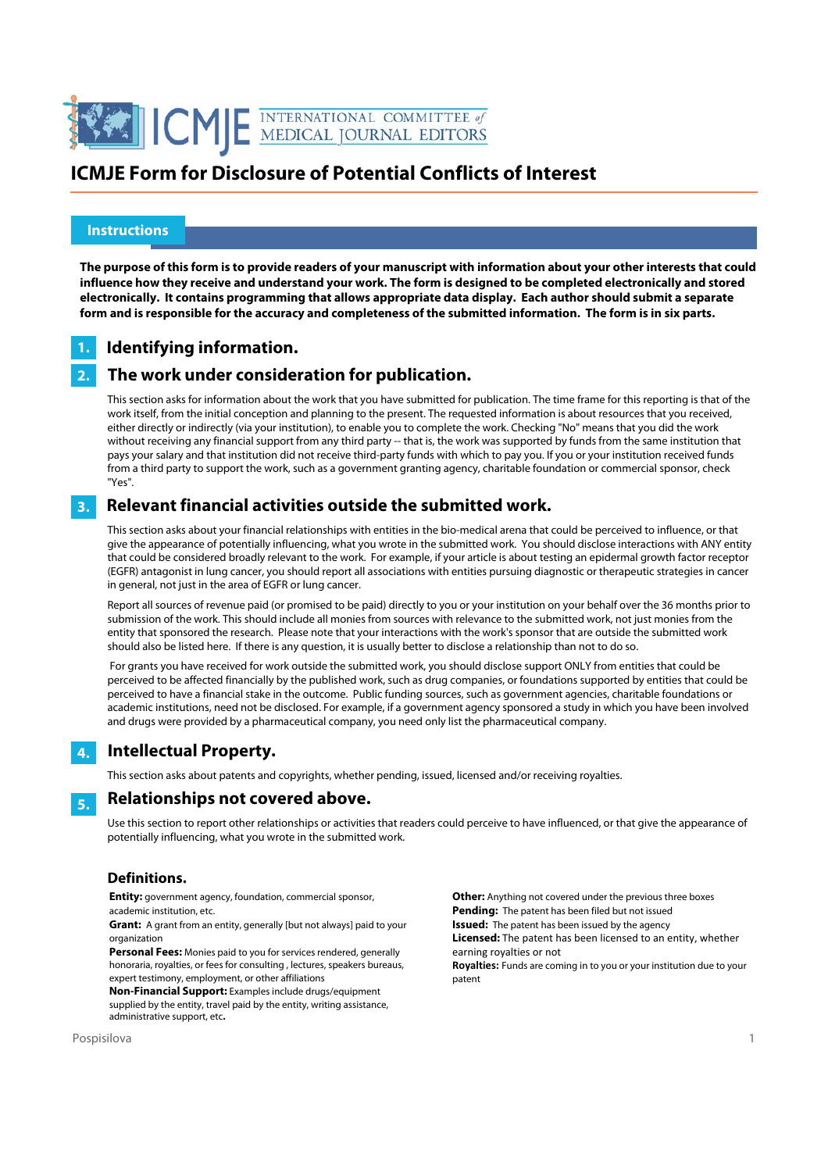

### **Instructions**

**2.**

**The purpose of this form is to provide readers of your manuscript with information about your other interests that could influence how they receive and understand your work. The form is designed to be completed electronically and stored electronically. It contains programming that allows appropriate data display. Each author should submit a separate form and is responsible for the accuracy and completeness of the submitted information. The form is in six parts.** 

#### **Identifying information. 1.**

## **The work under consideration for publication.**

This section asks for information about the work that you have submitted for publication. The time frame for this reporting is that of the work itself, from the initial conception and planning to the present. The requested information is about resources that you received, either directly or indirectly (via your institution), to enable you to complete the work. Checking "No" means that you did the work without receiving any financial support from any third party -- that is, the work was supported by funds from the same institution that pays your salary and that institution did not receive third-party funds with which to pay you. If you or your institution received funds from a third party to support the work, such as a government granting agency, charitable foundation or commercial sponsor, check "Yes".

### **Relevant financial activities outside the submitted work. 3.**

This section asks about your financial relationships with entities in the bio-medical arena that could be perceived to influence, or that give the appearance of potentially influencing, what you wrote in the submitted work. You should disclose interactions with ANY entity that could be considered broadly relevant to the work. For example, if your article is about testing an epidermal growth factor receptor (EGFR) antagonist in lung cancer, you should report all associations with entities pursuing diagnostic or therapeutic strategies in cancer in general, not just in the area of EGFR or lung cancer.

Report all sources of revenue paid (or promised to be paid) directly to you or your institution on your behalf over the 36 months prior to submission of the work. This should include all monies from sources with relevance to the submitted work, not just monies from the entity that sponsored the research. Please note that your interactions with the work's sponsor that are outside the submitted work should also be listed here. If there is any question, it is usually better to disclose a relationship than not to do so.

 For grants you have received for work outside the submitted work, you should disclose support ONLY from entities that could be perceived to be affected financially by the published work, such as drug companies, or foundations supported by entities that could be perceived to have a financial stake in the outcome. Public funding sources, such as government agencies, charitable foundations or academic institutions, need not be disclosed. For example, if a government agency sponsored a study in which you have been involved and drugs were provided by a pharmaceutical company, you need only list the pharmaceutical company.

## **Intellectual Property.**

This section asks about patents and copyrights, whether pending, issued, licensed and/or receiving royalties.

## **Relationships not covered above.**

Use this section to report other relationships or activities that readers could perceive to have influenced, or that give the appearance of potentially influencing, what you wrote in the submitted work.

## **Definitions.**

**Entity:** government agency, foundation, commercial sponsor, academic institution, etc.

**Grant:** A grant from an entity, generally [but not always] paid to your organization

**Personal Fees:** Monies paid to you for services rendered, generally honoraria, royalties, or fees for consulting , lectures, speakers bureaus, expert testimony, employment, or other affiliations

**Non-Financial Support:** Examples include drugs/equipment supplied by the entity, travel paid by the entity, writing assistance, administrative support, etc**.**

**Other:** Anything not covered under the previous three boxes **Pending:** The patent has been filed but not issued **Issued:** The patent has been issued by the agency **Licensed:** The patent has been licensed to an entity, whether earning royalties or not **Royalties:** Funds are coming in to you or your institution due to your patent

Pospisilova 1

**4.**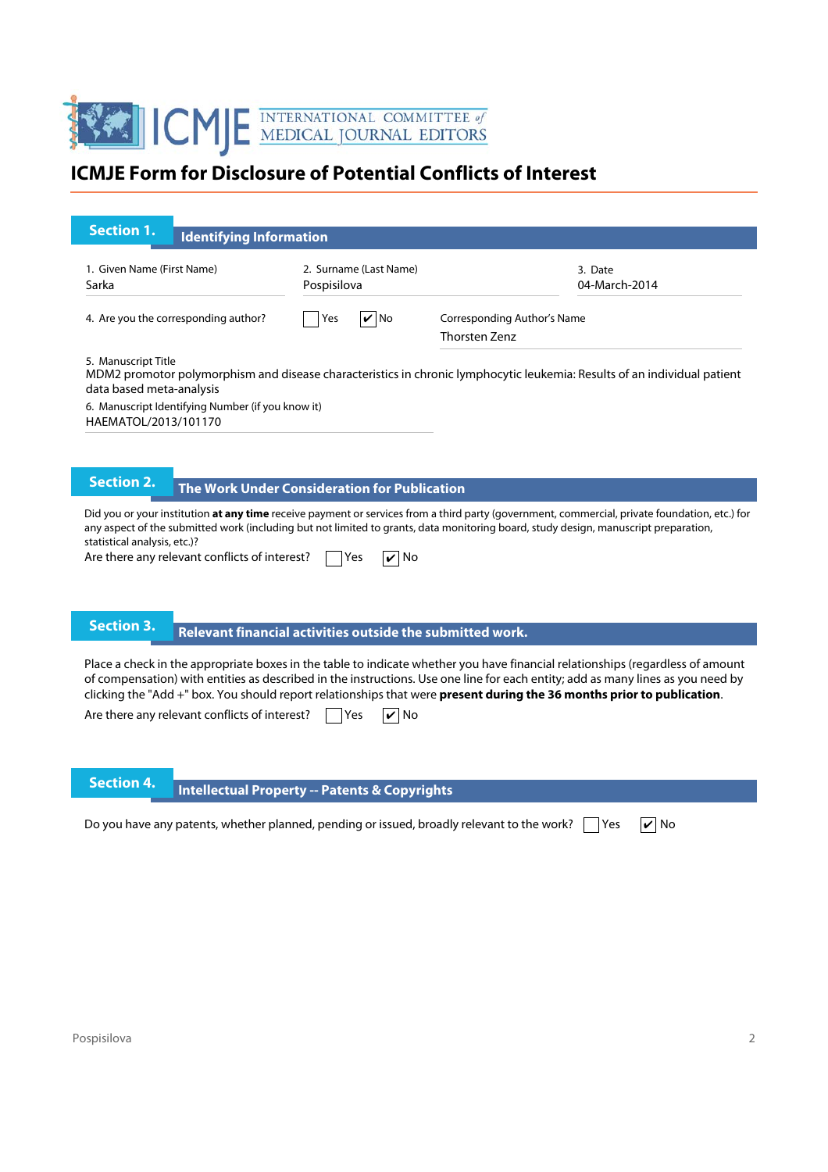

| <b>Section 1.</b>                                                                                                                                                                                                                                                                                                                                                                                                                                                | <b>Identifying Information</b>                                                                                       |                                                           |                                                                                                                          |  |  |  |
|------------------------------------------------------------------------------------------------------------------------------------------------------------------------------------------------------------------------------------------------------------------------------------------------------------------------------------------------------------------------------------------------------------------------------------------------------------------|----------------------------------------------------------------------------------------------------------------------|-----------------------------------------------------------|--------------------------------------------------------------------------------------------------------------------------|--|--|--|
| 1. Given Name (First Name)<br>Sarka                                                                                                                                                                                                                                                                                                                                                                                                                              |                                                                                                                      | 2. Surname (Last Name)<br>Pospisilova                     | 3. Date<br>04-March-2014                                                                                                 |  |  |  |
|                                                                                                                                                                                                                                                                                                                                                                                                                                                                  | 4. Are you the corresponding author?                                                                                 | Yes<br>V<br>  No                                          | Corresponding Author's Name<br><b>Thorsten Zenz</b>                                                                      |  |  |  |
| 5. Manuscript Title<br>data based meta-analysis                                                                                                                                                                                                                                                                                                                                                                                                                  |                                                                                                                      |                                                           | MDM2 promotor polymorphism and disease characteristics in chronic lymphocytic leukemia: Results of an individual patient |  |  |  |
| HAEMATOL/2013/101170                                                                                                                                                                                                                                                                                                                                                                                                                                             | 6. Manuscript Identifying Number (if you know it)                                                                    |                                                           |                                                                                                                          |  |  |  |
|                                                                                                                                                                                                                                                                                                                                                                                                                                                                  |                                                                                                                      |                                                           |                                                                                                                          |  |  |  |
| <b>Section 2.</b>                                                                                                                                                                                                                                                                                                                                                                                                                                                |                                                                                                                      | The Work Under Consideration for Publication              |                                                                                                                          |  |  |  |
| Did you or your institution at any time receive payment or services from a third party (government, commercial, private foundation, etc.) for<br>any aspect of the submitted work (including but not limited to grants, data monitoring board, study design, manuscript preparation,<br>statistical analysis, etc.)?<br>Are there any relevant conflicts of interest?<br>$\mathbf{v}$ No<br>Yes                                                                  |                                                                                                                      |                                                           |                                                                                                                          |  |  |  |
|                                                                                                                                                                                                                                                                                                                                                                                                                                                                  |                                                                                                                      |                                                           |                                                                                                                          |  |  |  |
| <b>Section 3.</b>                                                                                                                                                                                                                                                                                                                                                                                                                                                |                                                                                                                      | Relevant financial activities outside the submitted work. |                                                                                                                          |  |  |  |
| Place a check in the appropriate boxes in the table to indicate whether you have financial relationships (regardless of amount<br>of compensation) with entities as described in the instructions. Use one line for each entity; add as many lines as you need by<br>clicking the "Add +" box. You should report relationships that were present during the 36 months prior to publication.<br>Are there any relevant conflicts of interest?<br>  No<br>Yes<br>V |                                                                                                                      |                                                           |                                                                                                                          |  |  |  |
|                                                                                                                                                                                                                                                                                                                                                                                                                                                                  |                                                                                                                      |                                                           |                                                                                                                          |  |  |  |
| <b>Section 4.</b>                                                                                                                                                                                                                                                                                                                                                                                                                                                |                                                                                                                      | <b>Intellectual Property -- Patents &amp; Copyrights</b>  |                                                                                                                          |  |  |  |
|                                                                                                                                                                                                                                                                                                                                                                                                                                                                  | Do you have any patents, whether planned, pending or issued, broadly relevant to the work?<br>$\mathbf{v}$ No<br>Yes |                                                           |                                                                                                                          |  |  |  |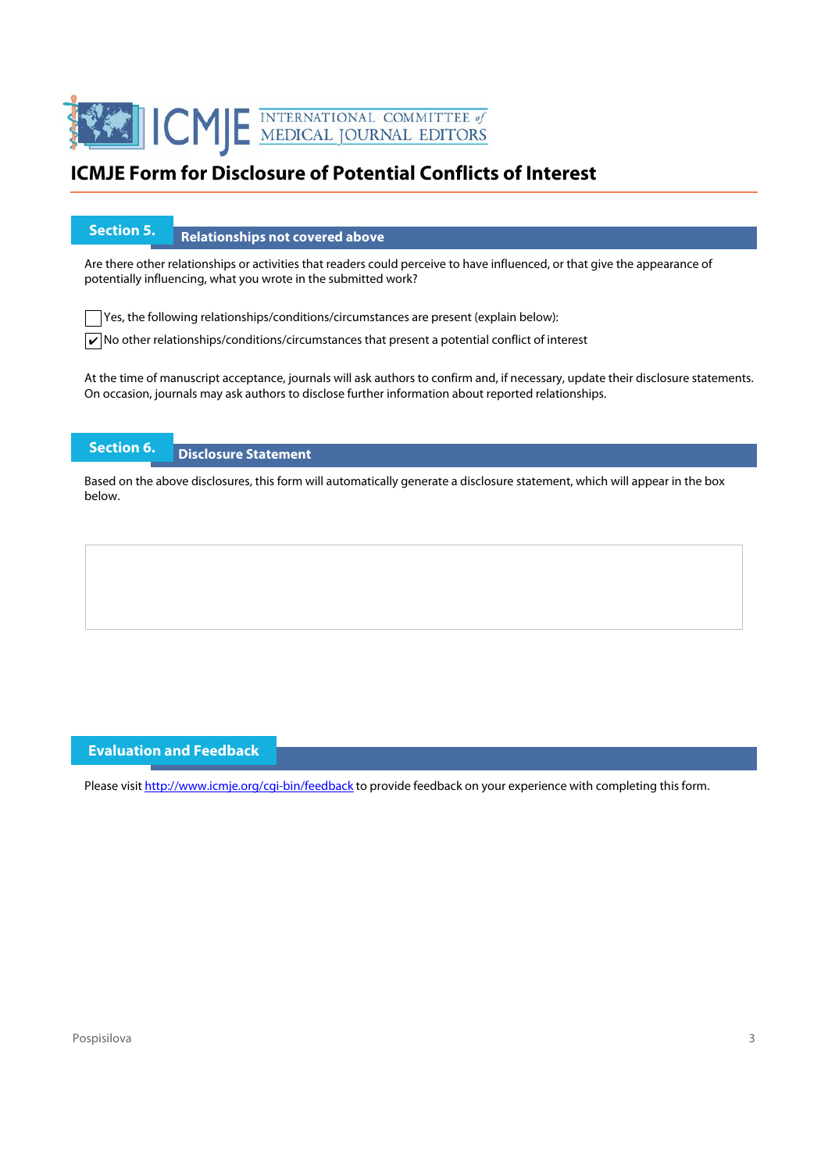

# **Section 5.** Relationships not covered above

Are there other relationships or activities that readers could perceive to have influenced, or that give the appearance of potentially influencing, what you wrote in the submitted work?

 $\Box$  Yes, the following relationships/conditions/circumstances are present (explain below):

 $\boxed{\mathbf{v}}$  No other relationships/conditions/circumstances that present a potential conflict of interest

At the time of manuscript acceptance, journals will ask authors to confirm and, if necessary, update their disclosure statements. On occasion, journals may ask authors to disclose further information about reported relationships.

# **Disclosure Statement Section 6.**

Based on the above disclosures, this form will automatically generate a disclosure statement, which will appear in the box below.

## **Evaluation and Feedback**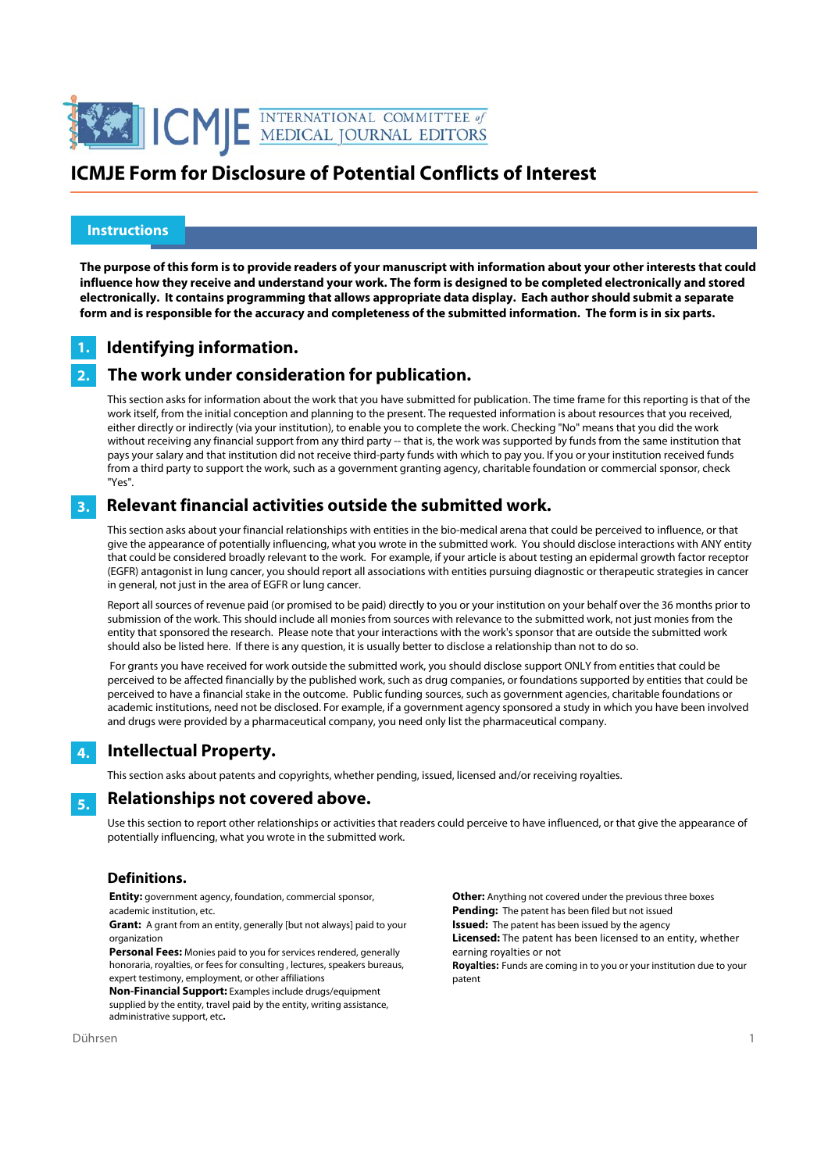

### **Instructions**

**2.**

**The purpose of this form is to provide readers of your manuscript with information about your other interests that could influence how they receive and understand your work. The form is designed to be completed electronically and stored electronically. It contains programming that allows appropriate data display. Each author should submit a separate form and is responsible for the accuracy and completeness of the submitted information. The form is in six parts.** 

#### **Identifying information. 1.**

## **The work under consideration for publication.**

This section asks for information about the work that you have submitted for publication. The time frame for this reporting is that of the work itself, from the initial conception and planning to the present. The requested information is about resources that you received, either directly or indirectly (via your institution), to enable you to complete the work. Checking "No" means that you did the work without receiving any financial support from any third party -- that is, the work was supported by funds from the same institution that pays your salary and that institution did not receive third-party funds with which to pay you. If you or your institution received funds from a third party to support the work, such as a government granting agency, charitable foundation or commercial sponsor, check "Yes".

### **Relevant financial activities outside the submitted work. 3.**

This section asks about your financial relationships with entities in the bio-medical arena that could be perceived to influence, or that give the appearance of potentially influencing, what you wrote in the submitted work. You should disclose interactions with ANY entity that could be considered broadly relevant to the work. For example, if your article is about testing an epidermal growth factor receptor (EGFR) antagonist in lung cancer, you should report all associations with entities pursuing diagnostic or therapeutic strategies in cancer in general, not just in the area of EGFR or lung cancer.

Report all sources of revenue paid (or promised to be paid) directly to you or your institution on your behalf over the 36 months prior to submission of the work. This should include all monies from sources with relevance to the submitted work, not just monies from the entity that sponsored the research. Please note that your interactions with the work's sponsor that are outside the submitted work should also be listed here. If there is any question, it is usually better to disclose a relationship than not to do so.

 For grants you have received for work outside the submitted work, you should disclose support ONLY from entities that could be perceived to be affected financially by the published work, such as drug companies, or foundations supported by entities that could be perceived to have a financial stake in the outcome. Public funding sources, such as government agencies, charitable foundations or academic institutions, need not be disclosed. For example, if a government agency sponsored a study in which you have been involved and drugs were provided by a pharmaceutical company, you need only list the pharmaceutical company.

## **Intellectual Property.**

This section asks about patents and copyrights, whether pending, issued, licensed and/or receiving royalties.

## **Relationships not covered above.**

Use this section to report other relationships or activities that readers could perceive to have influenced, or that give the appearance of potentially influencing, what you wrote in the submitted work.

## **Definitions.**

**Entity:** government agency, foundation, commercial sponsor, academic institution, etc.

**Grant:** A grant from an entity, generally [but not always] paid to your organization

**Personal Fees:** Monies paid to you for services rendered, generally honoraria, royalties, or fees for consulting , lectures, speakers bureaus, expert testimony, employment, or other affiliations

**Non-Financial Support:** Examples include drugs/equipment supplied by the entity, travel paid by the entity, writing assistance, administrative support, etc**.**

**Other:** Anything not covered under the previous three boxes **Pending:** The patent has been filed but not issued **Issued:** The patent has been issued by the agency **Licensed:** The patent has been licensed to an entity, whether earning royalties or not **Royalties:** Funds are coming in to you or your institution due to your patent

Dührsen 1

**4.**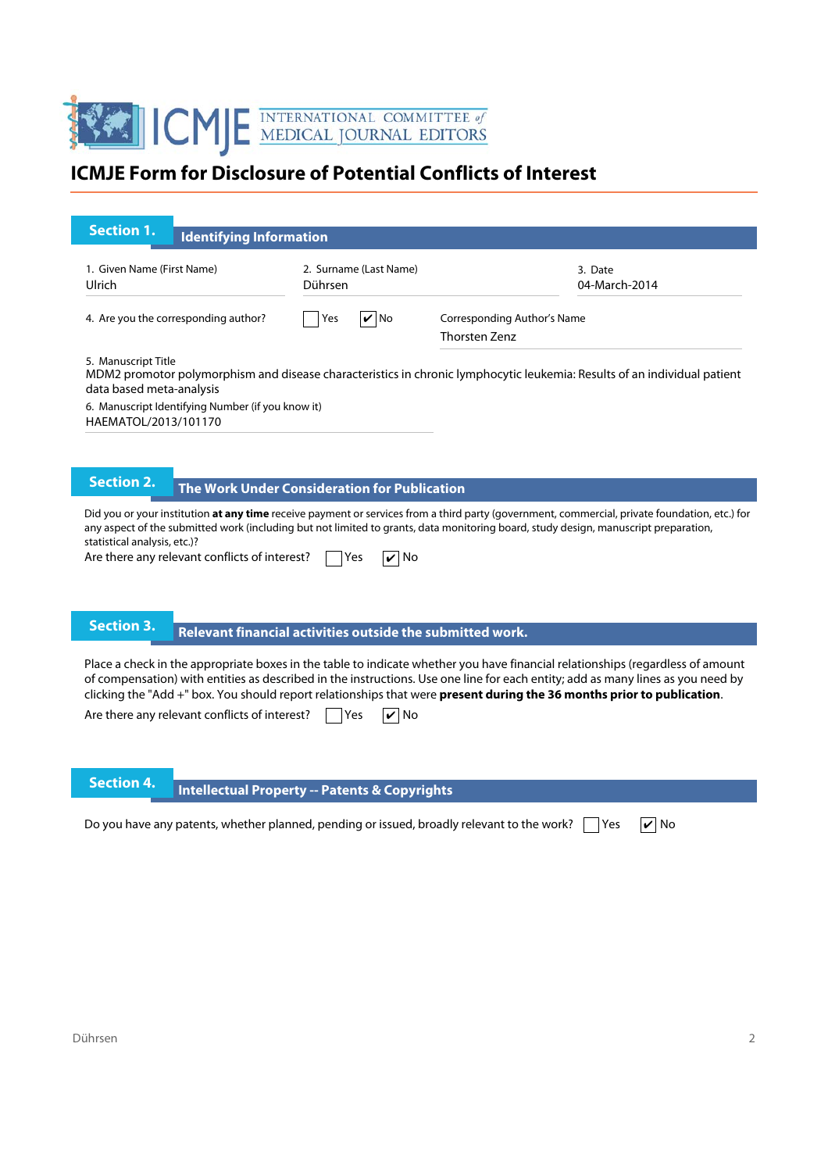

| <b>Section 1.</b>                                                                                                                                                                                                                                                                                                                                                                                                                                                                                                           | <b>Identifying Information</b>                                                                            |                                                          |                                                                                                                          |  |  |  |
|-----------------------------------------------------------------------------------------------------------------------------------------------------------------------------------------------------------------------------------------------------------------------------------------------------------------------------------------------------------------------------------------------------------------------------------------------------------------------------------------------------------------------------|-----------------------------------------------------------------------------------------------------------|----------------------------------------------------------|--------------------------------------------------------------------------------------------------------------------------|--|--|--|
| 1. Given Name (First Name)<br>Ulrich                                                                                                                                                                                                                                                                                                                                                                                                                                                                                        |                                                                                                           | 2. Surname (Last Name)<br>Dührsen                        | 3. Date<br>04-March-2014                                                                                                 |  |  |  |
|                                                                                                                                                                                                                                                                                                                                                                                                                                                                                                                             | 4. Are you the corresponding author?                                                                      | $ v $ No<br>Yes                                          | Corresponding Author's Name<br><b>Thorsten Zenz</b>                                                                      |  |  |  |
| 5. Manuscript Title<br>data based meta-analysis                                                                                                                                                                                                                                                                                                                                                                                                                                                                             |                                                                                                           |                                                          | MDM2 promotor polymorphism and disease characteristics in chronic lymphocytic leukemia: Results of an individual patient |  |  |  |
| HAEMATOL/2013/101170                                                                                                                                                                                                                                                                                                                                                                                                                                                                                                        | 6. Manuscript Identifying Number (if you know it)                                                         |                                                          |                                                                                                                          |  |  |  |
|                                                                                                                                                                                                                                                                                                                                                                                                                                                                                                                             |                                                                                                           |                                                          |                                                                                                                          |  |  |  |
| <b>Section 2.</b>                                                                                                                                                                                                                                                                                                                                                                                                                                                                                                           |                                                                                                           | The Work Under Consideration for Publication             |                                                                                                                          |  |  |  |
| Did you or your institution at any time receive payment or services from a third party (government, commercial, private foundation, etc.) for<br>any aspect of the submitted work (including but not limited to grants, data monitoring board, study design, manuscript preparation,<br>statistical analysis, etc.)?<br>Are there any relevant conflicts of interest?<br>$\mathbf{v}$ No<br>Yes                                                                                                                             |                                                                                                           |                                                          |                                                                                                                          |  |  |  |
| <b>Section 3.</b>                                                                                                                                                                                                                                                                                                                                                                                                                                                                                                           |                                                                                                           |                                                          |                                                                                                                          |  |  |  |
| Relevant financial activities outside the submitted work.<br>Place a check in the appropriate boxes in the table to indicate whether you have financial relationships (regardless of amount<br>of compensation) with entities as described in the instructions. Use one line for each entity; add as many lines as you need by<br>clicking the "Add +" box. You should report relationships that were present during the 36 months prior to publication.<br>Are there any relevant conflicts of interest?<br>V<br>No<br>Yes |                                                                                                           |                                                          |                                                                                                                          |  |  |  |
| <b>Section 4.</b>                                                                                                                                                                                                                                                                                                                                                                                                                                                                                                           |                                                                                                           | <b>Intellectual Property -- Patents &amp; Copyrights</b> |                                                                                                                          |  |  |  |
|                                                                                                                                                                                                                                                                                                                                                                                                                                                                                                                             | Do you have any patents, whether planned, pending or issued, broadly relevant to the work?<br>Yes<br>r∣No |                                                          |                                                                                                                          |  |  |  |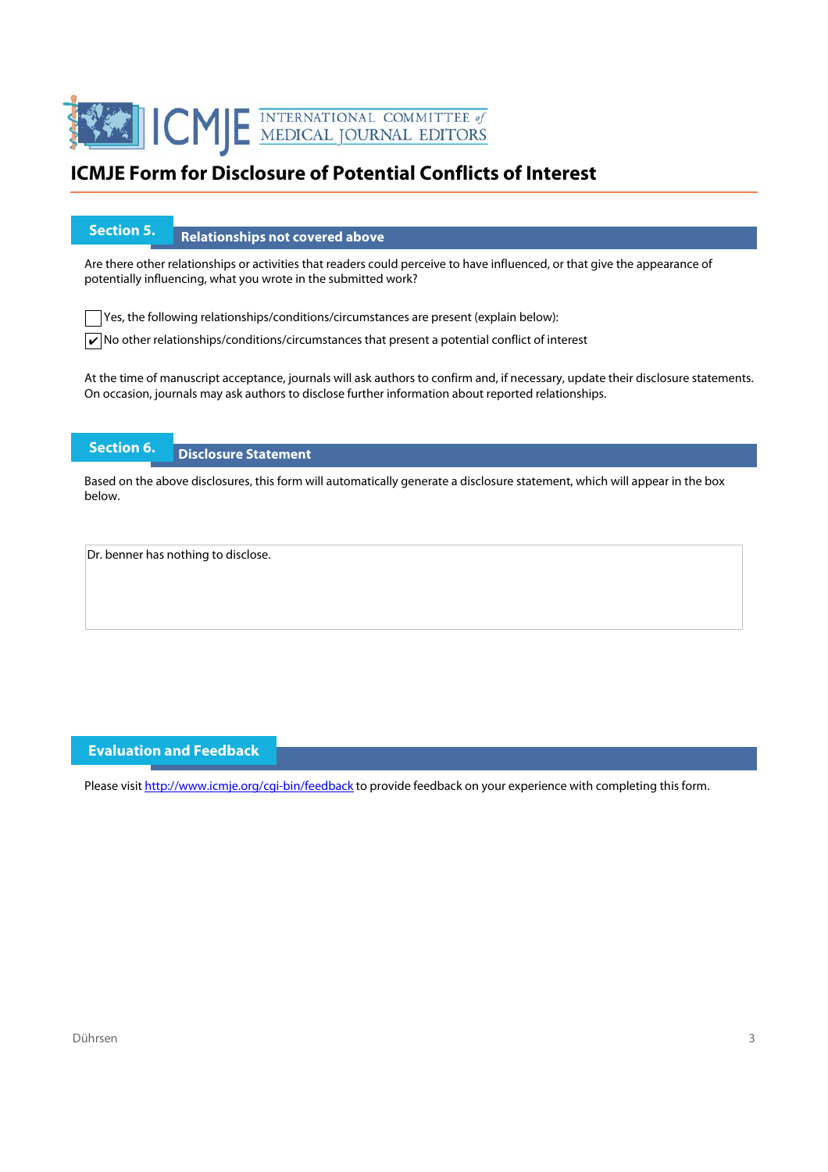

## **Section 5.** Relationships not covered above

Are there other relationships or activities that readers could perceive to have influenced, or that give the appearance of potentially influencing, what you wrote in the submitted work?

 $\Box$  Yes, the following relationships/conditions/circumstances are present (explain below):

 $\boxed{\mathbf{v}}$  No other relationships/conditions/circumstances that present a potential conflict of interest

At the time of manuscript acceptance, journals will ask authors to confirm and, if necessary, update their disclosure statements. On occasion, journals may ask authors to disclose further information about reported relationships.

# **Disclosure Statement Section 6.**

Based on the above disclosures, this form will automatically generate a disclosure statement, which will appear in the box below.

Dr. benner has nothing to disclose.

## **Evaluation and Feedback**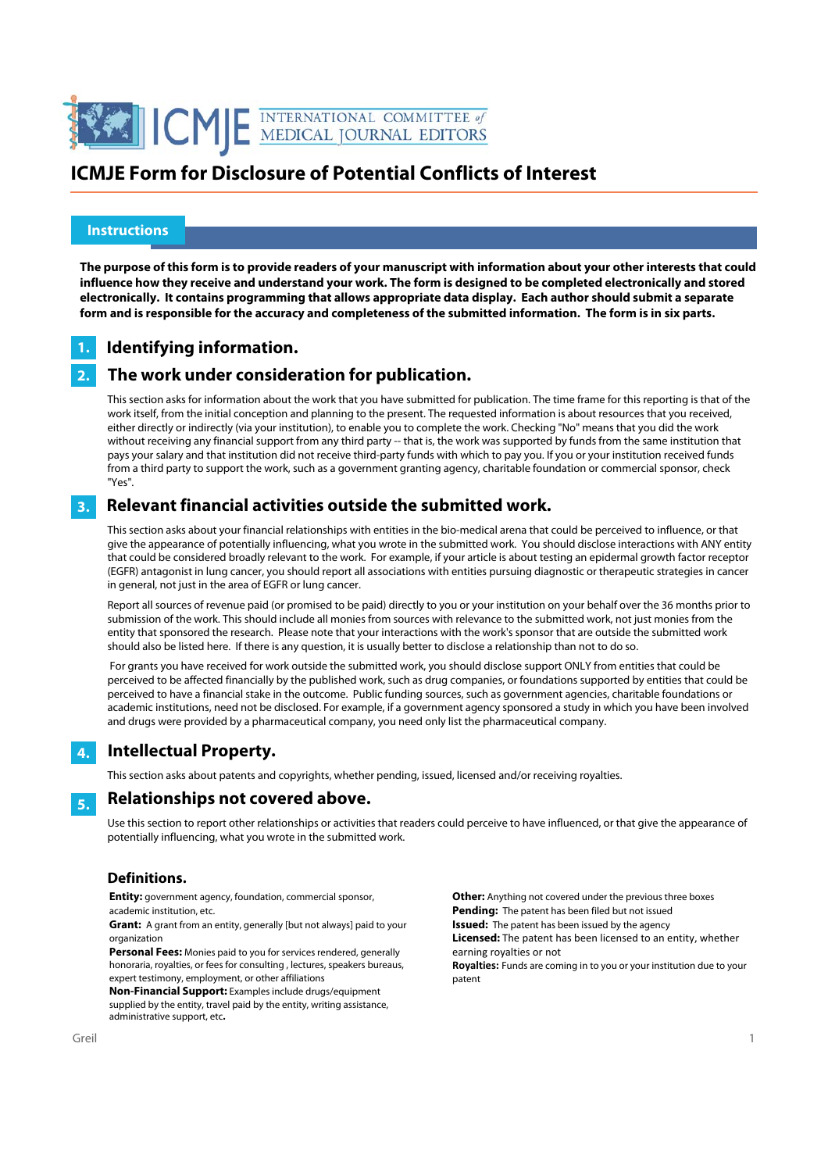

### **Instructions**

**2.**

**The purpose of this form is to provide readers of your manuscript with information about your other interests that could influence how they receive and understand your work. The form is designed to be completed electronically and stored electronically. It contains programming that allows appropriate data display. Each author should submit a separate form and is responsible for the accuracy and completeness of the submitted information. The form is in six parts.** 

#### **Identifying information. 1.**

## **The work under consideration for publication.**

This section asks for information about the work that you have submitted for publication. The time frame for this reporting is that of the work itself, from the initial conception and planning to the present. The requested information is about resources that you received, either directly or indirectly (via your institution), to enable you to complete the work. Checking "No" means that you did the work without receiving any financial support from any third party -- that is, the work was supported by funds from the same institution that pays your salary and that institution did not receive third-party funds with which to pay you. If you or your institution received funds from a third party to support the work, such as a government granting agency, charitable foundation or commercial sponsor, check "Yes".

### **Relevant financial activities outside the submitted work. 3.**

This section asks about your financial relationships with entities in the bio-medical arena that could be perceived to influence, or that give the appearance of potentially influencing, what you wrote in the submitted work. You should disclose interactions with ANY entity that could be considered broadly relevant to the work. For example, if your article is about testing an epidermal growth factor receptor (EGFR) antagonist in lung cancer, you should report all associations with entities pursuing diagnostic or therapeutic strategies in cancer in general, not just in the area of EGFR or lung cancer.

Report all sources of revenue paid (or promised to be paid) directly to you or your institution on your behalf over the 36 months prior to submission of the work. This should include all monies from sources with relevance to the submitted work, not just monies from the entity that sponsored the research. Please note that your interactions with the work's sponsor that are outside the submitted work should also be listed here. If there is any question, it is usually better to disclose a relationship than not to do so.

 For grants you have received for work outside the submitted work, you should disclose support ONLY from entities that could be perceived to be affected financially by the published work, such as drug companies, or foundations supported by entities that could be perceived to have a financial stake in the outcome. Public funding sources, such as government agencies, charitable foundations or academic institutions, need not be disclosed. For example, if a government agency sponsored a study in which you have been involved and drugs were provided by a pharmaceutical company, you need only list the pharmaceutical company.

## **Intellectual Property.**

This section asks about patents and copyrights, whether pending, issued, licensed and/or receiving royalties.

## **Relationships not covered above.**

Use this section to report other relationships or activities that readers could perceive to have influenced, or that give the appearance of potentially influencing, what you wrote in the submitted work.

## **Definitions.**

**Entity:** government agency, foundation, commercial sponsor, academic institution, etc.

**Grant:** A grant from an entity, generally [but not always] paid to your organization

**Personal Fees:** Monies paid to you for services rendered, generally honoraria, royalties, or fees for consulting , lectures, speakers bureaus, expert testimony, employment, or other affiliations

**Non-Financial Support:** Examples include drugs/equipment supplied by the entity, travel paid by the entity, writing assistance, administrative support, etc**.**

**Other:** Anything not covered under the previous three boxes **Pending:** The patent has been filed but not issued **Issued:** The patent has been issued by the agency **Licensed:** The patent has been licensed to an entity, whether earning royalties or not **Royalties:** Funds are coming in to you or your institution due to your patent

**4.**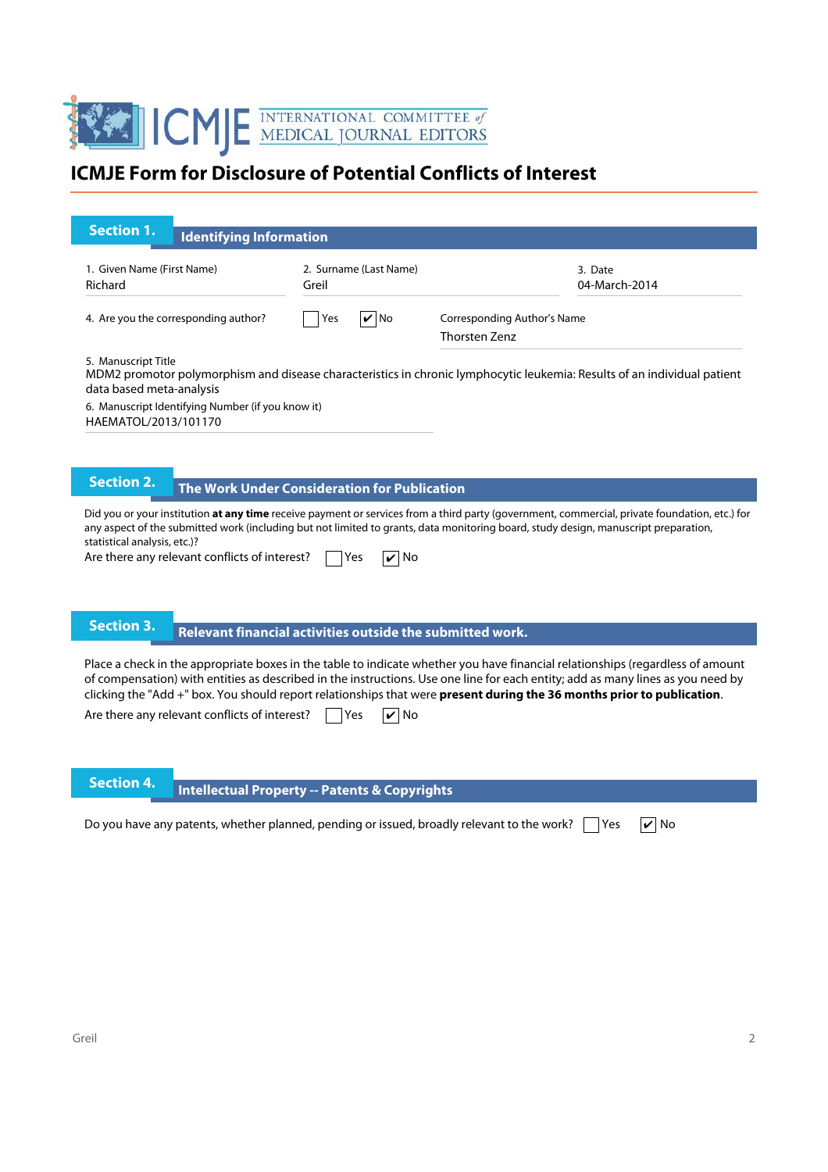

| <b>Section 1.</b>                                                                                                                                                                                                                                                                                                                                                                                                                                                | <b>Identifying Information</b> |                                                           |                                                     |                          |  |  |  |
|------------------------------------------------------------------------------------------------------------------------------------------------------------------------------------------------------------------------------------------------------------------------------------------------------------------------------------------------------------------------------------------------------------------------------------------------------------------|--------------------------------|-----------------------------------------------------------|-----------------------------------------------------|--------------------------|--|--|--|
| 1. Given Name (First Name)<br>Richard                                                                                                                                                                                                                                                                                                                                                                                                                            |                                | 2. Surname (Last Name)<br>Greil                           |                                                     | 3. Date<br>04-March-2014 |  |  |  |
| 4. Are you the corresponding author?                                                                                                                                                                                                                                                                                                                                                                                                                             |                                | ∣✔│No<br>Yes                                              | Corresponding Author's Name<br><b>Thorsten Zenz</b> |                          |  |  |  |
| 5. Manuscript Title<br>MDM2 promotor polymorphism and disease characteristics in chronic lymphocytic leukemia: Results of an individual patient<br>data based meta-analysis                                                                                                                                                                                                                                                                                      |                                |                                                           |                                                     |                          |  |  |  |
| 6. Manuscript Identifying Number (if you know it)<br>HAEMATOL/2013/101170                                                                                                                                                                                                                                                                                                                                                                                        |                                |                                                           |                                                     |                          |  |  |  |
|                                                                                                                                                                                                                                                                                                                                                                                                                                                                  |                                |                                                           |                                                     |                          |  |  |  |
| <b>Section 2.</b><br>The Work Under Consideration for Publication                                                                                                                                                                                                                                                                                                                                                                                                |                                |                                                           |                                                     |                          |  |  |  |
| Did you or your institution at any time receive payment or services from a third party (government, commercial, private foundation, etc.) for<br>any aspect of the submitted work (including but not limited to grants, data monitoring board, study design, manuscript preparation,<br>statistical analysis, etc.)?<br>Are there any relevant conflicts of interest?<br>$\mathbf{v}$ No<br>Yes                                                                  |                                |                                                           |                                                     |                          |  |  |  |
|                                                                                                                                                                                                                                                                                                                                                                                                                                                                  |                                |                                                           |                                                     |                          |  |  |  |
| <b>Section 3.</b>                                                                                                                                                                                                                                                                                                                                                                                                                                                |                                | Relevant financial activities outside the submitted work. |                                                     |                          |  |  |  |
| Place a check in the appropriate boxes in the table to indicate whether you have financial relationships (regardless of amount<br>of compensation) with entities as described in the instructions. Use one line for each entity; add as many lines as you need by<br>clicking the "Add +" box. You should report relationships that were present during the 36 months prior to publication.<br>Are there any relevant conflicts of interest?<br>  No<br>✓<br>Yes |                                |                                                           |                                                     |                          |  |  |  |
|                                                                                                                                                                                                                                                                                                                                                                                                                                                                  |                                |                                                           |                                                     |                          |  |  |  |
| <b>Section 4.</b>                                                                                                                                                                                                                                                                                                                                                                                                                                                |                                | <b>Intellectual Property -- Patents &amp; Copyrights</b>  |                                                     |                          |  |  |  |
| Do you have any patents, whether planned, pending or issued, broadly relevant to the work?<br>Yes<br>$\mathbf{v}$ No                                                                                                                                                                                                                                                                                                                                             |                                |                                                           |                                                     |                          |  |  |  |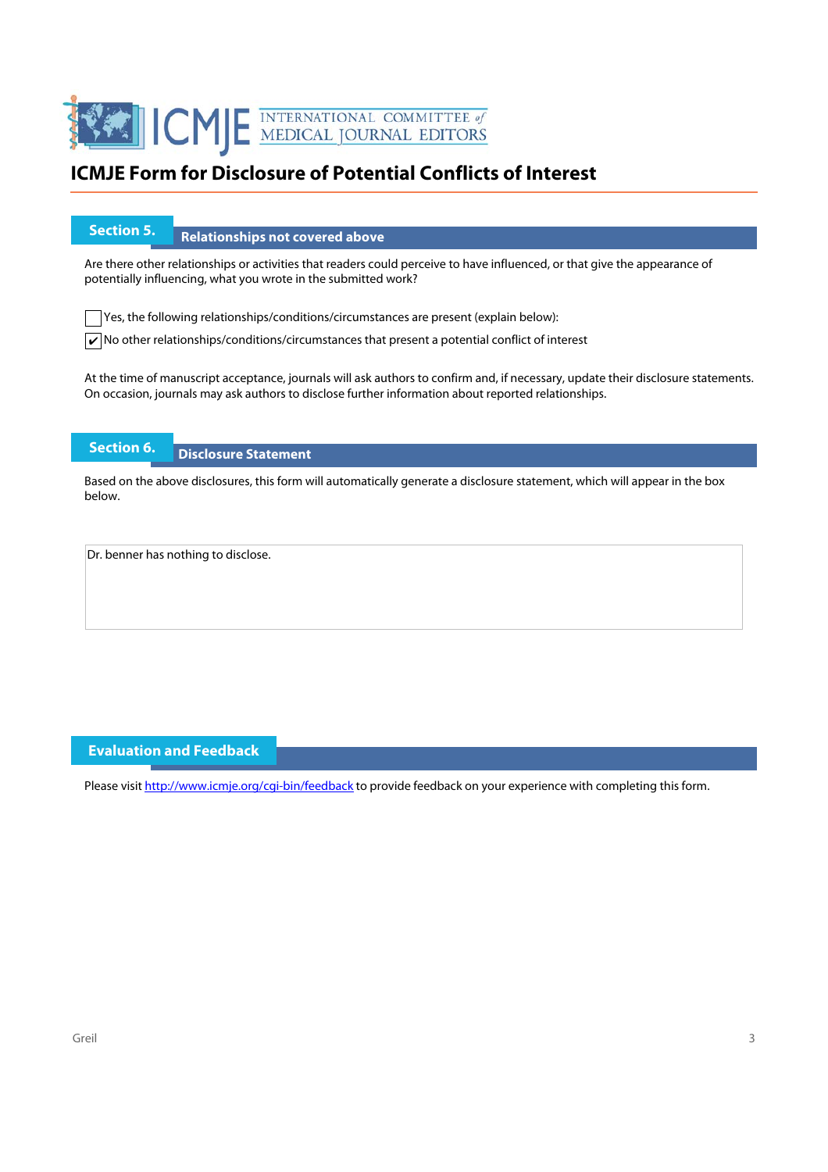

## **Section 5.** Relationships not covered above

Are there other relationships or activities that readers could perceive to have influenced, or that give the appearance of potentially influencing, what you wrote in the submitted work?

 $\Box$  Yes, the following relationships/conditions/circumstances are present (explain below):

 $\boxed{\mathbf{v}}$  No other relationships/conditions/circumstances that present a potential conflict of interest

At the time of manuscript acceptance, journals will ask authors to confirm and, if necessary, update their disclosure statements. On occasion, journals may ask authors to disclose further information about reported relationships.

# **Disclosure Statement Section 6.**

Based on the above disclosures, this form will automatically generate a disclosure statement, which will appear in the box below.

Dr. benner has nothing to disclose.

## **Evaluation and Feedback**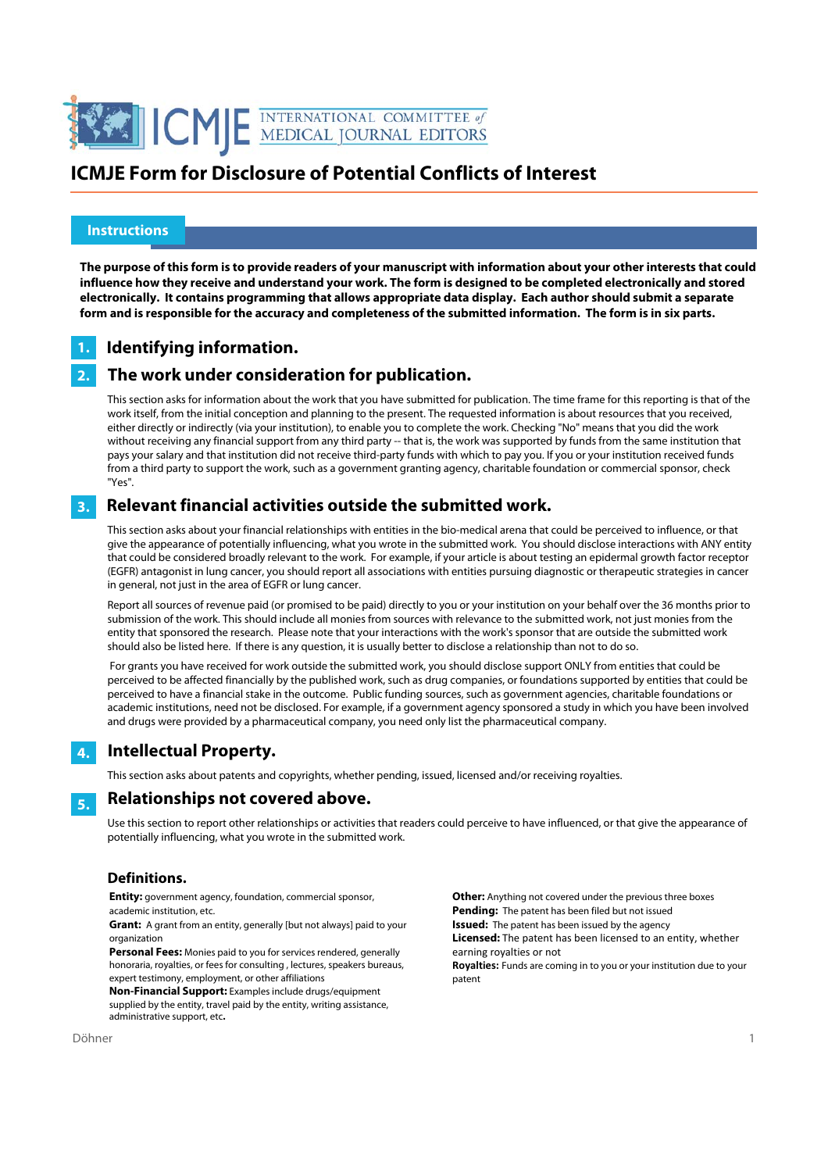

### **Instructions**

**2.**

**The purpose of this form is to provide readers of your manuscript with information about your other interests that could influence how they receive and understand your work. The form is designed to be completed electronically and stored electronically. It contains programming that allows appropriate data display. Each author should submit a separate form and is responsible for the accuracy and completeness of the submitted information. The form is in six parts.** 

#### **Identifying information. 1.**

## **The work under consideration for publication.**

This section asks for information about the work that you have submitted for publication. The time frame for this reporting is that of the work itself, from the initial conception and planning to the present. The requested information is about resources that you received, either directly or indirectly (via your institution), to enable you to complete the work. Checking "No" means that you did the work without receiving any financial support from any third party -- that is, the work was supported by funds from the same institution that pays your salary and that institution did not receive third-party funds with which to pay you. If you or your institution received funds from a third party to support the work, such as a government granting agency, charitable foundation or commercial sponsor, check "Yes".

### **Relevant financial activities outside the submitted work. 3.**

This section asks about your financial relationships with entities in the bio-medical arena that could be perceived to influence, or that give the appearance of potentially influencing, what you wrote in the submitted work. You should disclose interactions with ANY entity that could be considered broadly relevant to the work. For example, if your article is about testing an epidermal growth factor receptor (EGFR) antagonist in lung cancer, you should report all associations with entities pursuing diagnostic or therapeutic strategies in cancer in general, not just in the area of EGFR or lung cancer.

Report all sources of revenue paid (or promised to be paid) directly to you or your institution on your behalf over the 36 months prior to submission of the work. This should include all monies from sources with relevance to the submitted work, not just monies from the entity that sponsored the research. Please note that your interactions with the work's sponsor that are outside the submitted work should also be listed here. If there is any question, it is usually better to disclose a relationship than not to do so.

 For grants you have received for work outside the submitted work, you should disclose support ONLY from entities that could be perceived to be affected financially by the published work, such as drug companies, or foundations supported by entities that could be perceived to have a financial stake in the outcome. Public funding sources, such as government agencies, charitable foundations or academic institutions, need not be disclosed. For example, if a government agency sponsored a study in which you have been involved and drugs were provided by a pharmaceutical company, you need only list the pharmaceutical company.

## **Intellectual Property.**

This section asks about patents and copyrights, whether pending, issued, licensed and/or receiving royalties.

## **Relationships not covered above.**

Use this section to report other relationships or activities that readers could perceive to have influenced, or that give the appearance of potentially influencing, what you wrote in the submitted work.

## **Definitions.**

**Entity:** government agency, foundation, commercial sponsor, academic institution, etc.

**Grant:** A grant from an entity, generally [but not always] paid to your organization

**Personal Fees:** Monies paid to you for services rendered, generally honoraria, royalties, or fees for consulting , lectures, speakers bureaus, expert testimony, employment, or other affiliations

**Non-Financial Support:** Examples include drugs/equipment supplied by the entity, travel paid by the entity, writing assistance, administrative support, etc**.**

**Other:** Anything not covered under the previous three boxes **Pending:** The patent has been filed but not issued **Issued:** The patent has been issued by the agency **Licensed:** The patent has been licensed to an entity, whether earning royalties or not **Royalties:** Funds are coming in to you or your institution due to your patent

Döhner 1

**4.**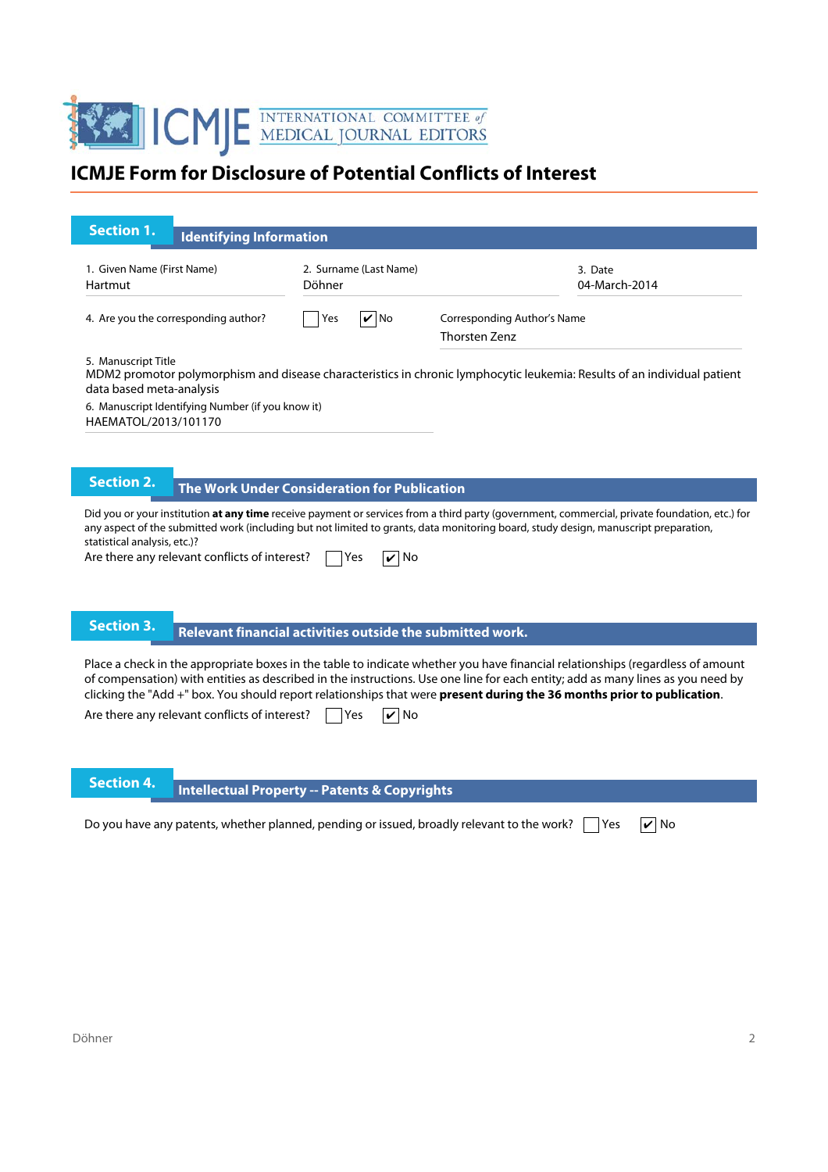

| <b>Section 1.</b>                                                                                                                                                                                                                                                                                                                                                                           | <b>Identifying Information</b> |                                                          |                                                     |  |  |  |  |
|---------------------------------------------------------------------------------------------------------------------------------------------------------------------------------------------------------------------------------------------------------------------------------------------------------------------------------------------------------------------------------------------|--------------------------------|----------------------------------------------------------|-----------------------------------------------------|--|--|--|--|
| 1. Given Name (First Name)<br>Hartmut                                                                                                                                                                                                                                                                                                                                                       |                                | 2. Surname (Last Name)<br>Döhner                         | 3. Date<br>04-March-2014                            |  |  |  |  |
| 4. Are you the corresponding author?                                                                                                                                                                                                                                                                                                                                                        |                                | $ v $ No<br>Yes                                          | Corresponding Author's Name<br><b>Thorsten Zenz</b> |  |  |  |  |
| 5. Manuscript Title<br>MDM2 promotor polymorphism and disease characteristics in chronic lymphocytic leukemia: Results of an individual patient<br>data based meta-analysis                                                                                                                                                                                                                 |                                |                                                          |                                                     |  |  |  |  |
| 6. Manuscript Identifying Number (if you know it)<br>HAEMATOL/2013/101170                                                                                                                                                                                                                                                                                                                   |                                |                                                          |                                                     |  |  |  |  |
|                                                                                                                                                                                                                                                                                                                                                                                             |                                |                                                          |                                                     |  |  |  |  |
| <b>Section 2.</b><br>The Work Under Consideration for Publication                                                                                                                                                                                                                                                                                                                           |                                |                                                          |                                                     |  |  |  |  |
| Did you or your institution at any time receive payment or services from a third party (government, commercial, private foundation, etc.) for<br>any aspect of the submitted work (including but not limited to grants, data monitoring board, study design, manuscript preparation,<br>statistical analysis, etc.)?                                                                        |                                |                                                          |                                                     |  |  |  |  |
| Are there any relevant conflicts of interest?<br>Yes<br>$\boldsymbol{\nu}$<br>  No                                                                                                                                                                                                                                                                                                          |                                |                                                          |                                                     |  |  |  |  |
|                                                                                                                                                                                                                                                                                                                                                                                             |                                |                                                          |                                                     |  |  |  |  |
| <b>Section 3.</b><br>Relevant financial activities outside the submitted work.                                                                                                                                                                                                                                                                                                              |                                |                                                          |                                                     |  |  |  |  |
| Place a check in the appropriate boxes in the table to indicate whether you have financial relationships (regardless of amount<br>of compensation) with entities as described in the instructions. Use one line for each entity; add as many lines as you need by<br>clicking the "Add +" box. You should report relationships that were present during the 36 months prior to publication. |                                |                                                          |                                                     |  |  |  |  |
| Are there any relevant conflicts of interest?<br>  No<br>Yes<br>V                                                                                                                                                                                                                                                                                                                           |                                |                                                          |                                                     |  |  |  |  |
|                                                                                                                                                                                                                                                                                                                                                                                             |                                |                                                          |                                                     |  |  |  |  |
| <b>Section 4.</b>                                                                                                                                                                                                                                                                                                                                                                           |                                | <b>Intellectual Property -- Patents &amp; Copyrights</b> |                                                     |  |  |  |  |
| Do you have any patents, whether planned, pending or issued, broadly relevant to the work?<br>r∣No<br>Yes                                                                                                                                                                                                                                                                                   |                                |                                                          |                                                     |  |  |  |  |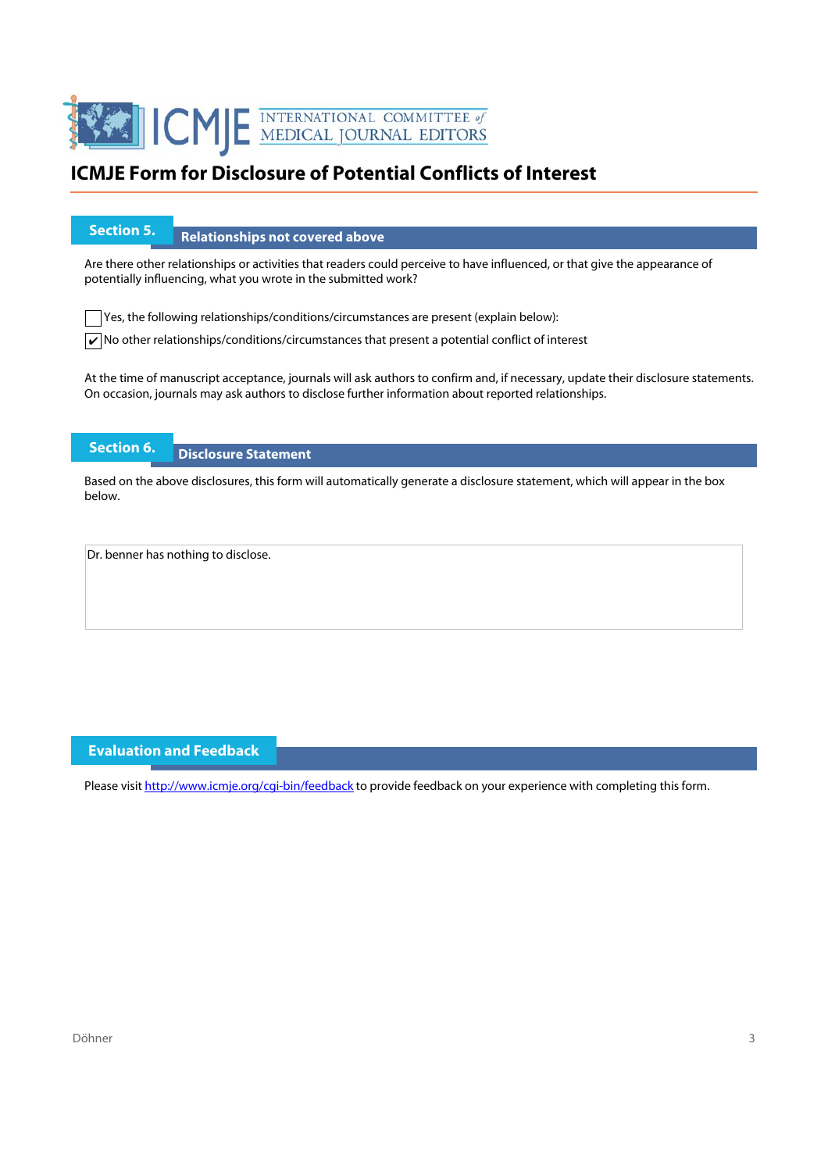

## **Section 5.** Relationships not covered above

Are there other relationships or activities that readers could perceive to have influenced, or that give the appearance of potentially influencing, what you wrote in the submitted work?

 $\Box$  Yes, the following relationships/conditions/circumstances are present (explain below):

 $\boxed{\mathbf{v}}$  No other relationships/conditions/circumstances that present a potential conflict of interest

At the time of manuscript acceptance, journals will ask authors to confirm and, if necessary, update their disclosure statements. On occasion, journals may ask authors to disclose further information about reported relationships.

# **Disclosure Statement Section 6.**

Based on the above disclosures, this form will automatically generate a disclosure statement, which will appear in the box below.

Dr. benner has nothing to disclose.

## **Evaluation and Feedback**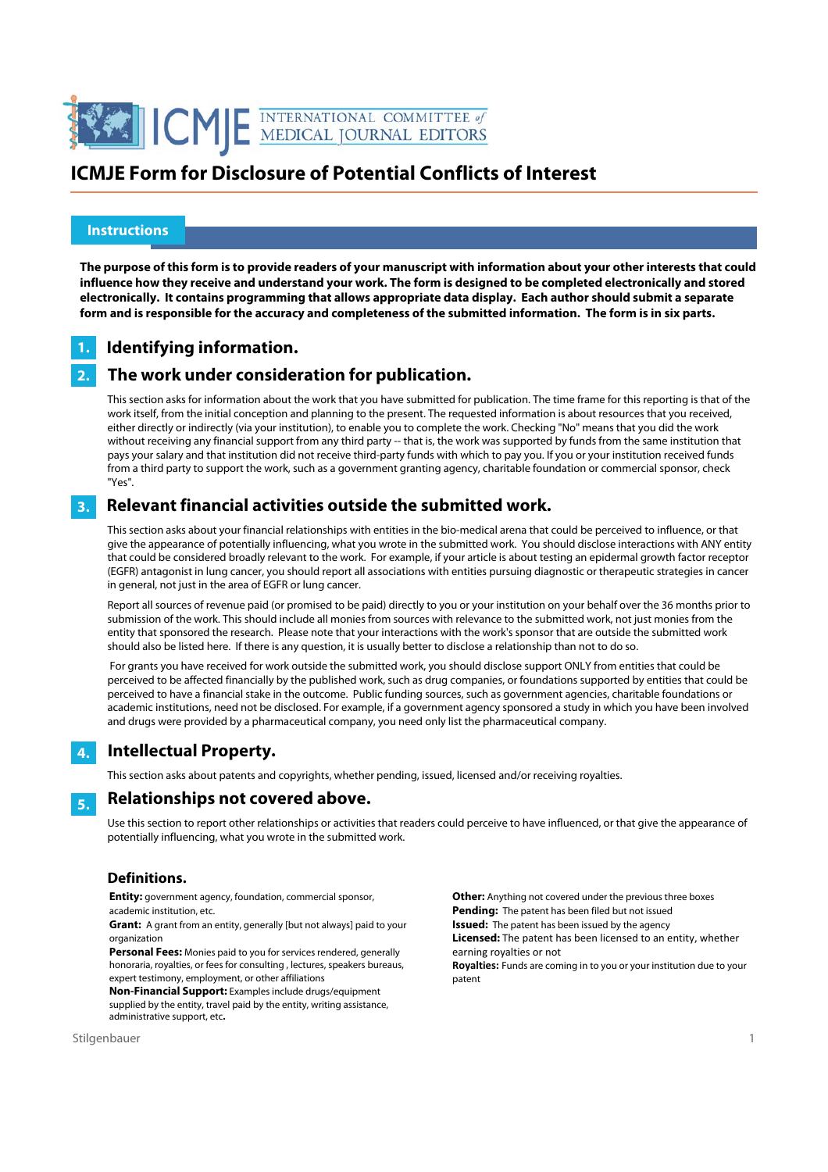

#### **Instructions**

**2.**

**4.**

**5.**

**The purpose of this form is to provide readers of your manuscript with information about your other interests that could influence how they receive and understand your work. The form is designed to be completed electronically and stored electronically. It contains programming that allows appropriate data display. Each author should submit a separate form and is responsible for the accuracy and completeness of the submitted information. The form is in six parts.** 

#### **Identifying information. 1.**

### **The work under consideration for publication.**

This section asks for information about the work that you have submitted for publication. The time frame for this reporting is that of the work itself, from the initial conception and planning to the present. The requested information is about resources that you received, either directly or indirectly (via your institution), to enable you to complete the work. Checking "No" means that you did the work without receiving any financial support from any third party -- that is, the work was supported by funds from the same institution that pays your salary and that institution did not receive third-party funds with which to pay you. If you or your institution received funds from a third party to support the work, such as a government granting agency, charitable foundation or commercial sponsor, check "Yes".

#### **Relevant financial activities outside the submitted work. 3.**

This section asks about your financial relationships with entities in the bio-medical arena that could be perceived to influence, or that give the appearance of potentially influencing, what you wrote in the submitted work. You should disclose interactions with ANY entity that could be considered broadly relevant to the work. For example, if your article is about testing an epidermal growth factor receptor (EGFR) antagonist in lung cancer, you should report all associations with entities pursuing diagnostic or therapeutic strategies in cancer in general, not just in the area of EGFR or lung cancer.

Report all sources of revenue paid (or promised to be paid) directly to you or your institution on your behalf over the 36 months prior to submission of the work. This should include all monies from sources with relevance to the submitted work, not just monies from the entity that sponsored the research. Please note that your interactions with the work's sponsor that are outside the submitted work should also be listed here. If there is any question, it is usually better to disclose a relationship than not to do so.

 For grants you have received for work outside the submitted work, you should disclose support ONLY from entities that could be perceived to be affected financially by the published work, such as drug companies, or foundations supported by entities that could be perceived to have a financial stake in the outcome. Public funding sources, such as government agencies, charitable foundations or academic institutions, need not be disclosed. For example, if a government agency sponsored a study in which you have been involved and drugs were provided by a pharmaceutical company, you need only list the pharmaceutical company.

### **Intellectual Property.**

This section asks about patents and copyrights, whether pending, issued, licensed and/or receiving royalties.

#### **Relationships not covered above.**

Use this section to report other relationships or activities that readers could perceive to have influenced, or that give the appearance of potentially influencing, what you wrote in the submitted work.

#### **Definitions.**

**Entity:** government agency, foundation, commercial sponsor, academic institution, etc.

**Grant:** A grant from an entity, generally [but not always] paid to your organization

**Personal Fees:** Monies paid to you for services rendered, generally honoraria, royalties, or fees for consulting , lectures, speakers bureaus, expert testimony, employment, or other affiliations

**Non-Financial Support:** Examples include drugs/equipment supplied by the entity, travel paid by the entity, writing assistance, administrative support, etc**.**

**Other:** Anything not covered under the previous three boxes **Pending:** The patent has been filed but not issued **Issued:** The patent has been issued by the agency **Licensed:** The patent has been licensed to an entity, whether earning royalties or not **Royalties:** Funds are coming in to you or your institution due to your patent

Stilgenbauer 1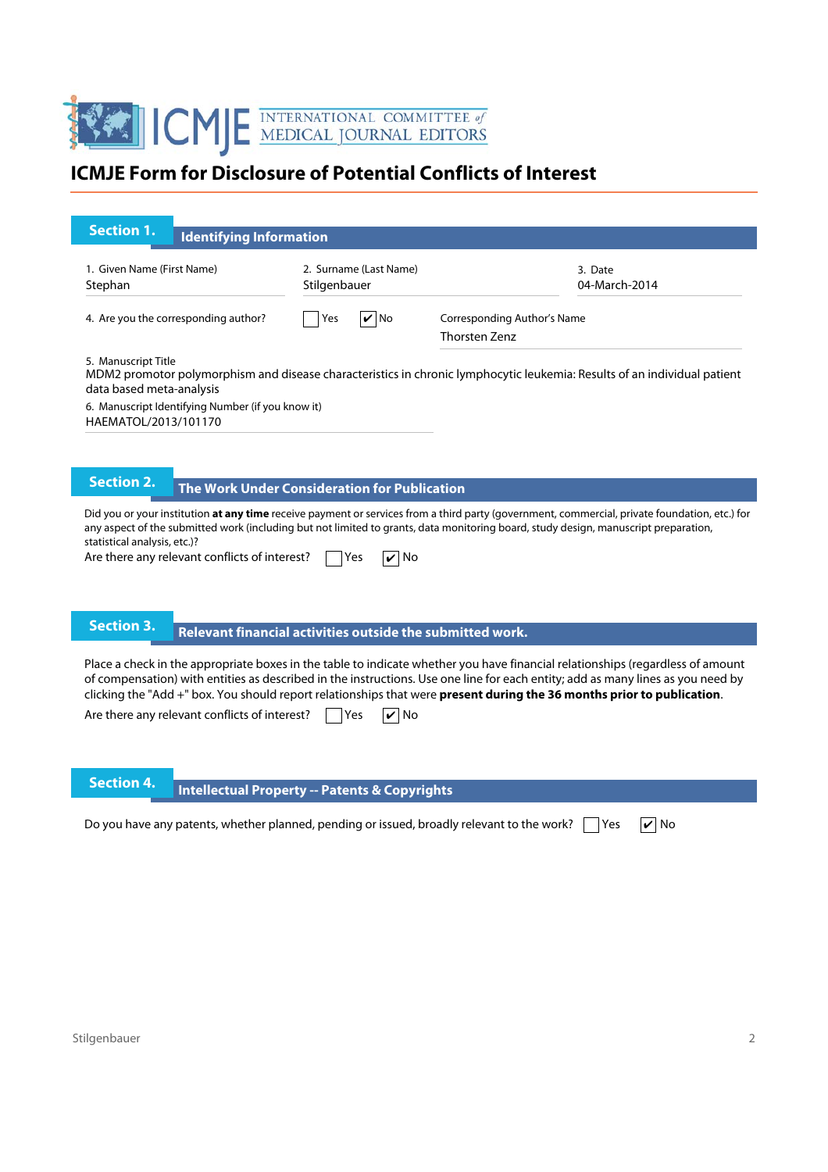

| <b>Section 1.</b>                                                                                                                                                                                                                                                                                                                                                                                                                                              | <b>Identifying Information</b> |                                                          |                                                                                                                      |  |  |
|----------------------------------------------------------------------------------------------------------------------------------------------------------------------------------------------------------------------------------------------------------------------------------------------------------------------------------------------------------------------------------------------------------------------------------------------------------------|--------------------------------|----------------------------------------------------------|----------------------------------------------------------------------------------------------------------------------|--|--|
| 1. Given Name (First Name)<br>Stephan                                                                                                                                                                                                                                                                                                                                                                                                                          |                                | 2. Surname (Last Name)<br>Stilgenbauer                   | 3. Date<br>04-March-2014                                                                                             |  |  |
| 4. Are you the corresponding author?                                                                                                                                                                                                                                                                                                                                                                                                                           |                                | $\nu$ No<br>Yes                                          | Corresponding Author's Name<br><b>Thorsten Zenz</b>                                                                  |  |  |
| 5. Manuscript Title<br>MDM2 promotor polymorphism and disease characteristics in chronic lymphocytic leukemia: Results of an individual patient<br>data based meta-analysis                                                                                                                                                                                                                                                                                    |                                |                                                          |                                                                                                                      |  |  |
| 6. Manuscript Identifying Number (if you know it)<br>HAEMATOL/2013/101170                                                                                                                                                                                                                                                                                                                                                                                      |                                |                                                          |                                                                                                                      |  |  |
|                                                                                                                                                                                                                                                                                                                                                                                                                                                                |                                |                                                          |                                                                                                                      |  |  |
| <b>Section 2.</b>                                                                                                                                                                                                                                                                                                                                                                                                                                              |                                | The Work Under Consideration for Publication             |                                                                                                                      |  |  |
| Did you or your institution at any time receive payment or services from a third party (government, commercial, private foundation, etc.) for<br>any aspect of the submitted work (including but not limited to grants, data monitoring board, study design, manuscript preparation,<br>statistical analysis, etc.)?<br>Are there any relevant conflicts of interest?<br>No<br>Yes<br>$\checkmark$                                                             |                                |                                                          |                                                                                                                      |  |  |
|                                                                                                                                                                                                                                                                                                                                                                                                                                                                |                                |                                                          |                                                                                                                      |  |  |
| <b>Section 3.</b><br>Relevant financial activities outside the submitted work.                                                                                                                                                                                                                                                                                                                                                                                 |                                |                                                          |                                                                                                                      |  |  |
| Place a check in the appropriate boxes in the table to indicate whether you have financial relationships (regardless of amount<br>of compensation) with entities as described in the instructions. Use one line for each entity; add as many lines as you need by<br>clicking the "Add +" box. You should report relationships that were present during the 36 months prior to publication.<br>Are there any relevant conflicts of interest?<br>No<br>Yes<br>V |                                |                                                          |                                                                                                                      |  |  |
|                                                                                                                                                                                                                                                                                                                                                                                                                                                                |                                |                                                          |                                                                                                                      |  |  |
| <b>Section 4.</b>                                                                                                                                                                                                                                                                                                                                                                                                                                              |                                | <b>Intellectual Property -- Patents &amp; Copyrights</b> |                                                                                                                      |  |  |
|                                                                                                                                                                                                                                                                                                                                                                                                                                                                |                                |                                                          | Do you have any patents, whether planned, pending or issued, broadly relevant to the work?<br>$\mathbf{v}$ No<br>Yes |  |  |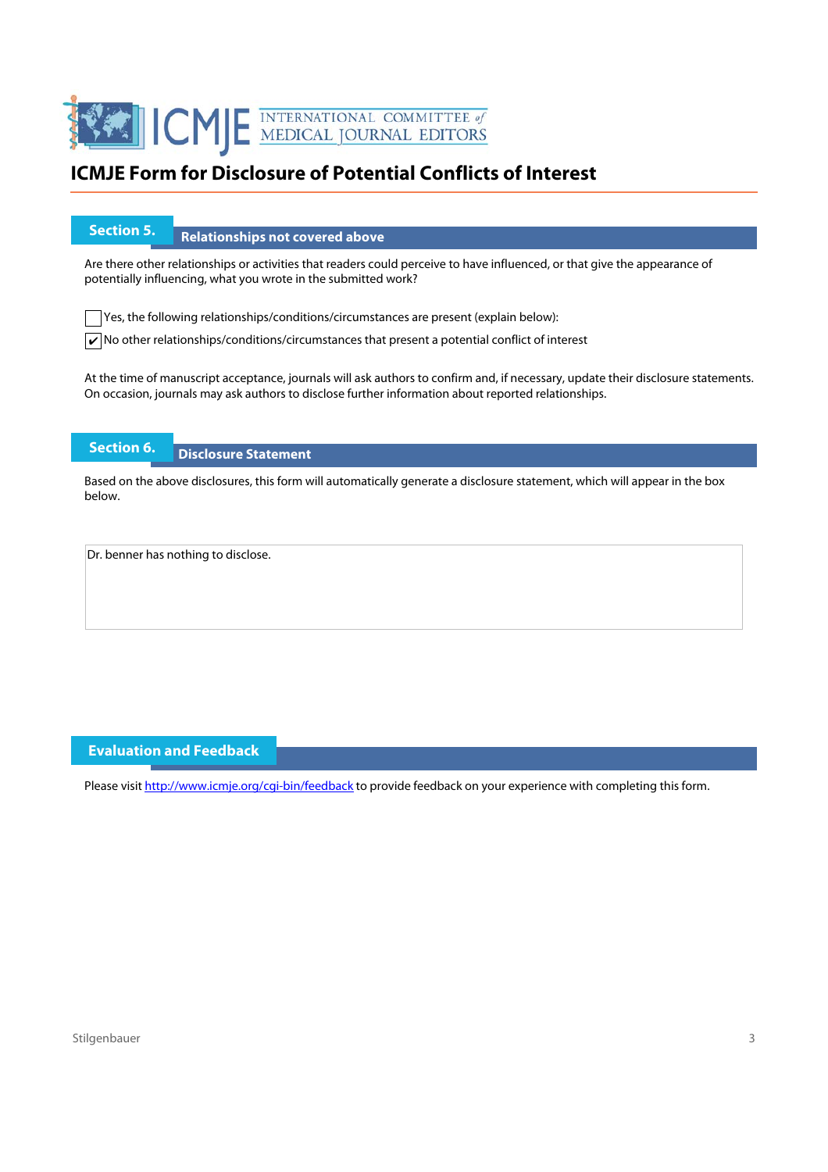

### **Section 5.** Relationships not covered above

Are there other relationships or activities that readers could perceive to have influenced, or that give the appearance of potentially influencing, what you wrote in the submitted work?

 $\Box$  Yes, the following relationships/conditions/circumstances are present (explain below):

 $\boxed{\mathbf{v}}$  No other relationships/conditions/circumstances that present a potential conflict of interest

At the time of manuscript acceptance, journals will ask authors to confirm and, if necessary, update their disclosure statements. On occasion, journals may ask authors to disclose further information about reported relationships.

## **Disclosure Statement Section 6.**

Based on the above disclosures, this form will automatically generate a disclosure statement, which will appear in the box below.

Dr. benner has nothing to disclose.

#### **Evaluation and Feedback**

Please visit http://www.icmje.org/cgi-bin/feedback to provide feedback on your experience with completing this form.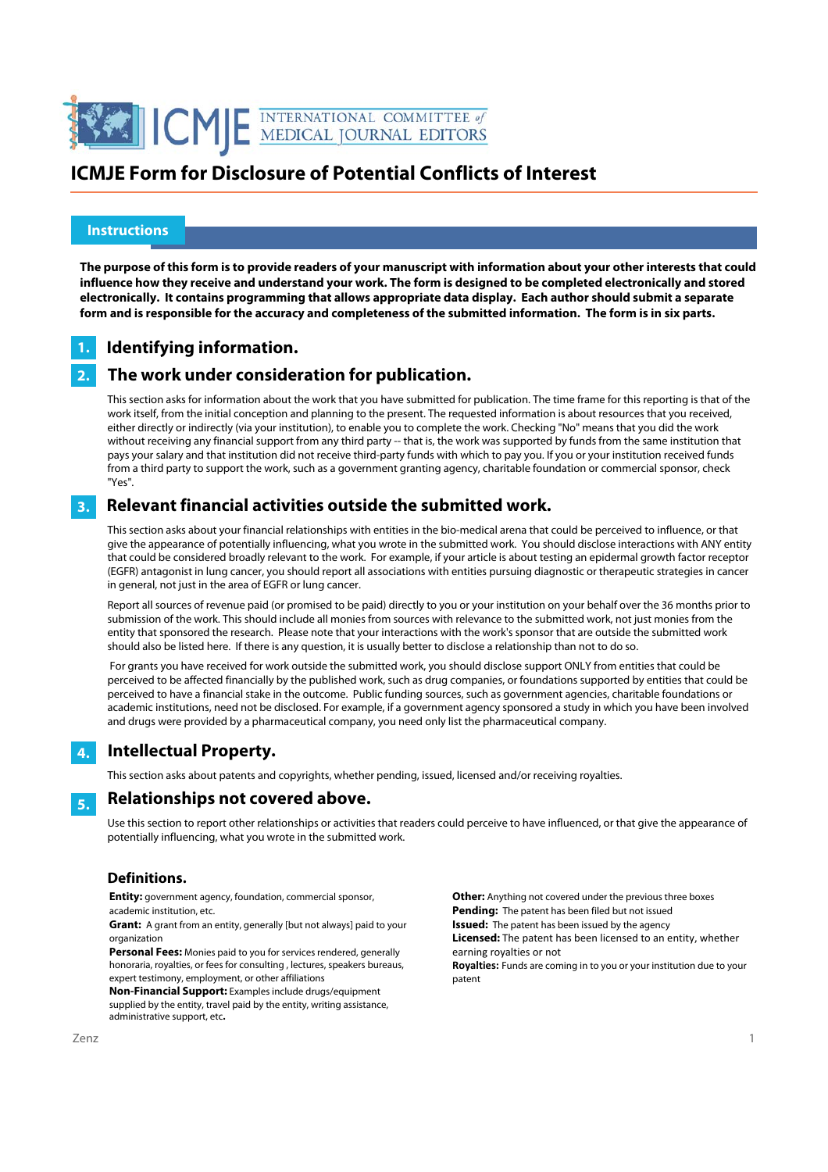

#### **Instructions**

**2.**

**The purpose of this form is to provide readers of your manuscript with information about your other interests that could influence how they receive and understand your work. The form is designed to be completed electronically and stored electronically. It contains programming that allows appropriate data display. Each author should submit a separate form and is responsible for the accuracy and completeness of the submitted information. The form is in six parts.** 

#### **Identifying information. 1.**

### **The work under consideration for publication.**

This section asks for information about the work that you have submitted for publication. The time frame for this reporting is that of the work itself, from the initial conception and planning to the present. The requested information is about resources that you received, either directly or indirectly (via your institution), to enable you to complete the work. Checking "No" means that you did the work without receiving any financial support from any third party -- that is, the work was supported by funds from the same institution that pays your salary and that institution did not receive third-party funds with which to pay you. If you or your institution received funds from a third party to support the work, such as a government granting agency, charitable foundation or commercial sponsor, check "Yes".

#### **Relevant financial activities outside the submitted work. 3.**

This section asks about your financial relationships with entities in the bio-medical arena that could be perceived to influence, or that give the appearance of potentially influencing, what you wrote in the submitted work. You should disclose interactions with ANY entity that could be considered broadly relevant to the work. For example, if your article is about testing an epidermal growth factor receptor (EGFR) antagonist in lung cancer, you should report all associations with entities pursuing diagnostic or therapeutic strategies in cancer in general, not just in the area of EGFR or lung cancer.

Report all sources of revenue paid (or promised to be paid) directly to you or your institution on your behalf over the 36 months prior to submission of the work. This should include all monies from sources with relevance to the submitted work, not just monies from the entity that sponsored the research. Please note that your interactions with the work's sponsor that are outside the submitted work should also be listed here. If there is any question, it is usually better to disclose a relationship than not to do so.

 For grants you have received for work outside the submitted work, you should disclose support ONLY from entities that could be perceived to be affected financially by the published work, such as drug companies, or foundations supported by entities that could be perceived to have a financial stake in the outcome. Public funding sources, such as government agencies, charitable foundations or academic institutions, need not be disclosed. For example, if a government agency sponsored a study in which you have been involved and drugs were provided by a pharmaceutical company, you need only list the pharmaceutical company.

### **Intellectual Property.**

This section asks about patents and copyrights, whether pending, issued, licensed and/or receiving royalties.

#### **Relationships not covered above.**

Use this section to report other relationships or activities that readers could perceive to have influenced, or that give the appearance of potentially influencing, what you wrote in the submitted work.

#### **Definitions.**

**Entity:** government agency, foundation, commercial sponsor, academic institution, etc.

**Grant:** A grant from an entity, generally [but not always] paid to your organization

**Personal Fees:** Monies paid to you for services rendered, generally honoraria, royalties, or fees for consulting , lectures, speakers bureaus, expert testimony, employment, or other affiliations

**Non-Financial Support:** Examples include drugs/equipment supplied by the entity, travel paid by the entity, writing assistance, administrative support, etc**.**

**Other:** Anything not covered under the previous three boxes **Pending:** The patent has been filed but not issued **Issued:** The patent has been issued by the agency **Licensed:** The patent has been licensed to an entity, whether earning royalties or not **Royalties:** Funds are coming in to you or your institution due to your patent

**4.**

**5.**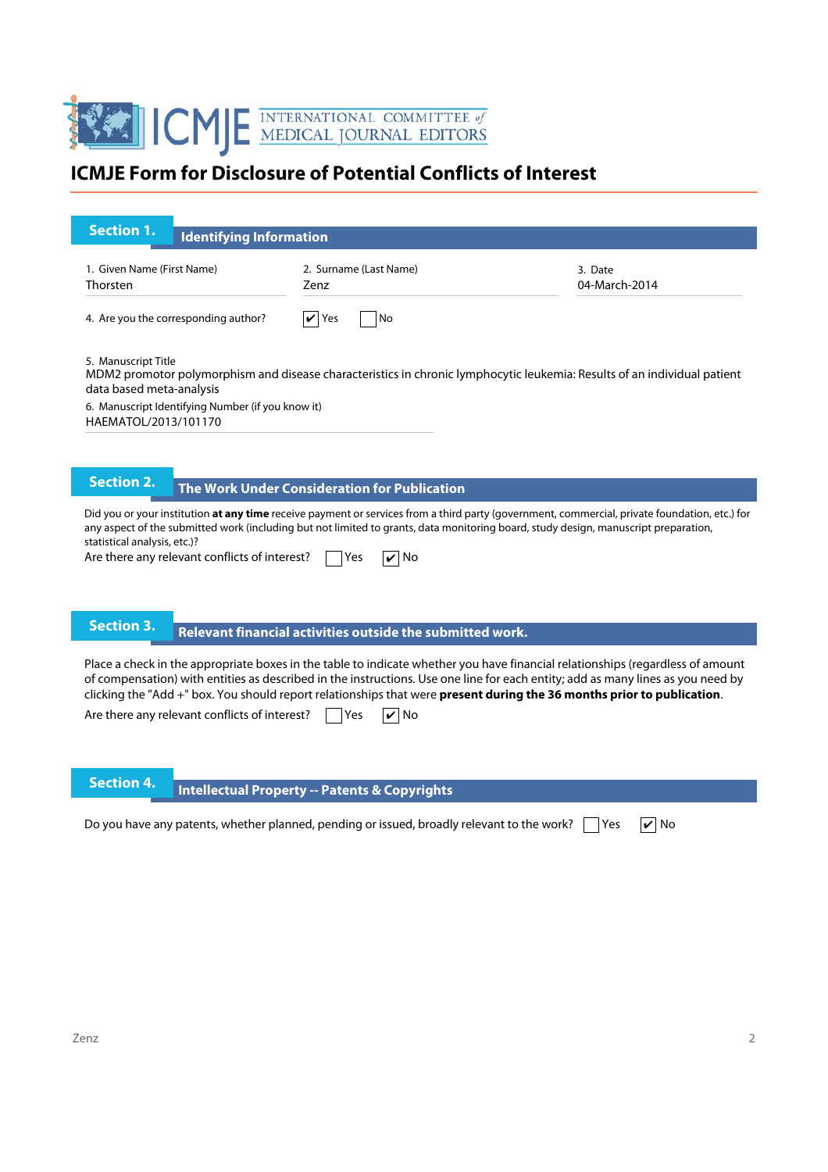

| <b>Section 1.</b>                                                                                                                                                                                                                                                                                                                                                                                                                                                         |                                                                                            |                          |  |  |  |
|---------------------------------------------------------------------------------------------------------------------------------------------------------------------------------------------------------------------------------------------------------------------------------------------------------------------------------------------------------------------------------------------------------------------------------------------------------------------------|--------------------------------------------------------------------------------------------|--------------------------|--|--|--|
| <b>Identifying Information</b>                                                                                                                                                                                                                                                                                                                                                                                                                                            |                                                                                            |                          |  |  |  |
| 1. Given Name (First Name)<br>Thorsten                                                                                                                                                                                                                                                                                                                                                                                                                                    | 2. Surname (Last Name)<br>Zenz                                                             | 3. Date<br>04-March-2014 |  |  |  |
| 4. Are you the corresponding author?                                                                                                                                                                                                                                                                                                                                                                                                                                      | $V$ Yes<br>No                                                                              |                          |  |  |  |
| 5. Manuscript Title<br>MDM2 promotor polymorphism and disease characteristics in chronic lymphocytic leukemia: Results of an individual patient<br>data based meta-analysis                                                                                                                                                                                                                                                                                               |                                                                                            |                          |  |  |  |
| 6. Manuscript Identifying Number (if you know it)<br>HAEMATOL/2013/101170                                                                                                                                                                                                                                                                                                                                                                                                 |                                                                                            |                          |  |  |  |
|                                                                                                                                                                                                                                                                                                                                                                                                                                                                           |                                                                                            |                          |  |  |  |
| <b>Section 2.</b><br>The Work Under Consideration for Publication                                                                                                                                                                                                                                                                                                                                                                                                         |                                                                                            |                          |  |  |  |
| Did you or your institution at any time receive payment or services from a third party (government, commercial, private foundation, etc.) for<br>any aspect of the submitted work (including but not limited to grants, data monitoring board, study design, manuscript preparation,<br>statistical analysis, etc.)?<br>Are there any relevant conflicts of interest?<br>$ \boldsymbol{v} $ No<br>Yes                                                                     |                                                                                            |                          |  |  |  |
| <b>Section 3.</b>                                                                                                                                                                                                                                                                                                                                                                                                                                                         | Relevant financial activities outside the submitted work.                                  |                          |  |  |  |
| Place a check in the appropriate boxes in the table to indicate whether you have financial relationships (regardless of amount<br>of compensation) with entities as described in the instructions. Use one line for each entity; add as many lines as you need by<br>clicking the "Add +" box. You should report relationships that were present during the 36 months prior to publication.<br>Are there any relevant conflicts of interest?<br>No<br>$\checkmark$<br>Yes |                                                                                            |                          |  |  |  |
| <b>Section 4.</b>                                                                                                                                                                                                                                                                                                                                                                                                                                                         | <b>Intellectual Property -- Patents &amp; Copyrights</b>                                   |                          |  |  |  |
|                                                                                                                                                                                                                                                                                                                                                                                                                                                                           | Do you have any patents, whether planned, pending or issued, broadly relevant to the work? | $ v $ No<br>Yes          |  |  |  |